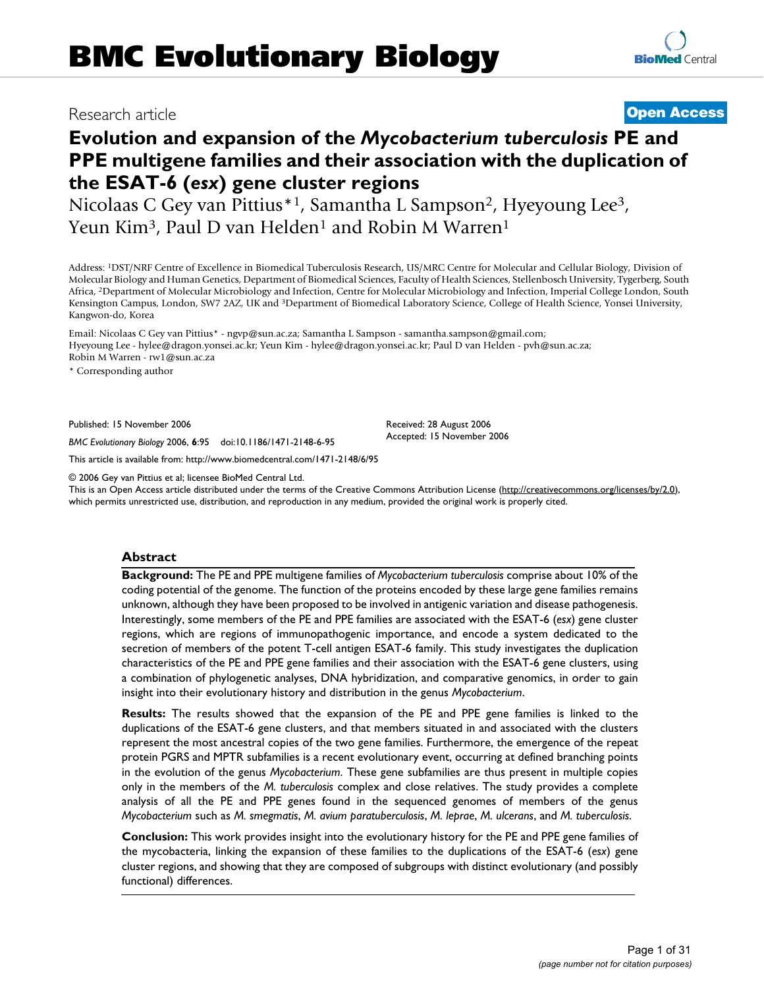# Research article **[Open Access](http://www.biomedcentral.com/info/about/charter/)**

# **Evolution and expansion of the** *Mycobacterium tuberculosis* **PE and PPE multigene families and their association with the duplication of the ESAT-6 (***esx***) gene cluster regions**

Nicolaas C Gey van Pittius<sup>\*1</sup>, Samantha L Sampson<sup>2</sup>, Hyeyoung Lee<sup>3</sup>, Yeun Kim<sup>3</sup>, Paul D van Helden<sup>1</sup> and Robin M Warren<sup>1</sup>

Address: 1DST/NRF Centre of Excellence in Biomedical Tuberculosis Research, US/MRC Centre for Molecular and Cellular Biology, Division of Molecular Biology and Human Genetics, Department of Biomedical Sciences, Faculty of Health Sciences, Stellenbosch University, Tygerberg, South Africa, 2Department of Molecular Microbiology and Infection, Centre for Molecular Microbiology and Infection, Imperial College London, South Kensington Campus, London, SW7 2AZ, UK and 3Department of Biomedical Laboratory Science, College of Health Science, Yonsei University, Kangwon-do, Korea

Email: Nicolaas C Gey van Pittius\* - ngvp@sun.ac.za; Samantha L Sampson - samantha.sampson@gmail.com; Hyeyoung Lee - hylee@dragon.yonsei.ac.kr; Yeun Kim - hylee@dragon.yonsei.ac.kr; Paul D van Helden - pvh@sun.ac.za; Robin M Warren - rw1@sun.ac.za

\* Corresponding author

Published: 15 November 2006

*BMC Evolutionary Biology* 2006, **6**:95 doi:10.1186/1471-2148-6-95

[This article is available from: http://www.biomedcentral.com/1471-2148/6/95](http://www.biomedcentral.com/1471-2148/6/95)

© 2006 Gey van Pittius et al; licensee BioMed Central Ltd.

This is an Open Access article distributed under the terms of the Creative Commons Attribution License [\(http://creativecommons.org/licenses/by/2.0\)](http://creativecommons.org/licenses/by/2.0), which permits unrestricted use, distribution, and reproduction in any medium, provided the original work is properly cited.

Received: 28 August 2006 Accepted: 15 November 2006

#### **Abstract**

**Background:** The PE and PPE multigene families of *Mycobacterium tuberculosis* comprise about 10% of the coding potential of the genome. The function of the proteins encoded by these large gene families remains unknown, although they have been proposed to be involved in antigenic variation and disease pathogenesis. Interestingly, some members of the PE and PPE families are associated with the ESAT-6 (*esx*) gene cluster regions, which are regions of immunopathogenic importance, and encode a system dedicated to the secretion of members of the potent T-cell antigen ESAT-6 family. This study investigates the duplication characteristics of the PE and PPE gene families and their association with the ESAT-6 gene clusters, using a combination of phylogenetic analyses, DNA hybridization, and comparative genomics, in order to gain insight into their evolutionary history and distribution in the genus *Mycobacterium*.

**Results:** The results showed that the expansion of the PE and PPE gene families is linked to the duplications of the ESAT-6 gene clusters, and that members situated in and associated with the clusters represent the most ancestral copies of the two gene families. Furthermore, the emergence of the repeat protein PGRS and MPTR subfamilies is a recent evolutionary event, occurring at defined branching points in the evolution of the genus *Mycobacterium*. These gene subfamilies are thus present in multiple copies only in the members of the *M. tuberculosis* complex and close relatives. The study provides a complete analysis of all the PE and PPE genes found in the sequenced genomes of members of the genus *Mycobacterium* such as *M. smegmatis*, *M. avium paratuberculosis*, *M. leprae*, *M. ulcerans*, and *M. tuberculosis*.

**Conclusion:** This work provides insight into the evolutionary history for the PE and PPE gene families of the mycobacteria, linking the expansion of these families to the duplications of the ESAT-6 (*esx*) gene cluster regions, and showing that they are composed of subgroups with distinct evolutionary (and possibly functional) differences.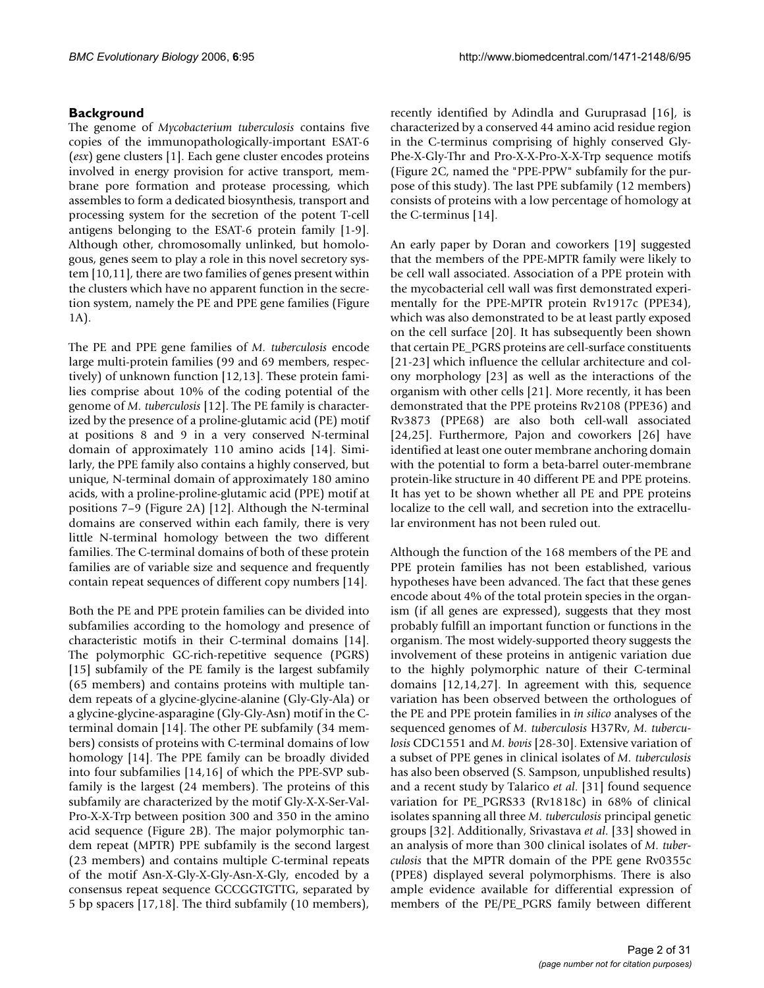# **Background**

The genome of *Mycobacterium tuberculosis* contains five copies of the immunopathologically-important ESAT-6 (*esx*) gene clusters [1]. Each gene cluster encodes proteins involved in energy provision for active transport, membrane pore formation and protease processing, which assembles to form a dedicated biosynthesis, transport and processing system for the secretion of the potent T-cell antigens belonging to the ESAT-6 protein family [1-9]. Although other, chromosomally unlinked, but homologous, genes seem to play a role in this novel secretory system [10,11], there are two families of genes present within the clusters which have no apparent function in the secretion system, namely the PE and PPE gene families (Figure 1A).

The PE and PPE gene families of *M. tuberculosis* encode large multi-protein families (99 and 69 members, respectively) of unknown function [12,13]. These protein families comprise about 10% of the coding potential of the genome of *M. tuberculosis* [12]. The PE family is characterized by the presence of a proline-glutamic acid (PE) motif at positions 8 and 9 in a very conserved N-terminal domain of approximately 110 amino acids [14]. Similarly, the PPE family also contains a highly conserved, but unique, N-terminal domain of approximately 180 amino acids, with a proline-proline-glutamic acid (PPE) motif at positions 7–9 (Figure 2A) [12]. Although the N-terminal domains are conserved within each family, there is very little N-terminal homology between the two different families. The C-terminal domains of both of these protein families are of variable size and sequence and frequently contain repeat sequences of different copy numbers [14].

Both the PE and PPE protein families can be divided into subfamilies according to the homology and presence of characteristic motifs in their C-terminal domains [14]. The polymorphic GC-rich-repetitive sequence (PGRS) [15] subfamily of the PE family is the largest subfamily (65 members) and contains proteins with multiple tandem repeats of a glycine-glycine-alanine (Gly-Gly-Ala) or a glycine-glycine-asparagine (Gly-Gly-Asn) motif in the Cterminal domain [14]. The other PE subfamily (34 members) consists of proteins with C-terminal domains of low homology [14]. The PPE family can be broadly divided into four subfamilies [14,16] of which the PPE-SVP subfamily is the largest (24 members). The proteins of this subfamily are characterized by the motif Gly-X-X-Ser-Val-Pro-X-X-Trp between position 300 and 350 in the amino acid sequence (Figure 2B). The major polymorphic tandem repeat (MPTR) PPE subfamily is the second largest (23 members) and contains multiple C-terminal repeats of the motif Asn-X-Gly-X-Gly-Asn-X-Gly, encoded by a consensus repeat sequence GCCGGTGTTG, separated by 5 bp spacers [17,18]. The third subfamily (10 members),

recently identified by Adindla and Guruprasad [16], is characterized by a conserved 44 amino acid residue region in the C-terminus comprising of highly conserved Gly-Phe-X-Gly-Thr and Pro-X-X-Pro-X-X-Trp sequence motifs (Figure 2C, named the "PPE-PPW" subfamily for the purpose of this study). The last PPE subfamily (12 members) consists of proteins with a low percentage of homology at the C-terminus [14].

An early paper by Doran and coworkers [19] suggested that the members of the PPE-MPTR family were likely to be cell wall associated. Association of a PPE protein with the mycobacterial cell wall was first demonstrated experimentally for the PPE-MPTR protein Rv1917c (PPE34), which was also demonstrated to be at least partly exposed on the cell surface [20]. It has subsequently been shown that certain PE\_PGRS proteins are cell-surface constituents [21-23] which influence the cellular architecture and colony morphology [23] as well as the interactions of the organism with other cells [21]. More recently, it has been demonstrated that the PPE proteins Rv2108 (PPE36) and Rv3873 (PPE68) are also both cell-wall associated [24,25]. Furthermore, Pajon and coworkers [26] have identified at least one outer membrane anchoring domain with the potential to form a beta-barrel outer-membrane protein-like structure in 40 different PE and PPE proteins. It has yet to be shown whether all PE and PPE proteins localize to the cell wall, and secretion into the extracellular environment has not been ruled out.

Although the function of the 168 members of the PE and PPE protein families has not been established, various hypotheses have been advanced. The fact that these genes encode about 4% of the total protein species in the organism (if all genes are expressed), suggests that they most probably fulfill an important function or functions in the organism. The most widely-supported theory suggests the involvement of these proteins in antigenic variation due to the highly polymorphic nature of their C-terminal domains [12,14,27]. In agreement with this, sequence variation has been observed between the orthologues of the PE and PPE protein families in *in silico* analyses of the sequenced genomes of *M. tuberculosis* H37Rv, *M. tuberculosis* CDC1551 and *M. bovis* [28-30]. Extensive variation of a subset of PPE genes in clinical isolates of *M. tuberculosis* has also been observed (S. Sampson, unpublished results) and a recent study by Talarico *et al*. [31] found sequence variation for PE\_PGRS33 (Rv1818c) in 68% of clinical isolates spanning all three *M. tuberculosis* principal genetic groups [32]. Additionally, Srivastava *et al*. [33] showed in an analysis of more than 300 clinical isolates of *M. tuberculosis* that the MPTR domain of the PPE gene Rv0355c (PPE8) displayed several polymorphisms. There is also ample evidence available for differential expression of members of the PE/PE\_PGRS family between different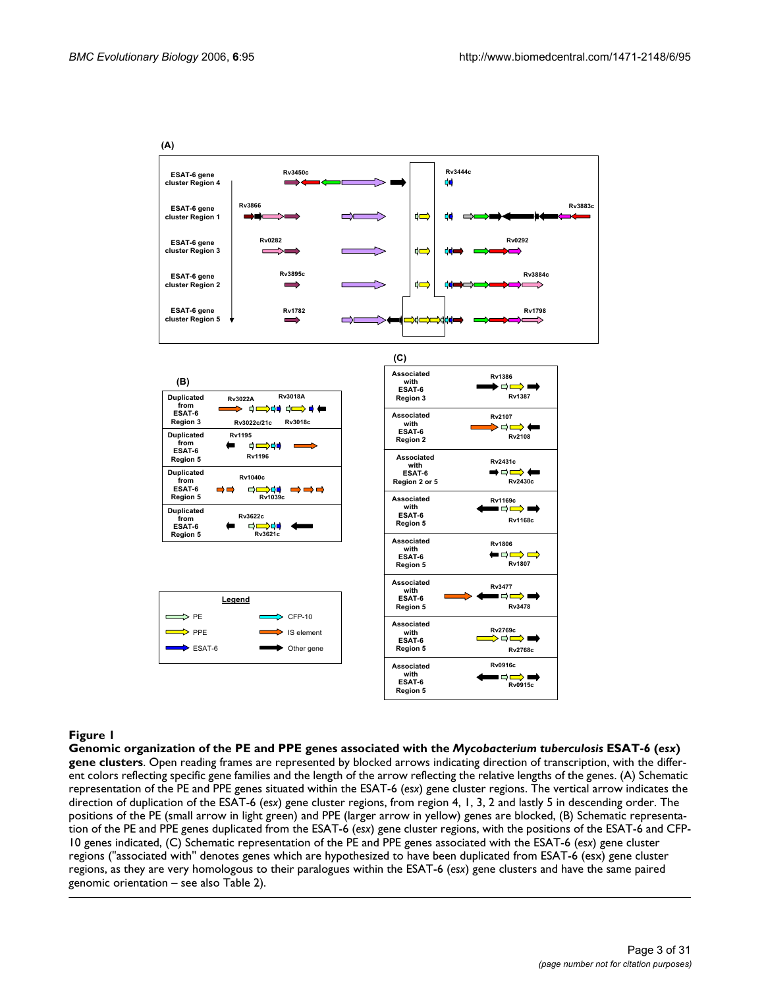

#### **Figure 1** Genomic organization of the PE and PPE genes associated with the *Mycobacterium tuberculosis* ESAT-6 (*esx*) gene clusters

**Genomic organization of the PE and PPE genes associated with the** *Mycobacterium tuberculosis* **ESAT-6 (***esx***) gene clusters**. Open reading frames are represented by blocked arrows indicating direction of transcription, with the different colors reflecting specific gene families and the length of the arrow reflecting the relative lengths of the genes. (A) Schematic representation of the PE and PPE genes situated within the ESAT-6 (*esx*) gene cluster regions. The vertical arrow indicates the direction of duplication of the ESAT-6 (*esx*) gene cluster regions, from region 4, 1, 3, 2 and lastly 5 in descending order. The positions of the PE (small arrow in light green) and PPE (larger arrow in yellow) genes are blocked, (B) Schematic representation of the PE and PPE genes duplicated from the ESAT-6 (*esx*) gene cluster regions, with the positions of the ESAT-6 and CFP-10 genes indicated, (C) Schematic representation of the PE and PPE genes associated with the ESAT-6 (*esx*) gene cluster regions (''associated with'' denotes genes which are hypothesized to have been duplicated from ESAT-6 (esx) gene cluster regions, as they are very homologous to their paralogues within the ESAT-6 (*esx*) gene clusters and have the same paired genomic orientation – see also Table 2).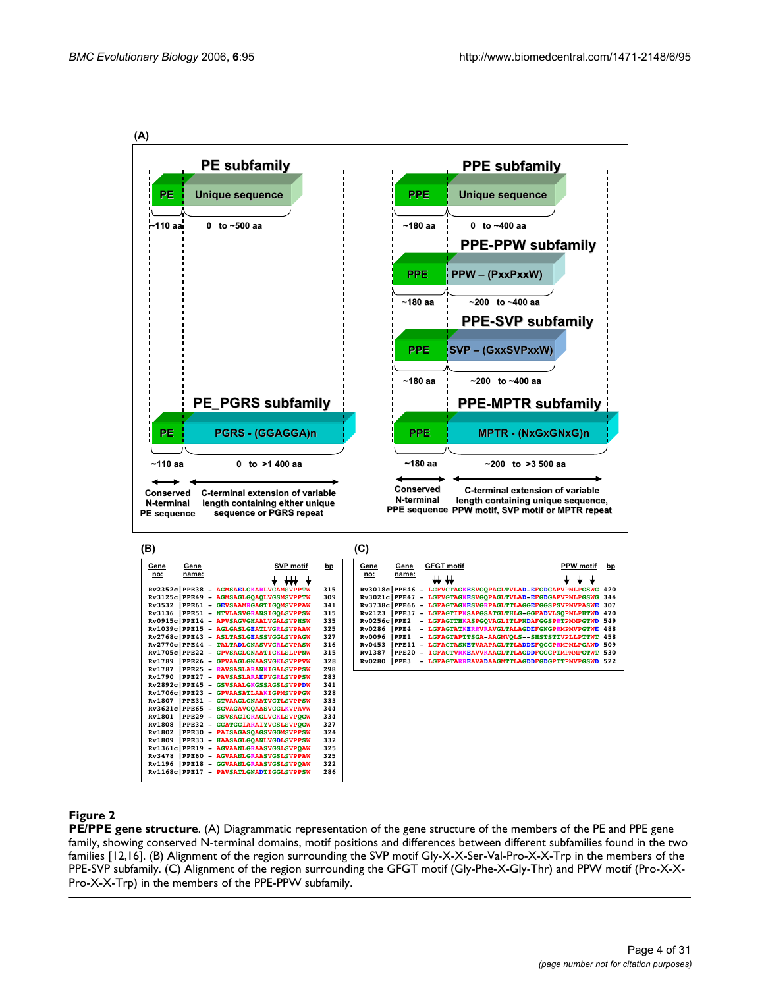



| (B)                                                                                                               |               |                                                                                                                                                                                                                                                                                                                                                                                                                                                                                                                                                                                                                                                                                                                                                                                                                                                    |                                                                                                                                                        | (C)                                                                                                                                    |                      |
|-------------------------------------------------------------------------------------------------------------------|---------------|----------------------------------------------------------------------------------------------------------------------------------------------------------------------------------------------------------------------------------------------------------------------------------------------------------------------------------------------------------------------------------------------------------------------------------------------------------------------------------------------------------------------------------------------------------------------------------------------------------------------------------------------------------------------------------------------------------------------------------------------------------------------------------------------------------------------------------------------------|--------------------------------------------------------------------------------------------------------------------------------------------------------|----------------------------------------------------------------------------------------------------------------------------------------|----------------------|
| Gene<br>no:                                                                                                       | Gene<br>name: | <b>SVP motif</b>                                                                                                                                                                                                                                                                                                                                                                                                                                                                                                                                                                                                                                                                                                                                                                                                                                   | bp                                                                                                                                                     | Gene<br>no:                                                                                                                            | G<br>n               |
| Rv3532<br>Rv3136<br>Rv1789<br>Rv1787<br>Rv1790<br>Rv1807<br>Rv1801<br><b>Rv1808</b><br>Rv1802<br>Rv1809<br>Rv3478 |               | Rv2352clPPE38 - AGMSAELGKARLVGAMSVPPTW<br>Rv3125c   PPE49 - AGMSAGLGQAQLVGSMSVPPTW<br>PPE61 - GEVSAAMRGAGTIGOMSVPPAW<br>PPE51 - NTVLASVGRANSIGOLSVPPSW<br>Rv0915clPPE14 - APVSAGVGHAALVGALSVPHSW<br>Rv1039clPPE15 - AGLGASLGEATLVGRLSVPAAW<br>Rv2768c PPE43 - ASLTASLGEASSVGGLSVPAGW<br>Rv2770clPPE44 - TALTADLGNASVVGRLSVPASW<br>Rv1705clPPE22 - GPVSAGLGNAATIGKLSLPPNW<br>PPE26 - GPVAAGLGNAASVGKLSVPPVW<br><b>PPE25 - RAVSASLARANKIGALSVPPSW</b><br><b>PPE27 - PAVSASLARAEPVGRLSVPPSW</b><br>Rv2892clPPE45 - GSVSAALGKGSSAGSLSVPPDW<br>Rv1706clPPE23 - GPVAASATLAAKICPMSVPPGW<br>PPE31 - GTVAAGLGNAATVGTLSVPPSW<br>Rv3621c   PPE65 - SGVAGAVGQAASVGGLKVPAVW<br>PPE29 - GSVSAGIGRAGLVGKLSVPOGW<br>PPE32 - GGATGGIARAIYVGSLSVPOGW<br>PPE30 - PAISAGASOAGSVGGMSVPPSW<br>PPE33 - HAASAGLGQANLVGDLSVPPSW<br>Rv1361c   PPE19 - AGVAANLGRAASVGSLSVPOAW | 315<br>309<br>341<br>315<br>335<br>325<br>327<br>316<br>315<br>328<br>298<br>283<br>341<br>328<br>333<br>344<br>334<br>327<br>324<br>332<br>325<br>325 | Rv3018clPl<br>Rv3021c P<br>Rv3738clPl<br>Rv2123<br>l Pl<br>Rv0256clPl<br>Rv0286<br>Rv0096<br>Rv0453<br>Rv1387<br><b>Rv0280</b><br>l Pl | P)<br>P)<br>P)<br>P) |
| Rv1196                                                                                                            |               | PPE60 - AGVAANLGRAASVGSLSVPPAW<br>PPE18 - GGVAANLGRAASVGSLSVPOAW<br>Rv1168c   PPE17 - PAVSATLGNADTIGGLSVPPSW                                                                                                                                                                                                                                                                                                                                                                                                                                                                                                                                                                                                                                                                                                                                       | 322<br>286                                                                                                                                             |                                                                                                                                        |                      |

| Gene                   | Gene              | <b>GFGT motif</b>                                        | <b>PPW</b> motif | bp  |
|------------------------|-------------------|----------------------------------------------------------|------------------|-----|
| $no$ :                 | name:             | ₩₩                                                       |                  |     |
|                        |                   | Rv3018c PPE46 - LGFVGTAGKESVGQPAGLTVLAD-EFGDGAPVPMLPGSWG |                  | 420 |
| <b>Rv3021c PPE47</b>   |                   | - LGFVGTAGKESVGQPAGLTVLAD-EFGDGAPVPMLPGSWG 344           |                  |     |
| <b>Rv3738c   PPE66</b> |                   | LGFAGTAGKESVGRPAGLTTLAGGEFGGSPSVPMVPASWE                 |                  | 307 |
| Rv2123                 | <b>PPE37</b>      | - LGFAGTIPKSAPGSATGLTHLG-GGFADVLSOPMLPHTWD               |                  | 470 |
| Rv0256clPPE2           |                   | - LGFAGTTHKASPGOVAGLITLPNDAFGGSPRTPMMPGTWD 549           |                  |     |
| <b>Rv0286</b>          | PPE4              | - LGFAGTATKERRVRAVGLTALAGDEFGNGPRMPMVPGTWE               |                  | 488 |
| <b>Rv0096</b>          | PPE1              | - LGFAGTAPTTSGA-AAGMVOLS--SHSTSTTVPLLPTTWT 458           |                  |     |
| Rv0453                 | <b>PPE11</b>      | - LGFAGTASNETVAAPAGLTTLADDEFOCGPRMPMLPGAWD 509           |                  |     |
| <b>Rv1387</b>          | PPE <sub>20</sub> | - IGFAGTVRKEAVVKAAGLTTLAGDDFGGGPTMPMMPGTWT               |                  | 530 |
| <b>Rv0280</b>          | PPE3              | <b>LGFAGTARREAVADAAGMTTLAGDDFGDGPTTPMVPGSWD</b>          |                  | 522 |
|                        |                   |                                                          |                  |     |

#### **Figure 2**

**PE/PPE gene structure**. (A) Diagrammatic representation of the gene structure of the members of the PE and PPE gene family, showing conserved N-terminal domains, motif positions and differences between different subfamilies found in the two families [12,16]. (B) Alignment of the region surrounding the SVP motif Gly-X-X-Ser-Val-Pro-X-X-Trp in the members of the PPE-SVP subfamily. (C) Alignment of the region surrounding the GFGT motif (Gly-Phe-X-Gly-Thr) and PPW motif (Pro-X-X-Pro-X-X-Trp) in the members of the PPE-PPW subfamily.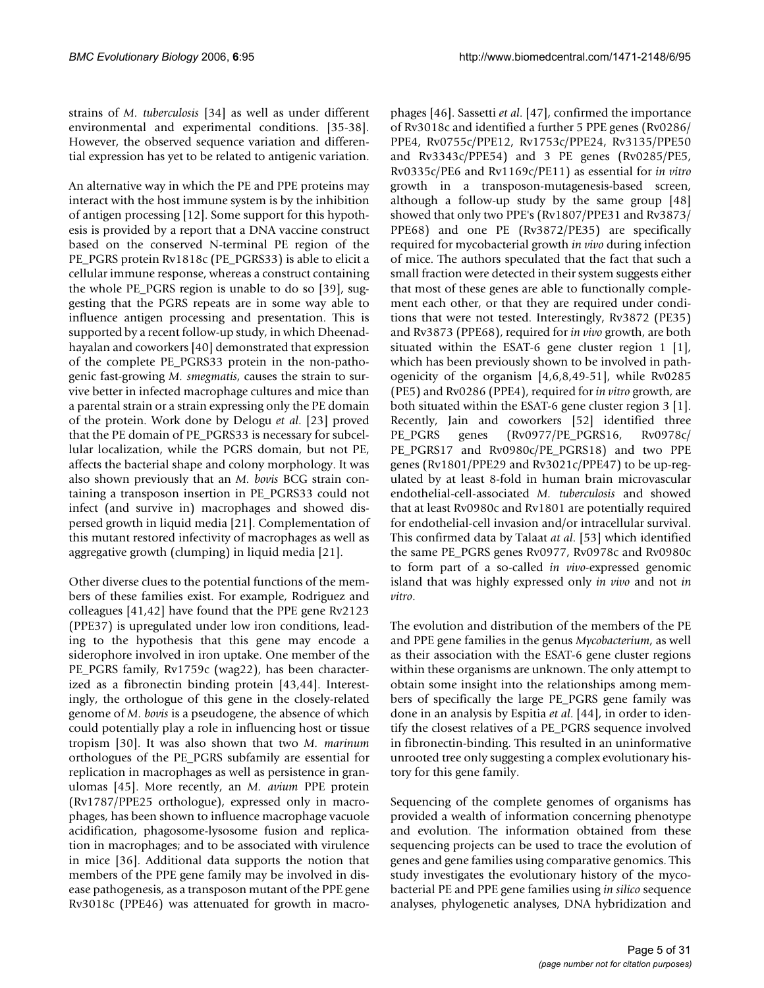strains of *M. tuberculosis* [34] as well as under different environmental and experimental conditions. [35-38]. However, the observed sequence variation and differential expression has yet to be related to antigenic variation.

An alternative way in which the PE and PPE proteins may interact with the host immune system is by the inhibition of antigen processing [12]. Some support for this hypothesis is provided by a report that a DNA vaccine construct based on the conserved N-terminal PE region of the PE\_PGRS protein Rv1818c (PE\_PGRS33) is able to elicit a cellular immune response, whereas a construct containing the whole PE\_PGRS region is unable to do so [39], suggesting that the PGRS repeats are in some way able to influence antigen processing and presentation. This is supported by a recent follow-up study, in which Dheenadhayalan and coworkers [40] demonstrated that expression of the complete PE\_PGRS33 protein in the non-pathogenic fast-growing *M. smegmatis*, causes the strain to survive better in infected macrophage cultures and mice than a parental strain or a strain expressing only the PE domain of the protein. Work done by Delogu *et al*. [23] proved that the PE domain of PE\_PGRS33 is necessary for subcellular localization, while the PGRS domain, but not PE, affects the bacterial shape and colony morphology. It was also shown previously that an *M. bovis* BCG strain containing a transposon insertion in PE\_PGRS33 could not infect (and survive in) macrophages and showed dispersed growth in liquid media [21]. Complementation of this mutant restored infectivity of macrophages as well as aggregative growth (clumping) in liquid media [21].

Other diverse clues to the potential functions of the members of these families exist. For example, Rodriguez and colleagues [41,42] have found that the PPE gene Rv2123 (PPE37) is upregulated under low iron conditions, leading to the hypothesis that this gene may encode a siderophore involved in iron uptake. One member of the PE\_PGRS family, Rv1759c (wag22), has been characterized as a fibronectin binding protein [43,44]. Interestingly, the orthologue of this gene in the closely-related genome of *M. bovis* is a pseudogene, the absence of which could potentially play a role in influencing host or tissue tropism [30]. It was also shown that two *M. marinum* orthologues of the PE\_PGRS subfamily are essential for replication in macrophages as well as persistence in granulomas [45]. More recently, an *M. avium* PPE protein (Rv1787/PPE25 orthologue), expressed only in macrophages, has been shown to influence macrophage vacuole acidification, phagosome-lysosome fusion and replication in macrophages; and to be associated with virulence in mice [36]. Additional data supports the notion that members of the PPE gene family may be involved in disease pathogenesis, as a transposon mutant of the PPE gene Rv3018c (PPE46) was attenuated for growth in macrophages [46]. Sassetti *et al*. [47], confirmed the importance of Rv3018c and identified a further 5 PPE genes (Rv0286/ PPE4, Rv0755c/PPE12, Rv1753c/PPE24, Rv3135/PPE50 and Rv3343c/PPE54) and 3 PE genes (Rv0285/PE5, Rv0335c/PE6 and Rv1169c/PE11) as essential for *in vitro* growth in a transposon-mutagenesis-based screen, although a follow-up study by the same group [48] showed that only two PPE's (Rv1807/PPE31 and Rv3873/ PPE68) and one PE (Rv3872/PE35) are specifically required for mycobacterial growth *in vivo* during infection of mice. The authors speculated that the fact that such a small fraction were detected in their system suggests either that most of these genes are able to functionally complement each other, or that they are required under conditions that were not tested. Interestingly, Rv3872 (PE35) and Rv3873 (PPE68), required for *in vivo* growth, are both situated within the ESAT-6 gene cluster region 1 [1], which has been previously shown to be involved in pathogenicity of the organism [4,6,8,49-51], while Rv0285 (PE5) and Rv0286 (PPE4), required for *in vitro* growth, are both situated within the ESAT-6 gene cluster region 3 [1]. Recently, Jain and coworkers [52] identified three PE\_PGRS genes (Rv0977/PE\_PGRS16, Rv0978c/ PE\_PGRS17 and Rv0980c/PE\_PGRS18) and two PPE genes (Rv1801/PPE29 and Rv3021c/PPE47) to be up-regulated by at least 8-fold in human brain microvascular endothelial-cell-associated *M. tuberculosis* and showed that at least Rv0980c and Rv1801 are potentially required for endothelial-cell invasion and/or intracellular survival. This confirmed data by Talaat *at al*. [53] which identified the same PE\_PGRS genes Rv0977, Rv0978c and Rv0980c to form part of a so-called *in vivo*-expressed genomic island that was highly expressed only *in vivo* and not *in vitro*.

The evolution and distribution of the members of the PE and PPE gene families in the genus *Mycobacterium*, as well as their association with the ESAT-6 gene cluster regions within these organisms are unknown. The only attempt to obtain some insight into the relationships among members of specifically the large PE\_PGRS gene family was done in an analysis by Espitia *et al*. [44], in order to identify the closest relatives of a PE\_PGRS sequence involved in fibronectin-binding. This resulted in an uninformative unrooted tree only suggesting a complex evolutionary history for this gene family.

Sequencing of the complete genomes of organisms has provided a wealth of information concerning phenotype and evolution. The information obtained from these sequencing projects can be used to trace the evolution of genes and gene families using comparative genomics. This study investigates the evolutionary history of the mycobacterial PE and PPE gene families using *in silico* sequence analyses, phylogenetic analyses, DNA hybridization and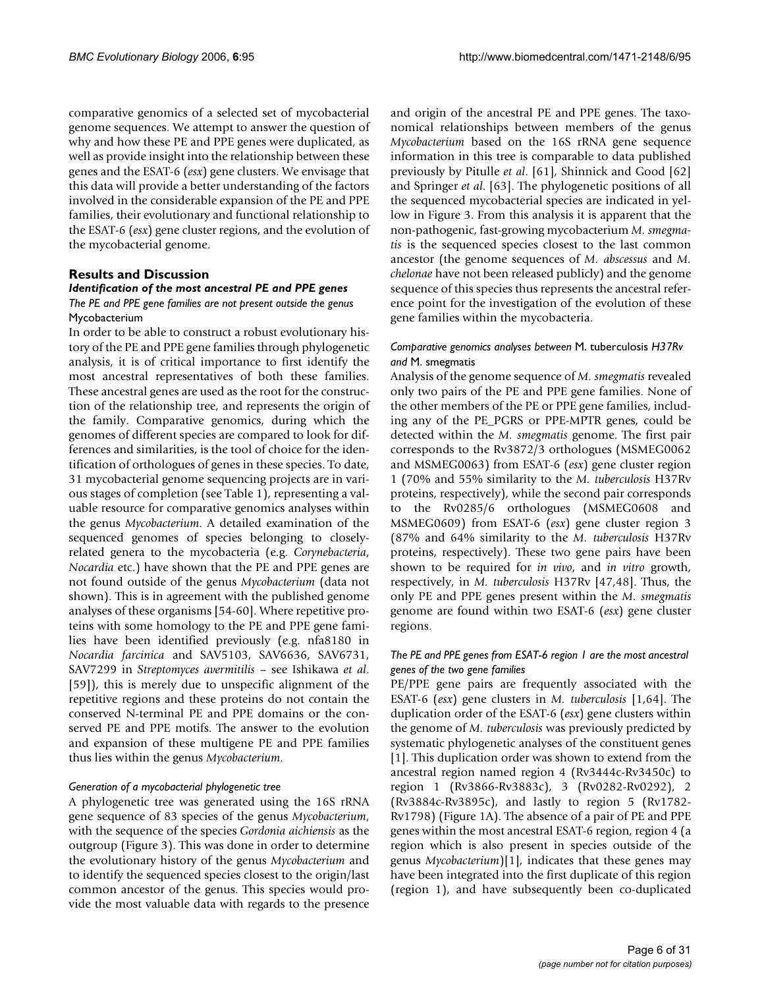comparative genomics of a selected set of mycobacterial genome sequences. We attempt to answer the question of why and how these PE and PPE genes were duplicated, as well as provide insight into the relationship between these genes and the ESAT-6 (*esx*) gene clusters. We envisage that this data will provide a better understanding of the factors involved in the considerable expansion of the PE and PPE families, their evolutionary and functional relationship to the ESAT-6 (*esx*) gene cluster regions, and the evolution of the mycobacterial genome.

# **Results and Discussion**

# *Identification of the most ancestral PE and PPE genes*

*The PE and PPE gene families are not present outside the genus*  Mycobacterium In order to be able to construct a robust evolutionary history of the PE and PPE gene families through phylogenetic analysis, it is of critical importance to first identify the most ancestral representatives of both these families. These ancestral genes are used as the root for the construction of the relationship tree, and represents the origin of the family. Comparative genomics, during which the genomes of different species are compared to look for differences and similarities, is the tool of choice for the identification of orthologues of genes in these species. To date, 31 mycobacterial genome sequencing projects are in various stages of completion (see Table 1), representing a valuable resource for comparative genomics analyses within the genus *Mycobacterium*. A detailed examination of the sequenced genomes of species belonging to closelyrelated genera to the mycobacteria (e.g. *Corynebacteria*, *Nocardia* etc.) have shown that the PE and PPE genes are not found outside of the genus *Mycobacterium* (data not shown). This is in agreement with the published genome analyses of these organisms [54-60]. Where repetitive proteins with some homology to the PE and PPE gene families have been identified previously (e.g. nfa8180 in *Nocardia farcinica* and SAV5103, SAV6636, SAV6731, SAV7299 in *Streptomyces avermitilis* – see Ishikawa *et al*. [59]), this is merely due to unspecific alignment of the repetitive regions and these proteins do not contain the conserved N-terminal PE and PPE domains or the conserved PE and PPE motifs. The answer to the evolution and expansion of these multigene PE and PPE families thus lies within the genus *Mycobacterium*.

#### *Generation of a mycobacterial phylogenetic tree*

A phylogenetic tree was generated using the 16S rRNA gene sequence of 83 species of the genus *Mycobacterium*, with the sequence of the species *Gordonia aichiensis* as the outgroup (Figure 3). This was done in order to determine the evolutionary history of the genus *Mycobacterium* and to identify the sequenced species closest to the origin/last common ancestor of the genus. This species would provide the most valuable data with regards to the presence and origin of the ancestral PE and PPE genes. The taxonomical relationships between members of the genus *Mycobacterium* based on the 16S rRNA gene sequence information in this tree is comparable to data published previously by Pitulle *et al*. [61], Shinnick and Good [62] and Springer *et al*. [63]. The phylogenetic positions of all the sequenced mycobacterial species are indicated in yellow in Figure 3. From this analysis it is apparent that the non-pathogenic, fast-growing mycobacterium *M. smegmatis* is the sequenced species closest to the last common ancestor (the genome sequences of *M. abscessus* and *M. chelonae* have not been released publicly) and the genome sequence of this species thus represents the ancestral reference point for the investigation of the evolution of these gene families within the mycobacteria.

#### *Comparative genomics analyses between* M. tuberculosis *H37Rv and* M. smegmatis

Analysis of the genome sequence of *M. smegmatis* revealed only two pairs of the PE and PPE gene families. None of the other members of the PE or PPE gene families, including any of the PE\_PGRS or PPE-MPTR genes, could be detected within the *M. smegmatis* genome. The first pair corresponds to the Rv3872/3 orthologues (MSMEG0062 and MSMEG0063) from ESAT-6 (*esx*) gene cluster region 1 (70% and 55% similarity to the *M. tuberculosis* H37Rv proteins, respectively), while the second pair corresponds to the Rv0285/6 orthologues (MSMEG0608 and MSMEG0609) from ESAT-6 (*esx*) gene cluster region 3 (87% and 64% similarity to the *M. tuberculosis* H37Rv proteins, respectively). These two gene pairs have been shown to be required for *in vivo*, and *in vitro* growth, respectively, in *M. tuberculosis* H37Rv [47,48]. Thus, the only PE and PPE genes present within the *M. smegmatis* genome are found within two ESAT-6 (*esx*) gene cluster regions.

#### *The PE and PPE genes from ESAT-6 region 1 are the most ancestral genes of the two gene families*

PE/PPE gene pairs are frequently associated with the ESAT-6 (*esx*) gene clusters in *M. tuberculosis* [1,64]. The duplication order of the ESAT-6 (*esx*) gene clusters within the genome of *M. tuberculosis* was previously predicted by systematic phylogenetic analyses of the constituent genes [1]. This duplication order was shown to extend from the ancestral region named region 4 (Rv3444c-Rv3450c) to region 1 (Rv3866-Rv3883c), 3 (Rv0282-Rv0292), 2 (Rv3884c-Rv3895c), and lastly to region 5 (Rv1782- Rv1798) (Figure 1A). The absence of a pair of PE and PPE genes within the most ancestral ESAT-6 region, region 4 (a region which is also present in species outside of the genus *Mycobacterium*)[1], indicates that these genes may have been integrated into the first duplicate of this region (region 1), and have subsequently been co-duplicated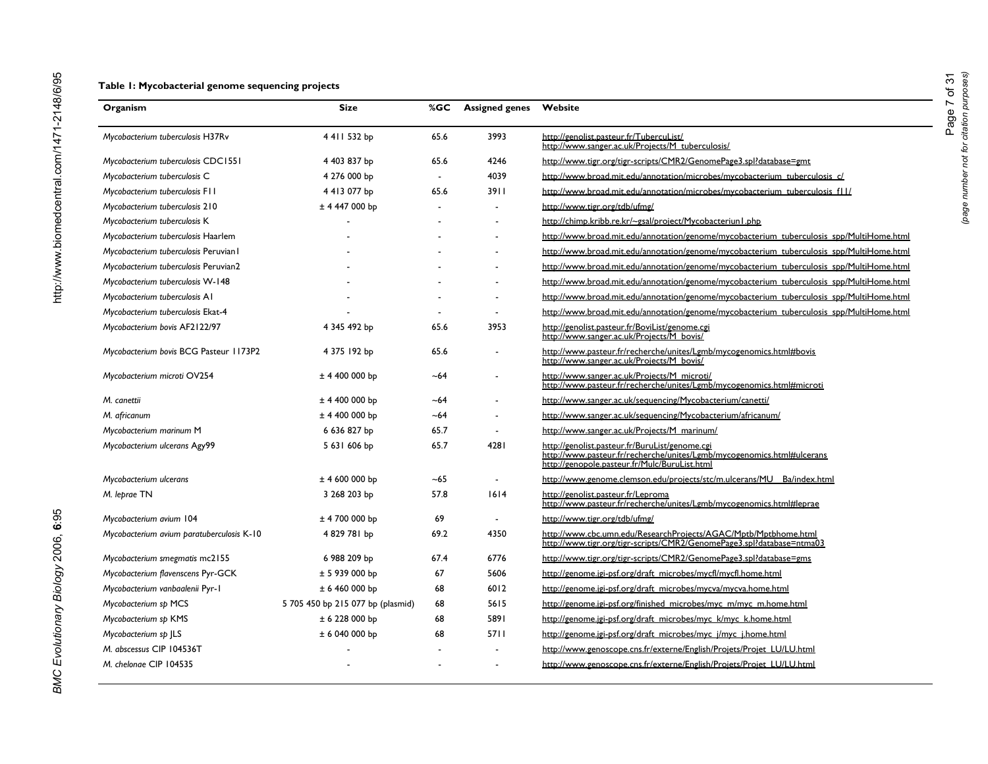#### **Table 1: Mycobacterial genome sequencing projects**

| Organism                                  | <b>Size</b>                       | %GC                      | <b>Assigned genes</b>    | Website                                                                                                                                                                   |
|-------------------------------------------|-----------------------------------|--------------------------|--------------------------|---------------------------------------------------------------------------------------------------------------------------------------------------------------------------|
| Mycobacterium tuberculosis H37Rv          | 4 4 I I 532 bp                    | 65.6                     | 3993                     | http://genolist.pasteur.fr/TubercuList/<br>http://www.sanger.ac.uk/Projects/M_tuberculosis/                                                                               |
| Mycobacterium tuberculosis CDC1551        | 4 403 837 bp                      | 65.6                     | 4246                     | http://www.tigr.org/tigr-scripts/CMR2/GenomePage3.spl?database=gmt                                                                                                        |
| Mycobacterium tuberculosis C              | 4 276 000 bp                      | $\sim$                   | 4039                     | http://www.broad.mit.edu/annotation/microbes/mycobacterium_tuberculosis_c/                                                                                                |
| Mycobacterium tuberculosis F11            | 4 413 077 bp                      | 65.6                     | 3911                     | http://www.broad.mit.edu/annotation/microbes/mycobacterium_tuberculosis_f11/                                                                                              |
| Mycobacterium tuberculosis 210            | ± 4 447 000 bp                    |                          | $\overline{\phantom{a}}$ | http://www.tigr.org/tdb/ufmg/                                                                                                                                             |
| Mycobacterium tuberculosis K              |                                   |                          |                          | http://chimp.kribb.re.kr/~gsal/project/Mycobacteriun1.php                                                                                                                 |
| Mycobacterium tuberculosis Haarlem        |                                   |                          |                          | http://www.broad.mit.edu/annotation/genome/mycobacterium_tuberculosis_spp/MultiHome.html                                                                                  |
| Mycobacterium tuberculosis Peruvian I     |                                   |                          | $\overline{\phantom{a}}$ | http://www.broad.mit.edu/annotation/genome/mycobacterium_tuberculosis_spp/MultiHome.html                                                                                  |
| Mycobacterium tuberculosis Peruvian2      |                                   |                          | $\overline{\phantom{a}}$ | http://www.broad.mit.edu/annotation/genome/mycobacterium_tuberculosis_spp/MultiHome.html                                                                                  |
| Mycobacterium tuberculosis W-148          |                                   |                          | $\overline{a}$           | http://www.broad.mit.edu/annotation/genome/mycobacterium_tuberculosis_spp/MultiHome.html                                                                                  |
| Mycobacterium tuberculosis AI             |                                   |                          | $\overline{\phantom{a}}$ | http://www.broad.mit.edu/annotation/genome/mycobacterium_tuberculosis_spp/MultiHome.html                                                                                  |
| Mycobacterium tuberculosis Ekat-4         |                                   | $\overline{\phantom{a}}$ | $\blacksquare$           | http://www.broad.mit.edu/annotation/genome/mycobacterium_tuberculosis_spp/MultiHome.html                                                                                  |
| Mycobacterium bovis AF2122/97             | 4 345 492 bp                      | 65.6                     | 3953                     | http://genolist.pasteur.fr/BoviList/genome.cgi<br>http://www.sanger.ac.uk/Projects/M bovis/                                                                               |
| Mycobacterium bovis BCG Pasteur 1173P2    | 4 375 192 bp                      | 65.6                     | $\overline{\phantom{a}}$ | http://www.pasteur.fr/recherche/unites/Lgmb/mycogenomics.html#bovis<br>http://www.sanger.ac.uk/Projects/M_bovis/                                                          |
| Mycobacterium microti OV254               | ± 4 400 000 bp                    | $-64$                    | $\overline{\phantom{a}}$ | http://www.sanger.ac.uk/Projects/M_microti/<br>http://www.pasteur.fr/recherche/unites/Lgmb/mycogenomics.html#microti                                                      |
| M. canettii                               | $±$ 4 400 000 bp                  | $~1$ –64                 |                          | http://www.sanger.ac.uk/sequencing/Mycobacterium/canetti/                                                                                                                 |
| M. africanum                              | $±$ 4 400 000 bp                  | ~64                      |                          | http://www.sanger.ac.uk/sequencing/Mycobacterium/africanum/                                                                                                               |
| Mycobacterium marinum M                   | 6 636 827 bp                      | 65.7                     | $\overline{a}$           | http://www.sanger.ac.uk/Projects/M_marinum/                                                                                                                               |
| Mycobacterium ulcerans Agy99              | 5 631 606 bp                      | 65.7                     | 4281                     | http://genolist.pasteur.fr/BuruList/genome.cgi<br>http://www.pasteur.fr/recherche/unites/Lgmb/mycogenomics.html#ulcerans<br>http://genopole.pasteur.fr/Mulc/BuruList.html |
| Mycobacterium ulcerans                    | ± 4 600 000 bp                    | ~5                       | $\overline{\phantom{a}}$ | http://www.genome.clemson.edu/projects/stc/m.ulcerans/MU Ba/index.html                                                                                                    |
| M. leprae TN                              | 3 268 203 bp                      | 57.8                     | 1614                     | http://genolist.pasteur.fr/Leproma<br>http://www.pasteur.fr/recherche/unites/Lgmb/mycogenomics.html#leprae                                                                |
| Mycobacterium avium 104                   | $±$ 4 700 000 bp                  | 69                       | $\blacksquare$           | http://www.tigr.org/tdb/ufmg/                                                                                                                                             |
| Mycobacterium avium paratuberculosis K-10 | 4829781bp                         | 69.2                     | 4350                     | http://www.cbc.umn.edu/ResearchProjects/AGAC/Mptb/Mptbhome.html<br>http://www.tigr.org/tigr-scripts/CMR2/GenomePage3.spl?database=ntma03                                  |
| Mycobacterium smegmatis mc2155            | 6 988 209 bp                      | 67.4                     | 6776                     | http://www.tigr.org/tigr-scripts/CMR2/GenomePage3.spl?database=gms                                                                                                        |
| Mycobacterium flavenscens Pyr-GCK         | ± 5939000 bp                      | 67                       | 5606                     | http://genome.jgi-psf.org/draft_microbes/mycfl/mycfl.home.html                                                                                                            |
| Mycobacterium vanbaalenii Pyr-1           | ± 6460000 bp                      | 68                       | 6012                     | http://genome.jgi-psf.org/draft_microbes/mycva/mycva.home.html                                                                                                            |
| Mycobacterium sp MCS                      | 5 705 450 bp 215 077 bp (plasmid) | 68                       | 5615                     | http://genome.jgi-psf.org/finished microbes/myc m/myc m.home.html                                                                                                         |
| Mycobacterium sp KMS                      | $± 6$ 228 000 bp                  | 68                       | 5891                     | http://genome.igi-psf.org/draft_microbes/myc_k/myc_k.home.html                                                                                                            |
| Mycobacterium sp JLS                      | ± 6040000 bp                      | 68                       | 57 I I                   | http://genome.jgi-psf.org/draft_microbes/myc_j/myc_j.home.html                                                                                                            |
| M. abscessus CIP 104536T                  |                                   |                          |                          | http://www.genoscope.cns.fr/externe/English/Projets/Projet_LU/LU.html                                                                                                     |
| M. chelonge CIP 104535                    |                                   |                          |                          | http://www.genoscope.cns.fr/externe/English/Projets/Projet LU/LU.html                                                                                                     |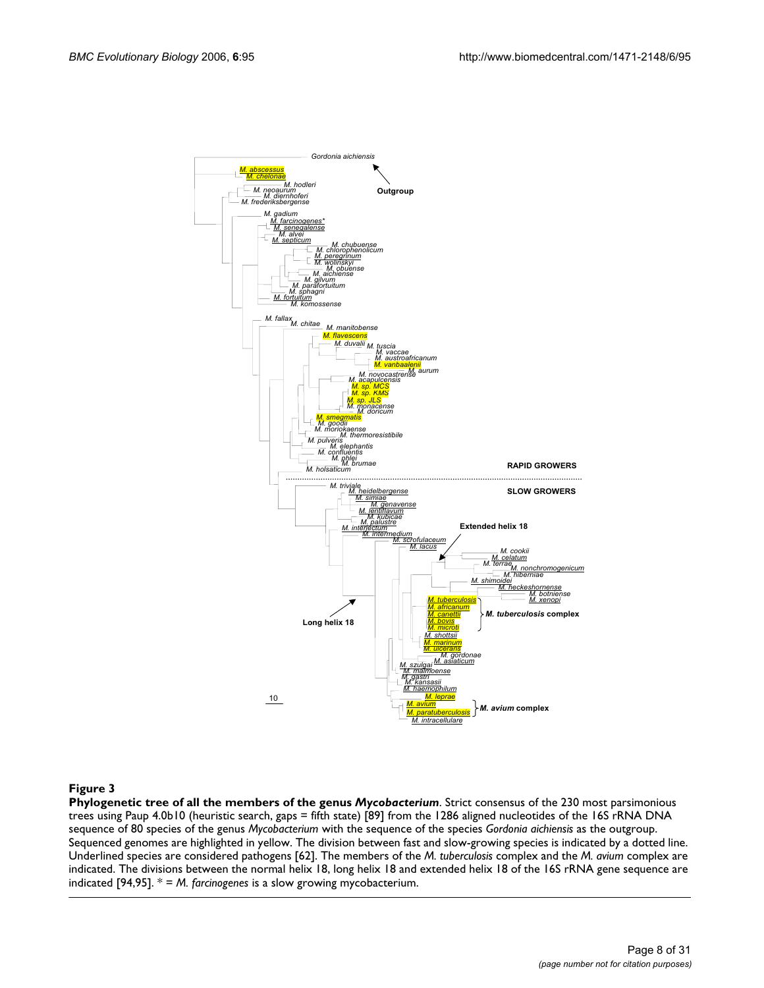

#### **Figure 3**

**Phylogenetic tree of all the members of the genus** *Mycobacterium*. Strict consensus of the 230 most parsimonious trees using Paup 4.0b10 (heuristic search, gaps = fifth state) [89] from the 1286 aligned nucleotides of the 16S rRNA DNA sequence of 80 species of the genus *Mycobacterium* with the sequence of the species *Gordonia aichiensis* as the outgroup. Sequenced genomes are highlighted in yellow. The division between fast and slow-growing species is indicated by a dotted line. Underlined species are considered pathogens [62]. The members of the *M. tuberculosis* complex and the *M. avium* complex are indicated. The divisions between the normal helix 18, long helix 18 and extended helix 18 of the 16S rRNA gene sequence are indicated [94,95]. \* = *M. farcinogenes* is a slow growing mycobacterium.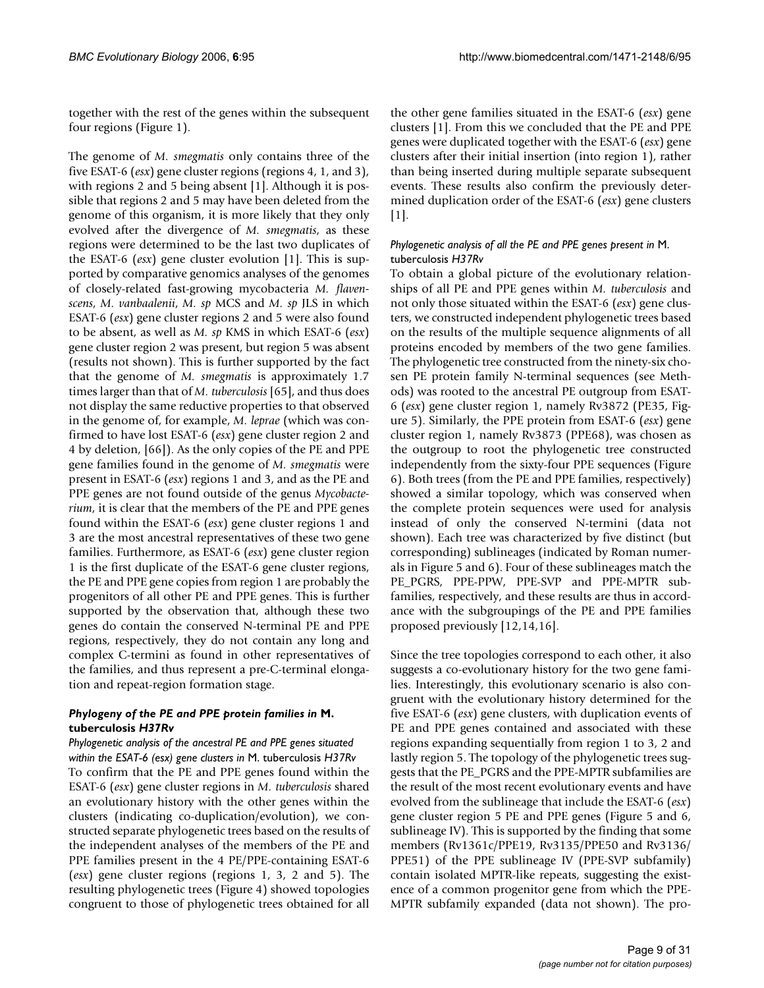together with the rest of the genes within the subsequent four regions (Figure 1).

The genome of *M. smegmatis* only contains three of the five ESAT-6 (*esx*) gene cluster regions (regions 4, 1, and 3), with regions 2 and 5 being absent [1]. Although it is possible that regions 2 and 5 may have been deleted from the genome of this organism, it is more likely that they only evolved after the divergence of *M. smegmatis*, as these regions were determined to be the last two duplicates of the ESAT-6 (*esx*) gene cluster evolution [1]. This is supported by comparative genomics analyses of the genomes of closely-related fast-growing mycobacteria *M. flavenscens*, *M. vanbaalenii*, *M. sp* MCS and *M. sp* JLS in which ESAT-6 (*esx*) gene cluster regions 2 and 5 were also found to be absent, as well as *M. sp* KMS in which ESAT-6 (*esx*) gene cluster region 2 was present, but region 5 was absent (results not shown). This is further supported by the fact that the genome of *M. smegmatis* is approximately 1.7 times larger than that of *M. tuberculosis* [65], and thus does not display the same reductive properties to that observed in the genome of, for example, *M. leprae* (which was confirmed to have lost ESAT-6 (*esx*) gene cluster region 2 and 4 by deletion, [66]). As the only copies of the PE and PPE gene families found in the genome of *M. smegmatis* were present in ESAT-6 (*esx*) regions 1 and 3, and as the PE and PPE genes are not found outside of the genus *Mycobacterium*, it is clear that the members of the PE and PPE genes found within the ESAT-6 (*esx*) gene cluster regions 1 and 3 are the most ancestral representatives of these two gene families. Furthermore, as ESAT-6 (*esx*) gene cluster region 1 is the first duplicate of the ESAT-6 gene cluster regions, the PE and PPE gene copies from region 1 are probably the progenitors of all other PE and PPE genes. This is further supported by the observation that, although these two genes do contain the conserved N-terminal PE and PPE regions, respectively, they do not contain any long and complex C-termini as found in other representatives of the families, and thus represent a pre-C-terminal elongation and repeat-region formation stage.

# *Phylogeny of the PE and PPE protein families in* **M. tuberculosis** *H37Rv*

*Phylogenetic analysis of the ancestral PE and PPE genes situated within the ESAT-6 (esx) gene clusters in* M. tuberculosis *H37Rv* To confirm that the PE and PPE genes found within the ESAT-6 (*esx*) gene cluster regions in *M. tuberculosis* shared an evolutionary history with the other genes within the clusters (indicating co-duplication/evolution), we constructed separate phylogenetic trees based on the results of the independent analyses of the members of the PE and PPE families present in the 4 PE/PPE-containing ESAT-6 (*esx*) gene cluster regions (regions 1, 3, 2 and 5). The resulting phylogenetic trees (Figure 4) showed topologies congruent to those of phylogenetic trees obtained for all

the other gene families situated in the ESAT-6 (*esx*) gene clusters [1]. From this we concluded that the PE and PPE genes were duplicated together with the ESAT-6 (*esx*) gene clusters after their initial insertion (into region 1), rather than being inserted during multiple separate subsequent events. These results also confirm the previously determined duplication order of the ESAT-6 (*esx*) gene clusters [1].

# *Phylogenetic analysis of all the PE and PPE genes present in* M. tuberculosis *H37Rv*

To obtain a global picture of the evolutionary relationships of all PE and PPE genes within *M. tuberculosis* and not only those situated within the ESAT-6 (*esx*) gene clusters, we constructed independent phylogenetic trees based on the results of the multiple sequence alignments of all proteins encoded by members of the two gene families. The phylogenetic tree constructed from the ninety-six chosen PE protein family N-terminal sequences (see Methods) was rooted to the ancestral PE outgroup from ESAT-6 (*esx*) gene cluster region 1, namely Rv3872 (PE35, Figure 5). Similarly, the PPE protein from ESAT-6 (*esx*) gene cluster region 1, namely Rv3873 (PPE68), was chosen as the outgroup to root the phylogenetic tree constructed independently from the sixty-four PPE sequences (Figure 6). Both trees (from the PE and PPE families, respectively) showed a similar topology, which was conserved when the complete protein sequences were used for analysis instead of only the conserved N-termini (data not shown). Each tree was characterized by five distinct (but corresponding) sublineages (indicated by Roman numerals in Figure 5 and 6). Four of these sublineages match the PE\_PGRS, PPE-PPW, PPE-SVP and PPE-MPTR subfamilies, respectively, and these results are thus in accordance with the subgroupings of the PE and PPE families proposed previously [12,14,16].

Since the tree topologies correspond to each other, it also suggests a co-evolutionary history for the two gene families. Interestingly, this evolutionary scenario is also congruent with the evolutionary history determined for the five ESAT-6 (*esx*) gene clusters, with duplication events of PE and PPE genes contained and associated with these regions expanding sequentially from region 1 to 3, 2 and lastly region 5. The topology of the phylogenetic trees suggests that the PE\_PGRS and the PPE-MPTR subfamilies are the result of the most recent evolutionary events and have evolved from the sublineage that include the ESAT-6 (*esx*) gene cluster region 5 PE and PPE genes (Figure 5 and 6, sublineage IV). This is supported by the finding that some members (Rv1361c/PPE19, Rv3135/PPE50 and Rv3136/ PPE51) of the PPE sublineage IV (PPE-SVP subfamily) contain isolated MPTR-like repeats, suggesting the existence of a common progenitor gene from which the PPE-MPTR subfamily expanded (data not shown). The pro-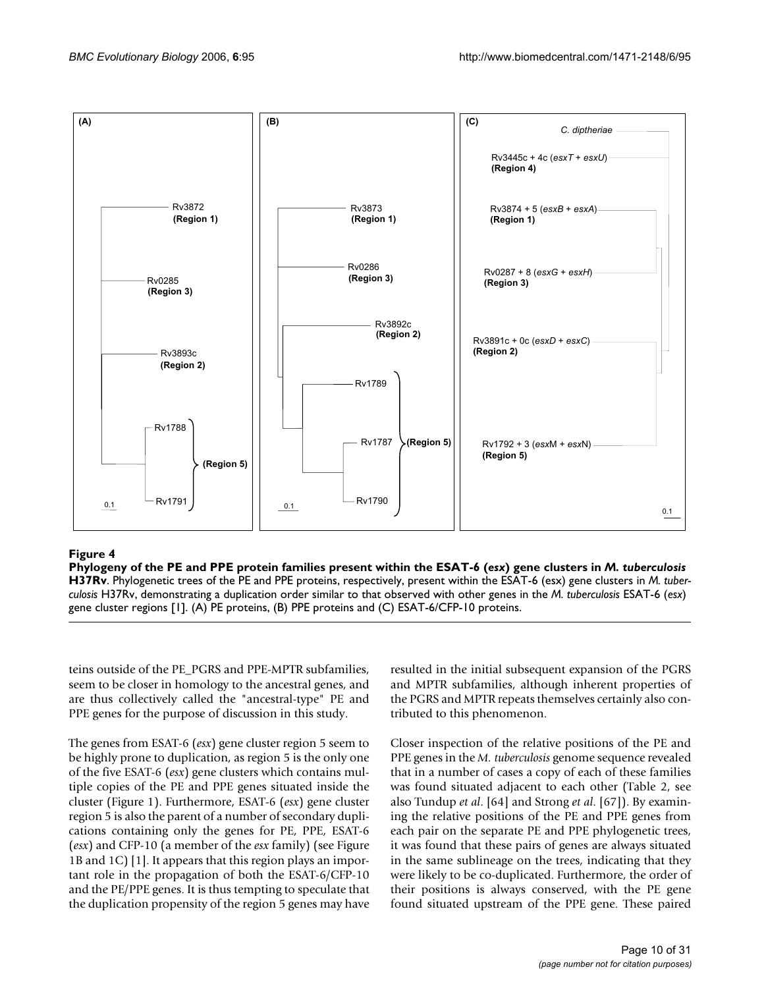

# Phylogeny of the PE and PPE protein fa **Figure 4** milies present within the ESAT-6 (*esx*) gene clusters in *M. tuberculosis* H37Rv

**Phylogeny of the PE and PPE protein families present within the ESAT-6 (***esx***) gene clusters in** *M. tuberculosis*  **H37Rv**. Phylogenetic trees of the PE and PPE proteins, respectively, present within the ESAT-6 (esx) gene clusters in *M. tuberculosis* H37Rv, demonstrating a duplication order similar to that observed with other genes in the *M. tuberculosis* ESAT-6 (*esx*) gene cluster regions [1]. (A) PE proteins, (B) PPE proteins and (C) ESAT-6/CFP-10 proteins.

teins outside of the PE\_PGRS and PPE-MPTR subfamilies, seem to be closer in homology to the ancestral genes, and are thus collectively called the "ancestral-type" PE and PPE genes for the purpose of discussion in this study.

The genes from ESAT-6 (*esx*) gene cluster region 5 seem to be highly prone to duplication, as region 5 is the only one of the five ESAT-6 (*esx*) gene clusters which contains multiple copies of the PE and PPE genes situated inside the cluster (Figure 1). Furthermore, ESAT-6 (*esx*) gene cluster region 5 is also the parent of a number of secondary duplications containing only the genes for PE, PPE, ESAT-6 (*esx*) and CFP-10 (a member of the *esx* family) (see Figure 1B and 1C) [1]. It appears that this region plays an important role in the propagation of both the ESAT-6/CFP-10 and the PE/PPE genes. It is thus tempting to speculate that the duplication propensity of the region 5 genes may have

resulted in the initial subsequent expansion of the PGRS and MPTR subfamilies, although inherent properties of the PGRS and MPTR repeats themselves certainly also contributed to this phenomenon.

Closer inspection of the relative positions of the PE and PPE genes in the *M. tuberculosis* genome sequence revealed that in a number of cases a copy of each of these families was found situated adjacent to each other (Table 2, see also Tundup *et al*. [64] and Strong *et al*. [67]). By examining the relative positions of the PE and PPE genes from each pair on the separate PE and PPE phylogenetic trees, it was found that these pairs of genes are always situated in the same sublineage on the trees, indicating that they were likely to be co-duplicated. Furthermore, the order of their positions is always conserved, with the PE gene found situated upstream of the PPE gene. These paired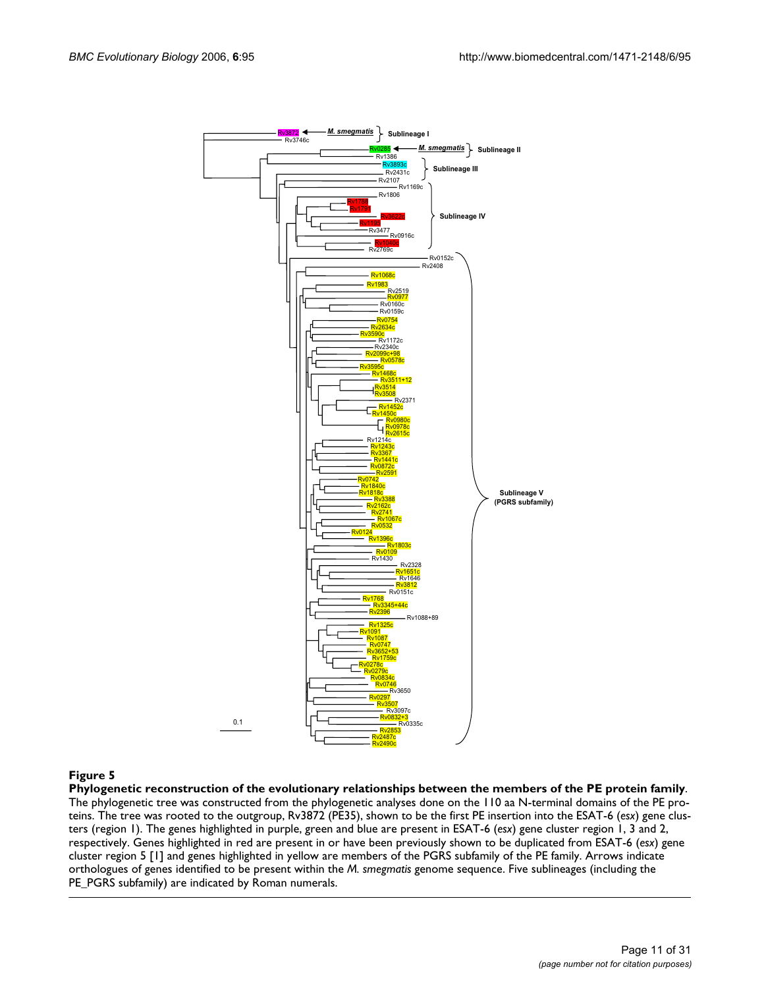

**Phylogenetic reconstruction of the evolutionary relationships between the members of the PE protein family**. The phylogenetic tree was constructed from the phylogenetic analyses done on the 110 aa N-terminal domains of the PE proteins. The tree was rooted to the outgroup, Rv3872 (PE35), shown to be the first PE insertion into the ESAT-6 (*esx*) gene clusters (region 1). The genes highlighted in purple, green and blue are present in ESAT-6 (*esx*) gene cluster region 1, 3 and 2, respectively. Genes highlighted in red are present in or have been previously shown to be duplicated from ESAT-6 (*esx*) gene cluster region 5 [1] and genes highlighted in yellow are members of the PGRS subfamily of the PE family. Arrows indicate orthologues of genes identified to be present within the *M. smegmatis* genome sequence. Five sublineages (including the PE\_PGRS subfamily) are indicated by Roman numerals.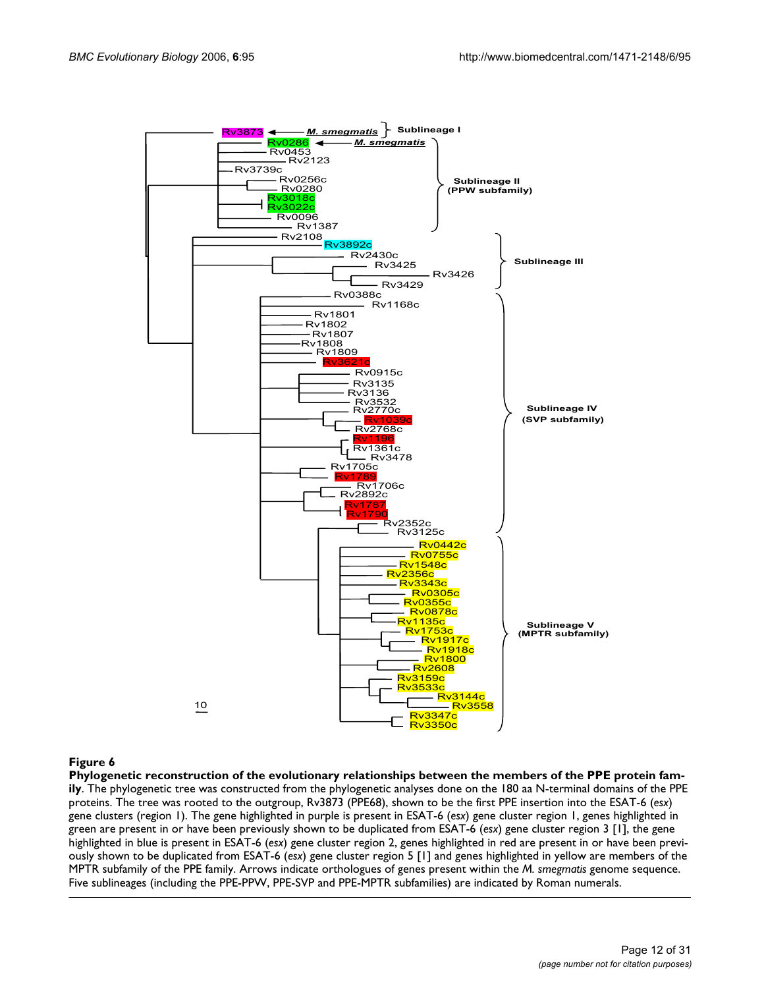

**Phylogenetic reconstruction of the evolutionary relationships between the members of the PPE protein family**. The phylogenetic tree was constructed from the phylogenetic analyses done on the 180 aa N-terminal domains of the PPE proteins. The tree was rooted to the outgroup, Rv3873 (PPE68), shown to be the first PPE insertion into the ESAT-6 (*esx*) gene clusters (region 1). The gene highlighted in purple is present in ESAT-6 (*esx*) gene cluster region 1, genes highlighted in green are present in or have been previously shown to be duplicated from ESAT-6 (*esx*) gene cluster region 3 [1], the gene highlighted in blue is present in ESAT-6 (*esx*) gene cluster region 2, genes highlighted in red are present in or have been previously shown to be duplicated from ESAT-6 (*esx*) gene cluster region 5 [1] and genes highlighted in yellow are members of the MPTR subfamily of the PPE family. Arrows indicate orthologues of genes present within the *M. smegmatis* genome sequence. Five sublineages (including the PPE-PPW, PPE-SVP and PPE-MPTR subfamilies) are indicated by Roman numerals.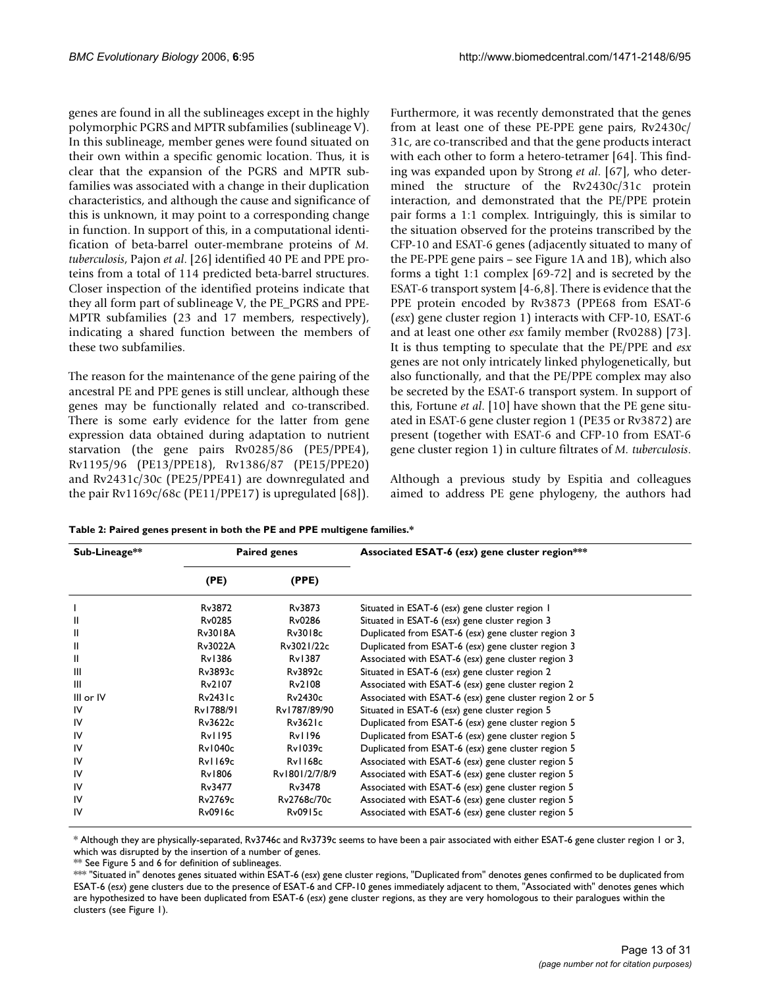genes are found in all the sublineages except in the highly polymorphic PGRS and MPTR subfamilies (sublineage V). In this sublineage, member genes were found situated on their own within a specific genomic location. Thus, it is clear that the expansion of the PGRS and MPTR subfamilies was associated with a change in their duplication characteristics, and although the cause and significance of this is unknown, it may point to a corresponding change in function. In support of this, in a computational identification of beta-barrel outer-membrane proteins of *M. tuberculosis*, Pajon *et al*. [26] identified 40 PE and PPE proteins from a total of 114 predicted beta-barrel structures. Closer inspection of the identified proteins indicate that they all form part of sublineage V, the PE\_PGRS and PPE-MPTR subfamilies (23 and 17 members, respectively), indicating a shared function between the members of these two subfamilies.

The reason for the maintenance of the gene pairing of the ancestral PE and PPE genes is still unclear, although these genes may be functionally related and co-transcribed. There is some early evidence for the latter from gene expression data obtained during adaptation to nutrient starvation (the gene pairs Rv0285/86 (PE5/PPE4), Rv1195/96 (PE13/PPE18), Rv1386/87 (PE15/PPE20) and Rv2431c/30c (PE25/PPE41) are downregulated and the pair Rv1169c/68c (PE11/PPE17) is upregulated [68]).

Furthermore, it was recently demonstrated that the genes from at least one of these PE-PPE gene pairs, Rv2430c/ 31c, are co-transcribed and that the gene products interact with each other to form a hetero-tetramer [64]. This finding was expanded upon by Strong *et al*. [67], who determined the structure of the Rv2430c/31c protein interaction, and demonstrated that the PE/PPE protein pair forms a 1:1 complex. Intriguingly, this is similar to the situation observed for the proteins transcribed by the CFP-10 and ESAT-6 genes (adjacently situated to many of the PE-PPE gene pairs – see Figure 1A and 1B), which also forms a tight 1:1 complex [69-72] and is secreted by the ESAT-6 transport system [4-6,8]. There is evidence that the PPE protein encoded by Rv3873 (PPE68 from ESAT-6 (*esx*) gene cluster region 1) interacts with CFP-10, ESAT-6 and at least one other *esx* family member (Rv0288) [73]. It is thus tempting to speculate that the PE/PPE and *esx* genes are not only intricately linked phylogenetically, but also functionally, and that the PE/PPE complex may also be secreted by the ESAT-6 transport system. In support of this, Fortune *et al*. [10] have shown that the PE gene situated in ESAT-6 gene cluster region 1 (PE35 or Rv3872) are present (together with ESAT-6 and CFP-10 from ESAT-6 gene cluster region 1) in culture filtrates of *M. tuberculosis*.

Although a previous study by Espitia and colleagues aimed to address PE gene phylogeny, the authors had

| Sub-Lineage** | <b>Paired genes</b> |                | Associated ESAT-6 (esx) gene cluster region***          |
|---------------|---------------------|----------------|---------------------------------------------------------|
|               | (PE)                | (PPE)          |                                                         |
|               | Rv3872              | Rv3873         | Situated in ESAT-6 (esx) gene cluster region 1          |
| Ш             | R <sub>v</sub> 0285 | Rv0286         | Situated in ESAT-6 (esx) gene cluster region 3          |
| Ш             | Rv3018A             | Rv3018c        | Duplicated from ESAT-6 (esx) gene cluster region 3      |
| Ш             | Rv3022A             | Rv3021/22c     | Duplicated from ESAT-6 (esx) gene cluster region 3      |
| Ш             | Rv1386              | <b>Rv1387</b>  | Associated with ESAT-6 (esx) gene cluster region 3      |
| Ш             | Rv3893c             | Rv3892c        | Situated in ESAT-6 (esx) gene cluster region 2          |
| III           | Rv2107              | Rv2108         | Associated with ESAT-6 (esx) gene cluster region 2      |
| III or IV     | Rv2431c             | Rv2430c        | Associated with ESAT-6 (esx) gene cluster region 2 or 5 |
| IV            | Rv1788/91           | Rv1787/89/90   | Situated in ESAT-6 (esx) gene cluster region 5          |
| IV            | Rv3622c             | Rv3621c        | Duplicated from ESAT-6 (esx) gene cluster region 5      |
| IV            | <b>Rv1195</b>       | <b>Rv1196</b>  | Duplicated from ESAT-6 (esx) gene cluster region 5      |
| IV            | <b>Rv1040c</b>      | Rv1039c        | Duplicated from ESAT-6 (esx) gene cluster region 5      |
| IV            | <b>Rv1169c</b>      | <b>Rv1168c</b> | Associated with ESAT-6 (esx) gene cluster region 5      |
| IV            | <b>Rv1806</b>       | Rv1801/2/7/8/9 | Associated with ESAT-6 (esx) gene cluster region 5      |
| IV            | Rv3477              | Rv3478         | Associated with ESAT-6 (esx) gene cluster region 5      |
| IV            | Rv2769c             | Rv2768c/70c    | Associated with ESAT-6 (esx) gene cluster region 5      |
| IV            | Rv0916c             | Rv0915c        | Associated with ESAT-6 (esx) gene cluster region 5      |

\* Although they are physically-separated, Rv3746c and Rv3739c seems to have been a pair associated with either ESAT-6 gene cluster region 1 or 3, which was disrupted by the insertion of a number of genes.

\*\* See Figure 5 and 6 for definition of sublineages.

\*\*\* "Situated in" denotes genes situated within ESAT-6 (*esx*) gene cluster regions, "Duplicated from" denotes genes confirmed to be duplicated from ESAT-6 (*esx*) gene clusters due to the presence of ESAT-6 and CFP-10 genes immediately adjacent to them, "Associated with" denotes genes which are hypothesized to have been duplicated from ESAT-6 (*esx*) gene cluster regions, as they are very homologous to their paralogues within the clusters (see Figure 1).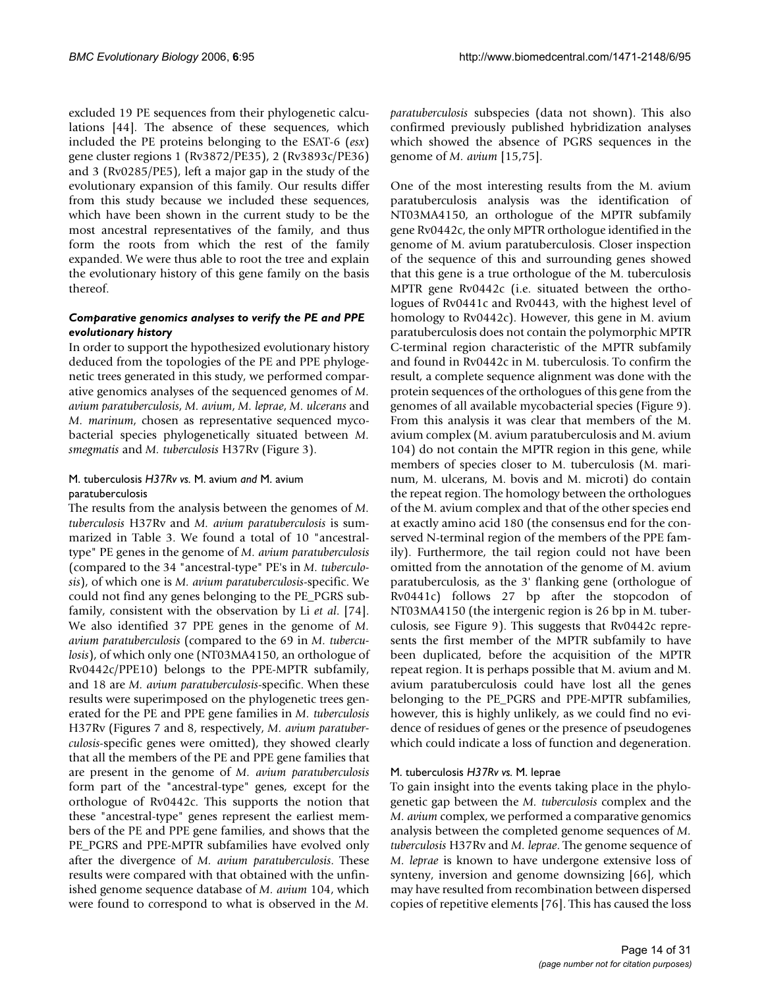excluded 19 PE sequences from their phylogenetic calculations [44]. The absence of these sequences, which included the PE proteins belonging to the ESAT-6 (*esx*) gene cluster regions 1 (Rv3872/PE35), 2 (Rv3893c/PE36) and 3 (Rv0285/PE5), left a major gap in the study of the evolutionary expansion of this family. Our results differ from this study because we included these sequences, which have been shown in the current study to be the most ancestral representatives of the family, and thus form the roots from which the rest of the family expanded. We were thus able to root the tree and explain the evolutionary history of this gene family on the basis thereof.

# *Comparative genomics analyses to verify the PE and PPE evolutionary history*

In order to support the hypothesized evolutionary history deduced from the topologies of the PE and PPE phylogenetic trees generated in this study, we performed comparative genomics analyses of the sequenced genomes of *M. avium paratuberculosis*, *M. avium*, *M. leprae*, *M. ulcerans* and *M. marinum*, chosen as representative sequenced mycobacterial species phylogenetically situated between *M. smegmatis* and *M. tuberculosis* H37Rv (Figure 3).

#### M. tuberculosis *H37Rv vs.* M. avium *and* M. avium paratuberculosis

The results from the analysis between the genomes of *M. tuberculosis* H37Rv and *M. avium paratuberculosis* is summarized in Table 3. We found a total of 10 "ancestraltype" PE genes in the genome of *M. avium paratuberculosis* (compared to the 34 "ancestral-type" PE's in *M. tuberculosis*), of which one is *M. avium paratuberculosis*-specific. We could not find any genes belonging to the PE\_PGRS subfamily, consistent with the observation by Li *et al*. [74]. We also identified 37 PPE genes in the genome of *M. avium paratuberculosis* (compared to the 69 in *M. tuberculosis*), of which only one (NT03MA4150, an orthologue of Rv0442c/PPE10) belongs to the PPE-MPTR subfamily, and 18 are *M. avium paratuberculosis*-specific. When these results were superimposed on the phylogenetic trees generated for the PE and PPE gene families in *M. tuberculosis* H37Rv (Figures 7 and 8, respectively, *M. avium paratuberculosis*-specific genes were omitted), they showed clearly that all the members of the PE and PPE gene families that are present in the genome of *M. avium paratuberculosis* form part of the "ancestral-type" genes, except for the orthologue of Rv0442c. This supports the notion that these "ancestral-type" genes represent the earliest members of the PE and PPE gene families, and shows that the PE\_PGRS and PPE-MPTR subfamilies have evolved only after the divergence of *M. avium paratuberculosis*. These results were compared with that obtained with the unfinished genome sequence database of *M. avium* 104, which were found to correspond to what is observed in the *M.*

*paratuberculosis* subspecies (data not shown). This also confirmed previously published hybridization analyses which showed the absence of PGRS sequences in the genome of *M. avium* [15,75].

One of the most interesting results from the M. avium paratuberculosis analysis was the identification of NT03MA4150, an orthologue of the MPTR subfamily gene Rv0442c, the only MPTR orthologue identified in the genome of M. avium paratuberculosis. Closer inspection of the sequence of this and surrounding genes showed that this gene is a true orthologue of the M. tuberculosis MPTR gene Rv0442c (i.e. situated between the orthologues of Rv0441c and Rv0443, with the highest level of homology to Rv0442c). However, this gene in M. avium paratuberculosis does not contain the polymorphic MPTR C-terminal region characteristic of the MPTR subfamily and found in Rv0442c in M. tuberculosis. To confirm the result, a complete sequence alignment was done with the protein sequences of the orthologues of this gene from the genomes of all available mycobacterial species (Figure 9). From this analysis it was clear that members of the M. avium complex (M. avium paratuberculosis and M. avium 104) do not contain the MPTR region in this gene, while members of species closer to M. tuberculosis (M. marinum, M. ulcerans, M. bovis and M. microti) do contain the repeat region. The homology between the orthologues of the M. avium complex and that of the other species end at exactly amino acid 180 (the consensus end for the conserved N-terminal region of the members of the PPE family). Furthermore, the tail region could not have been omitted from the annotation of the genome of M. avium paratuberculosis, as the 3' flanking gene (orthologue of Rv0441c) follows 27 bp after the stopcodon of NT03MA4150 (the intergenic region is 26 bp in M. tuberculosis, see Figure 9). This suggests that Rv0442c represents the first member of the MPTR subfamily to have been duplicated, before the acquisition of the MPTR repeat region. It is perhaps possible that M. avium and M. avium paratuberculosis could have lost all the genes belonging to the PE\_PGRS and PPE-MPTR subfamilies, however, this is highly unlikely, as we could find no evidence of residues of genes or the presence of pseudogenes which could indicate a loss of function and degeneration.

# M. tuberculosis *H37Rv vs.* M. leprae

To gain insight into the events taking place in the phylogenetic gap between the *M. tuberculosis* complex and the *M. avium* complex, we performed a comparative genomics analysis between the completed genome sequences of *M. tuberculosis* H37Rv and *M. leprae*. The genome sequence of *M. leprae* is known to have undergone extensive loss of synteny, inversion and genome downsizing [66], which may have resulted from recombination between dispersed copies of repetitive elements [76]. This has caused the loss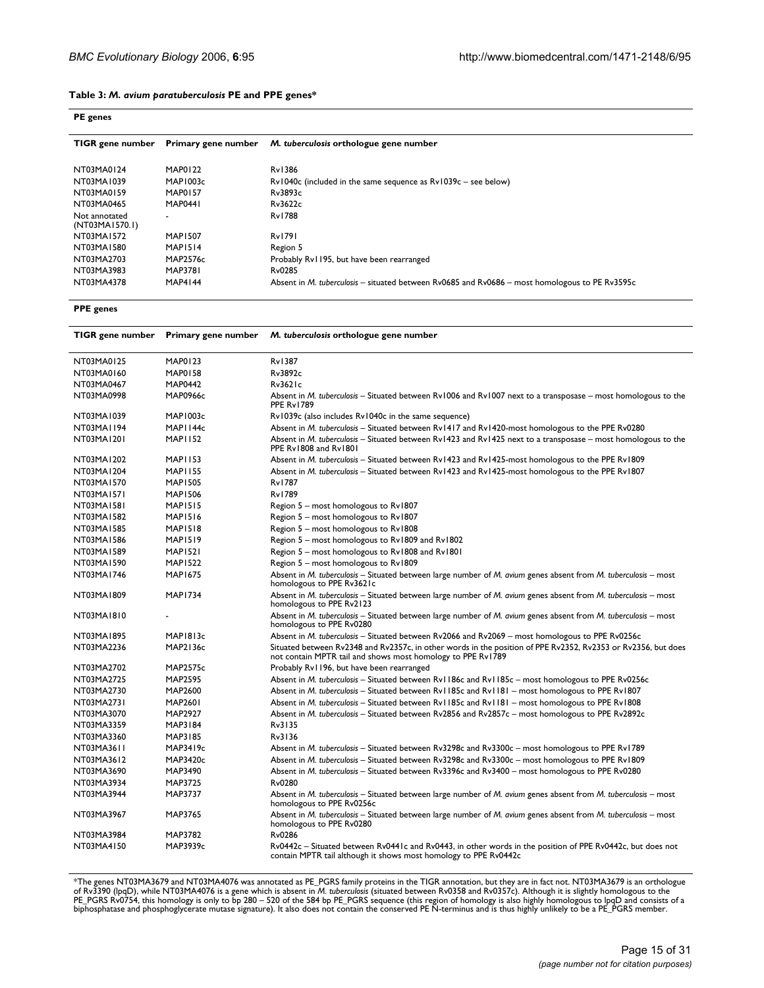#### **Table 3:** *M. avium paratuberculosis* **PE and PPE genes\***

| <b>PE</b> genes                 |                     |                                                                                                |
|---------------------------------|---------------------|------------------------------------------------------------------------------------------------|
| TIGR gene number                | Primary gene number | M. tuberculosis orthologue gene number                                                         |
| NT03MA0124                      | <b>MAP0122</b>      | <b>Rv1386</b>                                                                                  |
| NT03MA1039                      | MAP1003c            | $Rv1040c$ (included in the same sequence as $Rv1039c$ – see below)                             |
| NT03MA0159                      | <b>MAP0157</b>      | Rv3893c                                                                                        |
| NT03MA0465                      | MAP0441             | Rv3622c                                                                                        |
| Not annotated<br>(NT03MA1570.1) |                     | Rv1788                                                                                         |
| NT03MA1572                      | <b>MAP1507</b>      | <b>Rv1791</b>                                                                                  |
| NT03MA1580                      | MAP <sub>1514</sub> | Region 5                                                                                       |
| NT03MA2703                      | MAP2576c            | Probably Rv1195, but have been rearranged                                                      |
| NT03MA3983                      | <b>MAP3781</b>      | R <sub>v</sub> 0285                                                                            |
| NT03MA4378                      | <b>MAP4144</b>      | Absent in M. tuberculosis – situated between Rv0685 and Rv0686 – most homologous to PE Rv3595c |

#### **PPE genes**

| TIGR gene number | Primary gene number | M. tuberculosis orthologue gene number                                                                                                                                         |
|------------------|---------------------|--------------------------------------------------------------------------------------------------------------------------------------------------------------------------------|
| NT03MA0125       | MAP0123             | <b>Rv1387</b>                                                                                                                                                                  |
| NT03MA0160       | MAP0158             | Rv3892c                                                                                                                                                                        |
| NT03MA0467       | MAP0442             | Rv3621c                                                                                                                                                                        |
| NT03MA0998       | MAP0966c            | Absent in M. tuberculosis - Situated between Ry1006 and Ry1007 next to a transposase - most homologous to the<br>PPE Rv1789                                                    |
| NT03MA1039       | MAP1003c            | Rv1039c (also includes Rv1040c in the same sequence)                                                                                                                           |
| NT03MA1194       | MAPI 144c           | Absent in M. tuberculosis - Situated between Rv1417 and Rv1420-most homologous to the PPE Rv0280                                                                               |
| NT03MA1201       | <b>MAP1152</b>      | Absent in M. tuberculosis – Situated between Rv1423 and Rv1425 next to a transposase – most homologous to the<br>PPE Ry1808 and Ry1801                                         |
| NT03MA1202       | <b>MAPI153</b>      | Absent in M. tuberculosis – Situated between Rv1423 and Rv1425-most homologous to the PPE Rv1809                                                                               |
| NT03MA1204       | <b>MAPI155</b>      | Absent in M. tuberculosis – Situated between Rv1423 and Rv1425-most homologous to the PPE Rv1807                                                                               |
| NT03MA1570       | <b>MAP1505</b>      | <b>Rv1787</b>                                                                                                                                                                  |
| NT03MA1571       | <b>MAP1506</b>      | <b>Rv1789</b>                                                                                                                                                                  |
| NT03MA1581       | MAP <sub>1515</sub> | Region 5 – most homologous to Rv1807                                                                                                                                           |
| NT03MA1582       | MAP1516             | Region 5 - most homologous to Rv1807                                                                                                                                           |
| NT03MA1585       | <b>MAP1518</b>      | Region 5 - most homologous to Rv1808                                                                                                                                           |
| NT03MA1586       | MAP1519             | Region 5 - most homologous to Rv1809 and Rv1802                                                                                                                                |
| NT03MA1589       | MAP1521             | Region 5 – most homologous to Rv1808 and Rv1801                                                                                                                                |
| NT03MA1590       | <b>MAP1522</b>      | Region 5 - most homologous to Rv1809                                                                                                                                           |
| NT03MA1746       | <b>MAP1675</b>      | Absent in M. tuberculosis – Situated between large number of M. avium genes absent from M. tuberculosis – most<br>homologous to PPE Rv3621c                                    |
| NT03MA1809       | <b>MAP1734</b>      | Absent in M. tuberculosis – Situated between large number of M. avium genes absent from M. tuberculosis – most<br>homologous to PPE Rv2123                                     |
| NT03MA1810       |                     | Absent in M. tuberculosis – Situated between large number of M. avium genes absent from M. tuberculosis – most<br>homologous to PPE Rv0280                                     |
| NT03MA1895       | MAP1813c            | Absent in M. tuberculosis – Situated between Rv2066 and Rv2069 – most homologous to PPE Rv0256c                                                                                |
| NT03MA2236       | MAP2136c            | Situated between Rv2348 and Rv2357c, in other words in the position of PPE Rv2352, Rv2353 or Rv2356, but does<br>not contain MPTR tail and shows most homology to PPE Rv1789   |
| NT03MA2702       | <b>MAP2575c</b>     | Probably Rv1196, but have been rearranged                                                                                                                                      |
| NT03MA2725       | <b>MAP2595</b>      | Absent in M. tuberculosis – Situated between Rv1186c and Rv1185c – most homologous to PPE Rv0256c                                                                              |
| NT03MA2730       | MAP2600             | Absent in M. tuberculosis - Situated between Rv1185c and Rv1181 - most homologous to PPE Rv1807                                                                                |
| NT03MA2731       | <b>MAP2601</b>      | Absent in M. tuberculosis - Situated between Rv1185c and Rv1181 - most homologous to PPE Rv1808                                                                                |
| NT03MA3070       | <b>MAP2927</b>      | Absent in M. tuberculosis – Situated between Rv2856 and Rv2857c – most homologous to PPE Rv2892c                                                                               |
| NT03MA3359       | MAP3184             | Rv3135                                                                                                                                                                         |
| NT03MA3360       | MAP3185             | Rv3136                                                                                                                                                                         |
| NT03MA3611       | MAP3419c            | Absent in M. tuberculosis – Situated between Rv3298c and Rv3300c – most homologous to PPE Rv1789                                                                               |
| NT03MA3612       | MAP3420c            | Absent in M. tuberculosis - Situated between Rv3298c and Rv3300c - most homologous to PPE Rv1809                                                                               |
| NT03MA3690       | MAP3490             | Absent in M. tuberculosis - Situated between Rv3396c and Rv3400 - most homologous to PPE Rv0280                                                                                |
| NT03MA3934       | <b>MAP3725</b>      | Rv0280                                                                                                                                                                         |
| NT03MA3944       | <b>MAP3737</b>      | Absent in M. tuberculosis – Situated between large number of M. avium genes absent from M. tuberculosis – most<br>homologous to PPE Rv0256c                                    |
| NT03MA3967       | MAP3765             | Absent in M. tuberculosis – Situated between large number of M. avium genes absent from M. tuberculosis – most<br>homologous to PPE Rv0280                                     |
| NT03MA3984       | <b>MAP3782</b>      | Rv0286                                                                                                                                                                         |
| NT03MA4150       | MAP3939c            | Rv0442c – Situated between Rv0441c and Rv0443, in other words in the position of PPE Rv0442c, but does not<br>contain MPTR tail although it shows most homology to PPE Rv0442c |

\*The genes NT03MA3679 and NT03MA4076 was annotated as PE\_PGRS family proteins in the TIGR annotation, but they are in fact not. NT03MA3679 is an orthologue<br>of Rv3390 (lpqD), while NT03MA4076 is a gene which is absent in M.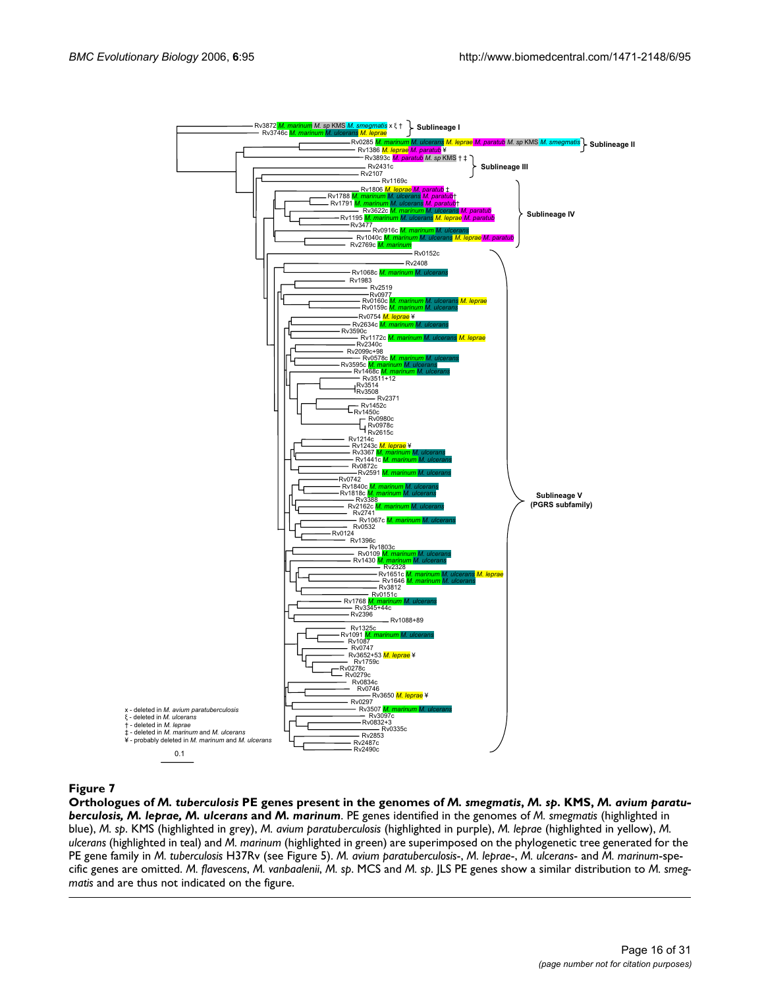

**Orthologues of** *M. tuberculosis* **PE genes present in the genomes of** *M. smegmatis***,** *M. sp***. KMS,** *M. avium paratuberculosis, M. leprae, M. ulcerans* **and** *M. marinum*. PE genes identified in the genomes of *M. smegmatis* (highlighted in blue), *M. sp*. KMS (highlighted in grey), *M. avium paratuberculosis* (highlighted in purple), *M. leprae* (highlighted in yellow), *M. ulcerans* (highlighted in teal) and *M. marinum* (highlighted in green) are superimposed on the phylogenetic tree generated for the PE gene family in *M. tuberculosis* H37Rv (see Figure 5). *M. avium paratuberculosis*-, *M. leprae*-, *M. ulcerans*- and *M. marinum*-specific genes are omitted. *M. flavescens*, *M. vanbaalenii*, *M. sp*. MCS and *M. sp*. JLS PE genes show a similar distribution to *M. smegmatis* and are thus not indicated on the figure.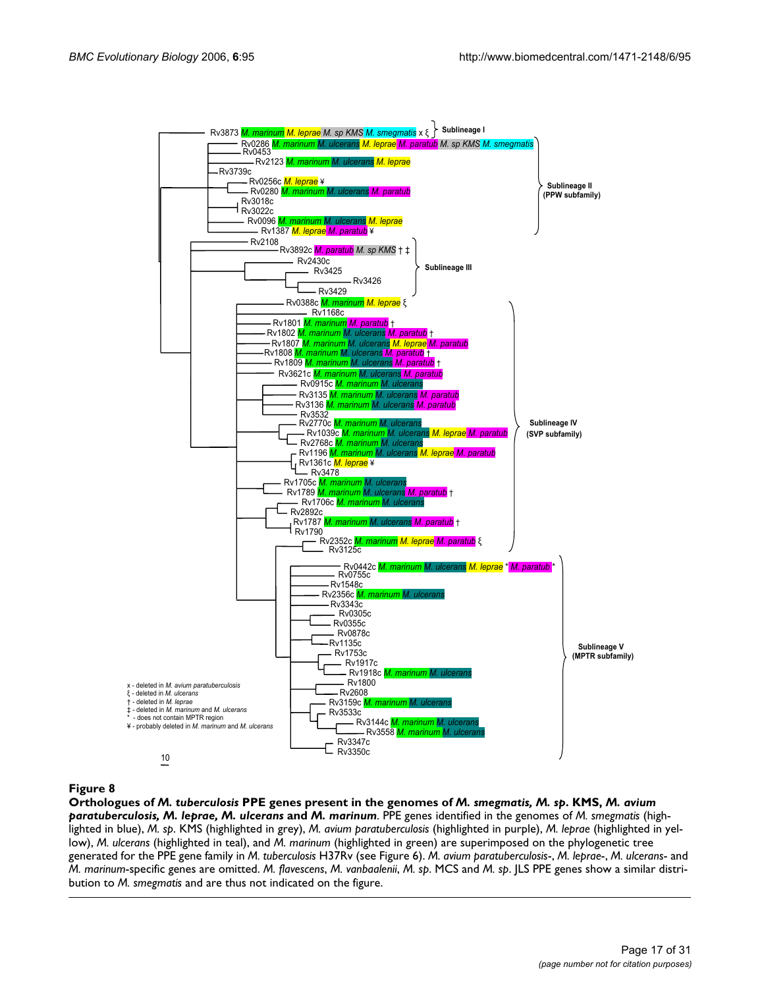

**Orthologues of** *M. tuberculosis* **PPE genes present in the genomes of** *M. smegmatis, M. sp***. KMS,** *M. avium paratuberculosis, M. leprae, M. ulcerans* **and** *M. marinum*. PPE genes identified in the genomes of *M. smegmatis* (highlighted in blue), *M. sp*. KMS (highlighted in grey), *M. avium paratuberculosis* (highlighted in purple), *M. leprae* (highlighted in yellow), *M. ulcerans* (highlighted in teal), and *M. marinum* (highlighted in green) are superimposed on the phylogenetic tree generated for the PPE gene family in *M. tuberculosis* H37Rv (see Figure 6). *M. avium paratuberculosis*-, *M. leprae*-, *M. ulcerans*- and *M. marinum*-specific genes are omitted. *M. flavescens*, *M. vanbaalenii*, *M. sp*. MCS and *M. sp*. JLS PPE genes show a similar distribution to *M. smegmatis* and are thus not indicated on the figure.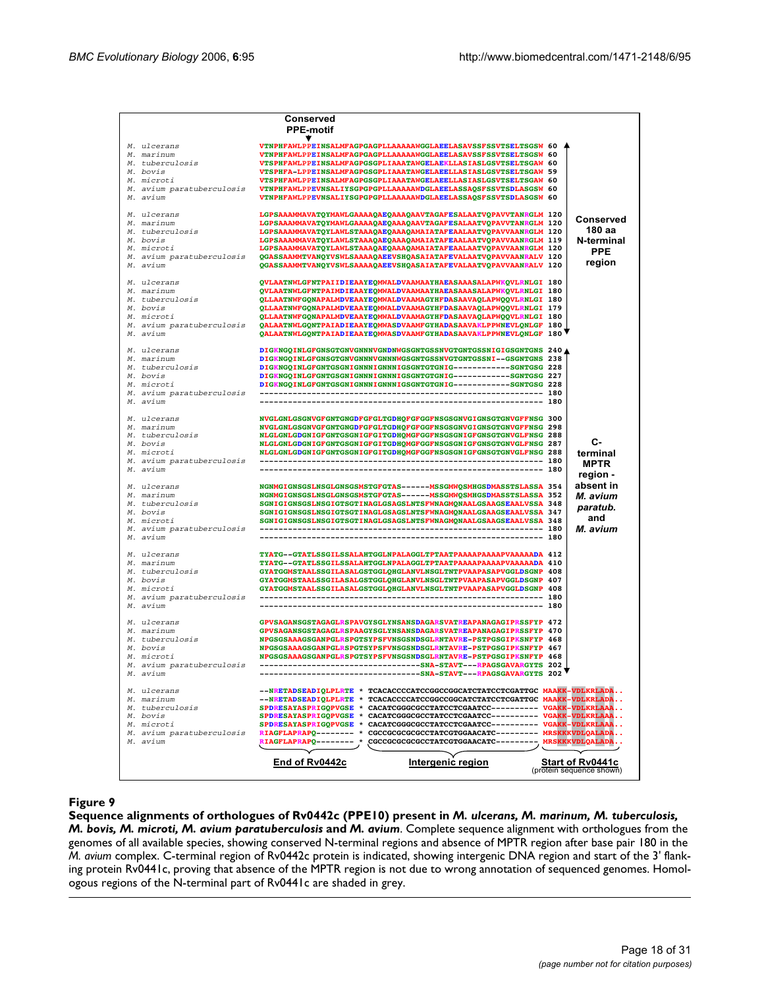|                                                                                                                                                                                                                                                  | Conserved<br><b>PPE-motif</b>                                                                                                                                                                                                                                                                                                                                                                                                                                                                                                                                                                                                                                                                                                                                                                                                                                                                                                                                                          |                                                                  |
|--------------------------------------------------------------------------------------------------------------------------------------------------------------------------------------------------------------------------------------------------|----------------------------------------------------------------------------------------------------------------------------------------------------------------------------------------------------------------------------------------------------------------------------------------------------------------------------------------------------------------------------------------------------------------------------------------------------------------------------------------------------------------------------------------------------------------------------------------------------------------------------------------------------------------------------------------------------------------------------------------------------------------------------------------------------------------------------------------------------------------------------------------------------------------------------------------------------------------------------------------|------------------------------------------------------------------|
| M. ulcerans<br>M. marinum<br>M. tuberculosis<br>M. bovis<br>M. microti<br>M. avium paratuberculosis<br>M. avium                                                                                                                                  | VTNPHFAWLPPEINSALMFAGPGAGPLLAAAAAWGGLAEELASAVSSFSSVTSELTSGSW 60<br>VTNPHFAWLPPEINSALMFAGPGAGPLLAAAAAWGGLAEELASAVSSFSSVTSELTSGSW 60<br>VTSPHFAWLPPEINSALMFAGPGSGPLIAAATAWGELAEKLLASIASLGSVTSELTSGAW 60<br>VTSPHFA-LPPEINSALMFAGPGSGPLIAAATAWGELAEELLASIASLGSVTSELTSGAW 59<br>VTSPHFAWLPPEINSALMFAGPGSGPLIAAATAWGELAEELLASIASLGSVTSELTSGAW 60<br>VTNPHFAWLPPEVNSALIYSGPGPGPLLAAAAAWDGLAEELASSAQSFSSVTSDLASGSW 60<br>VTNPHFAWLPPEVNSALIYSGPGPGPLLAAAAAWDGLAEELASSAQSFSSVTSDLASGSW 60                                                                                                                                                                                                                                                                                                                                                                                                                                                                                                      |                                                                  |
| M. ulcerans<br>M. marinum<br>M. tuberculosis<br>M. bovis<br>M. microti<br>M. avium paratuberculosis<br>M. avium<br>M. ulcerans<br>M. marinum<br><i>M. tuberculosis</i><br>M. bovis<br>M. microti<br><i>M. avium paratuberculosis</i><br>M. avium | LGPSAAAMMAVATQYMAWLGAAAAQAEQAAAQAAVTAGAFESALAATVQPAVVTANRGLM 120<br>LGPSAAAMMAVATQYMAWLGAAAAQAEQAAAQAAVTAGAFESALAATVQPAVVTANRGLM 120<br>LGPSAAAMMAVATQYLAWLSTAAAQAEQAAAQAMAIATAFEAALAATVQPAVVAANRGLM 120<br>LGPSAAAMMAVATQYLAWLSTAAAQAEQAAAQAMAIATAFEAALAATVQPAVVAANRGLM 119<br>LGPSAAAMMAVATQYLAWLSTAAAQAEQAAAQAMAIATAFEAALAATVQPAVVAANRGLM 120<br>QGASSAAMMTVANQYVSWLSAAAAQAEEVSHQASAIATAFEVALAATVQPAVVAANRALV 120<br>OGASSAAMMTVANOYVSWLSAAAAQAEEVSHQASAIATAFEVALAATVOPAVVAANRALV 120<br>QVLAATNWLGFNTPAIIDIEAAYEQMWALDVAAMAAYHAEASAAASALAPWKQVLRNLGI 180<br>QVLAATNWLGFNTPAIMDIEAAYEQMWALDVAAMAAYHAEASAAASALAPWKQVLRNLGI 180<br>QLLAATNWFGQNAPALMDVEAAYEQMWALDVAAMAGYHFDASAAVAQLAPWQQVLRNLGI 180<br>QLLAATNWFGQNAPALMDVEAAYEQMWALDVAAMAGYHFDASAAVAQLAPWQQVLRNLGI 179<br>QLLAATNWFGQNAPALMDVEAAYEQMWALDVAAMAGYHFDASAAVAQLAPWQQVLRNLGI 180<br>QALAATNWLGQNTPAIADIEAAYEQMWASDVAAMFGYHADASAAVAKLPPWNEVLQNLGF 180<br>QALAATNWLGQNTPAIADIEAAYEQMWASDVAAMFGYHADASAAVAKLPPWNEVLQNLGF 180 ▼ | <b>Conserved</b><br>180 aa<br>N-terminal<br><b>PPE</b><br>region |
| M. ulcerans<br>M. marinum<br><i>M. tuberculosis</i><br>M. bovis<br>M. microti<br>M. avium paratuberculosis<br>M. avium<br>M. ulcerans<br>M. marinum<br>M. tuberculosis                                                                           | DIGKNGQINLGFGNSGTGNVGNNNVGNDNWGSGNTGSSNVGTGNTGSSNIGIGSGNTGNS 240A<br>DIGKNGQINLGFGNSGTGNVGNNNVGNNNWGSGNTGSSNVGTGNTGSSNI--GSGNTGNS 238<br>DIGKNGQINLGFGNTGSGNIGNNNIGNNNIGSGNTGTGNIG-----------SGNTGSG 228<br>DIGKNGQINLGFGNTGSGNIGNNNIGNNNIGSGNTGTGNIG-----------SGNTGSG 227<br>DIGKNGQINLGFGNTGSGNIGNNNIGNNNIGSGNTGTGNIG-----------SGNTGSG 228<br>NVGLGNLGSGNVGFGNTGNGDFGFGLTGDHQFGFGGFNSGSGNVGIGNSGTGNVGFFNSG 300<br>NVGLGNLGSGNVGFGNTGNGDFGFGLTGDHQFGFGGFNSGSGNVGIGNSGTGNVGFFNSG 298<br>NLGLGNLGDGNIGFGNTGSGNIGFGITGDHQMGFGGFNSGSGNIGFGNSGTGNVGLFNSG 288                                                                                                                                                                                                                                                                                                                                                                                                                             |                                                                  |
| M. bovis<br>M. microti<br>M. avium paratuberculosis<br>M. avium                                                                                                                                                                                  | NLGLGNLGDGNIGFGNTGSGNIGFGITGDHQMGFGGFNSGSGNIGFGNSGTGNVGLFNSG 287<br>NLGLGNLGDGNIGFGNTGSGNIGFGITGDHQMGFGGFNSGSGNIGFGNSGTGNVGLFNSG 288                                                                                                                                                                                                                                                                                                                                                                                                                                                                                                                                                                                                                                                                                                                                                                                                                                                   | С-<br>terminal<br><b>MPTR</b><br>region -                        |
| M. ulcerans<br>M. marinum<br><i>M. tuberculosis</i><br>M. bovis<br>M. microti<br>M. avium paratuberculosis<br>M. avium                                                                                                                           | NGNMGIGNSGSLNSGLGNSGSMSTGFGTAS------MSSGMWQSMHGSDMASSTSLASSA 354<br>NGNMGIGNSGSLNSGLGNSGSMSTGFGTAS------MSSGMWQSMHGSDMASSTSLASSA 352<br>SGNIGIGNSGSLNSGIGTSGTINAGLGSAGSLNTSFWNAGMONAALGSAAGSEAALVSSA 348<br>SGNIGIGNSGSLNSGIGTSGTINAGLGSAGSLNTSFWNAGMONAALGSAAGSEAALVSSA 347<br>SGNIGIGNSGSLNSGIGTSGTINAGLGSAGSLNTSFWNAGMONAALGSAAGSEAALVSSA 348                                                                                                                                                                                                                                                                                                                                                                                                                                                                                                                                                                                                                                       | absent in<br>M. avium<br>paratub.<br>and<br>M. avium             |
| M. ulcerans<br><i>M. marinum</i><br>M. tuberculosis<br>M. bovis<br>M. microti<br>M. avium paratuberculosis<br>M. avium                                                                                                                           | TYATG--GTATLSSGILSSALAHTGGLNPALAGGLTPTAATPAAAAPAAAAPVAAAAADA 412<br>TYATG--GTATLSSGILSSALAHTGGLNPALAGGLTPTAATPAAAAPPAAAAPVAAAAADA 410<br>GYATGGMSTAALSSGILASALGSTGGLQHGLANVLNSGLTNTPVAAPASAPVGGLDSGNP 408<br>GYATGGMSTAALSSGILASALGSTGGLQHGLANVLNSGLTNTPVAAPASAPVGGLDSGNP 407<br>GYATGGMSTAALSSGILASALGSTGGLQHGLANVLNSGLTNTPVAAPASAPVGGLDSGNP 408                                                                                                                                                                                                                                                                                                                                                                                                                                                                                                                                                                                                                                      |                                                                  |
| M. ulcerans<br>M. marinum<br><i>M.</i> tuberculosis<br>M. bovis<br>M. microti<br>M. avium paratuberculosis<br>M. avium                                                                                                                           | GPVSAGANSGSTAGAGLRSPAVGYSGLYNSANSDAGARSVATREAPANAGAGIPRSSFYP 472<br>GPVSAGANSGSTAGAGLRSPAAGYSGLYNSANSDAGARSVATREAPANAGAGIPRSSFYP 470<br>NPGSGSAAAGSGANPGLRSPGTSYPSFVNSGSNDSGLRNTAVRE-PSTPGSGIPKSNFYP 468<br>NPGSGSAAAGSGANPGLRSPGTSYPSFVNSGSNDSGLRNTAVRE-PSTPGSGIPKSNFYP 467<br>NPGSGSAAAGSGANPGLRSPGTSYPSFVNSGSNDSGLRNTAVRE-PSTPGSGIPKSNFYP 468<br>---------------------------------SNA-STAVT---RPAGSGAVARGYTS 202<br>-----------------------SNA-STAVT---RPAGSGAVARGYTS 202                                                                                                                                                                                                                                                                                                                                                                                                                                                                                                           |                                                                  |
| M. ulcerans<br>M. marinum<br>M. tuberculosis<br>M. bovis<br>M. microti<br>M. avium paratuberculosis<br>M. avium                                                                                                                                  | --NRETADSEADIQLPLRTE * TCACACCCCATCCGGCCGGCATCTATCCTCGATTGC MAAKK-VDLKRLADA<br>--NRETADSEADIOLPLRTE * TCACACCCCATCCGGCCGGCATCTATCCTCGATTGC MAAKK-VDLKRLADA<br>SPDRESAYASPRIGQPVGSE * CACATCGGGCGCCTATCCTCGAATCC---------- VGAKK-VDLKRLAAA<br>SPDRESAYASPRIGOPVGSE * CACATCGGGCGCCTATCCTCGAATCC--------- VGAKK-VDLKRLAAA<br>SPDRESAYASPRIGOPVGSE * CACATCGGGCGCCTATCCTCGAATCC--------- VGAKK-VDLKRLAAA<br>RIAGFLAPRAPQ-------- * CGCCGCGCGCCCTATCGTGGAACATC-------- MRSKKKVDLQALADA                                                                                                                                                                                                                                                                                                                                                                                                                                                                                                     |                                                                  |
|                                                                                                                                                                                                                                                  | End of Rv0442c<br>Intergenic region<br>(protein sequence shown)                                                                                                                                                                                                                                                                                                                                                                                                                                                                                                                                                                                                                                                                                                                                                                                                                                                                                                                        | Start of Rv0441c                                                 |

#### Sequence alignments of orthologue *M. avium paratuberculosis* **Figure 9** and *M. avium*s of Rv0442c (PPE10) present in *M. ulcerans, M. marinum, M. tuberculosis, M. bovis, M. microti,*

**Sequence alignments of orthologues of Rv0442c (PPE10) present in** *M. ulcerans, M. marinum, M. tuberculosis, M. bovis, M. microti, M. avium paratuberculosis* **and** *M. avium*. Complete sequence alignment with orthologues from the genomes of all available species, showing conserved N-terminal regions and absence of MPTR region after base pair 180 in the *M. avium* complex. C-terminal region of Rv0442c protein is indicated, showing intergenic DNA region and start of the 3' flanking protein Rv0441c, proving that absence of the MPTR region is not due to wrong annotation of sequenced genomes. Homologous regions of the N-terminal part of Rv0441c are shaded in grey.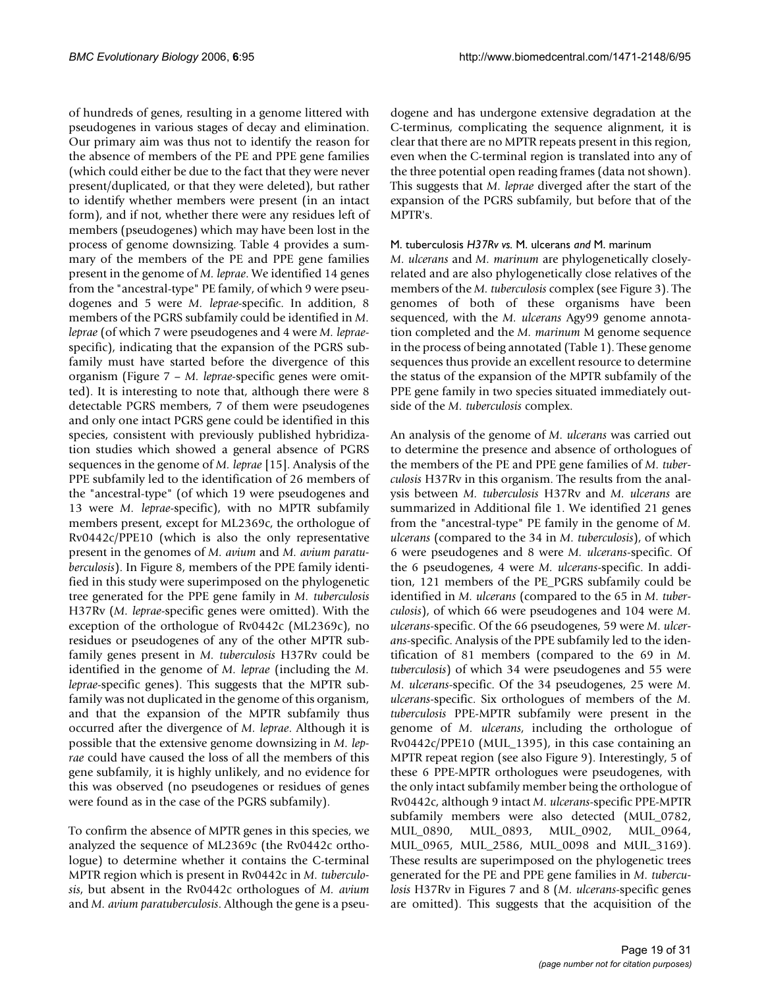of hundreds of genes, resulting in a genome littered with pseudogenes in various stages of decay and elimination. Our primary aim was thus not to identify the reason for the absence of members of the PE and PPE gene families (which could either be due to the fact that they were never present/duplicated, or that they were deleted), but rather to identify whether members were present (in an intact form), and if not, whether there were any residues left of members (pseudogenes) which may have been lost in the process of genome downsizing. Table 4 provides a summary of the members of the PE and PPE gene families present in the genome of *M. leprae*. We identified 14 genes from the "ancestral-type" PE family, of which 9 were pseudogenes and 5 were *M. leprae*-specific. In addition, 8 members of the PGRS subfamily could be identified in *M. leprae* (of which 7 were pseudogenes and 4 were *M. leprae*specific), indicating that the expansion of the PGRS subfamily must have started before the divergence of this organism (Figure 7 – *M. leprae*-specific genes were omitted). It is interesting to note that, although there were 8 detectable PGRS members, 7 of them were pseudogenes and only one intact PGRS gene could be identified in this species, consistent with previously published hybridization studies which showed a general absence of PGRS sequences in the genome of *M. leprae* [15]. Analysis of the PPE subfamily led to the identification of 26 members of the "ancestral-type" (of which 19 were pseudogenes and 13 were *M. leprae*-specific), with no MPTR subfamily members present, except for ML2369c, the orthologue of Rv0442c/PPE10 (which is also the only representative present in the genomes of *M. avium* and *M. avium paratuberculosis*). In Figure 8, members of the PPE family identified in this study were superimposed on the phylogenetic tree generated for the PPE gene family in *M. tuberculosis* H37Rv (*M. leprae*-specific genes were omitted). With the exception of the orthologue of Rv0442c (ML2369c), no residues or pseudogenes of any of the other MPTR subfamily genes present in *M. tuberculosis* H37Rv could be identified in the genome of *M. leprae* (including the *M. leprae*-specific genes). This suggests that the MPTR subfamily was not duplicated in the genome of this organism, and that the expansion of the MPTR subfamily thus occurred after the divergence of *M. leprae*. Although it is possible that the extensive genome downsizing in *M. leprae* could have caused the loss of all the members of this gene subfamily, it is highly unlikely, and no evidence for this was observed (no pseudogenes or residues of genes were found as in the case of the PGRS subfamily).

To confirm the absence of MPTR genes in this species, we analyzed the sequence of ML2369c (the Rv0442c orthologue) to determine whether it contains the C-terminal MPTR region which is present in Rv0442c in *M. tuberculosis*, but absent in the Rv0442c orthologues of *M. avium* and *M. avium paratuberculosis*. Although the gene is a pseudogene and has undergone extensive degradation at the C-terminus, complicating the sequence alignment, it is clear that there are no MPTR repeats present in this region, even when the C-terminal region is translated into any of the three potential open reading frames (data not shown). This suggests that *M. leprae* diverged after the start of the expansion of the PGRS subfamily, but before that of the MPTR's.

# M. tuberculosis *H37Rv vs.* M. ulcerans *and* M. marinum

*M. ulcerans* and *M. marinum* are phylogenetically closelyrelated and are also phylogenetically close relatives of the members of the *M. tuberculosis* complex (see Figure 3). The genomes of both of these organisms have been sequenced, with the *M. ulcerans* Agy99 genome annotation completed and the *M. marinum* M genome sequence in the process of being annotated (Table 1). These genome sequences thus provide an excellent resource to determine the status of the expansion of the MPTR subfamily of the PPE gene family in two species situated immediately outside of the *M. tuberculosis* complex.

An analysis of the genome of *M. ulcerans* was carried out to determine the presence and absence of orthologues of the members of the PE and PPE gene families of *M. tuberculosis* H37Rv in this organism. The results from the analysis between *M. tuberculosis* H37Rv and *M. ulcerans* are summarized in Additional file 1. We identified 21 genes from the "ancestral-type" PE family in the genome of *M. ulcerans* (compared to the 34 in *M. tuberculosis*), of which 6 were pseudogenes and 8 were *M. ulcerans*-specific. Of the 6 pseudogenes, 4 were *M. ulcerans*-specific. In addition, 121 members of the PE\_PGRS subfamily could be identified in *M. ulcerans* (compared to the 65 in *M. tuberculosis*), of which 66 were pseudogenes and 104 were *M. ulcerans*-specific. Of the 66 pseudogenes, 59 were *M. ulcerans*-specific. Analysis of the PPE subfamily led to the identification of 81 members (compared to the 69 in *M. tuberculosis*) of which 34 were pseudogenes and 55 were *M. ulcerans*-specific. Of the 34 pseudogenes, 25 were *M. ulcerans*-specific. Six orthologues of members of the *M. tuberculosis* PPE-MPTR subfamily were present in the genome of *M. ulcerans*, including the orthologue of Rv0442c/PPE10 (MUL\_1395), in this case containing an MPTR repeat region (see also Figure 9). Interestingly, 5 of these 6 PPE-MPTR orthologues were pseudogenes, with the only intact subfamily member being the orthologue of Rv0442c, although 9 intact *M. ulcerans*-specific PPE-MPTR subfamily members were also detected (MUL\_0782, MUL\_0890, MUL\_0893, MUL\_0902, MUL\_0964, MUL 0965, MUL 2586, MUL 0098 and MUL 3169). These results are superimposed on the phylogenetic trees generated for the PE and PPE gene families in *M. tuberculosis* H37Rv in Figures 7 and 8 (*M. ulcerans*-specific genes are omitted). This suggests that the acquisition of the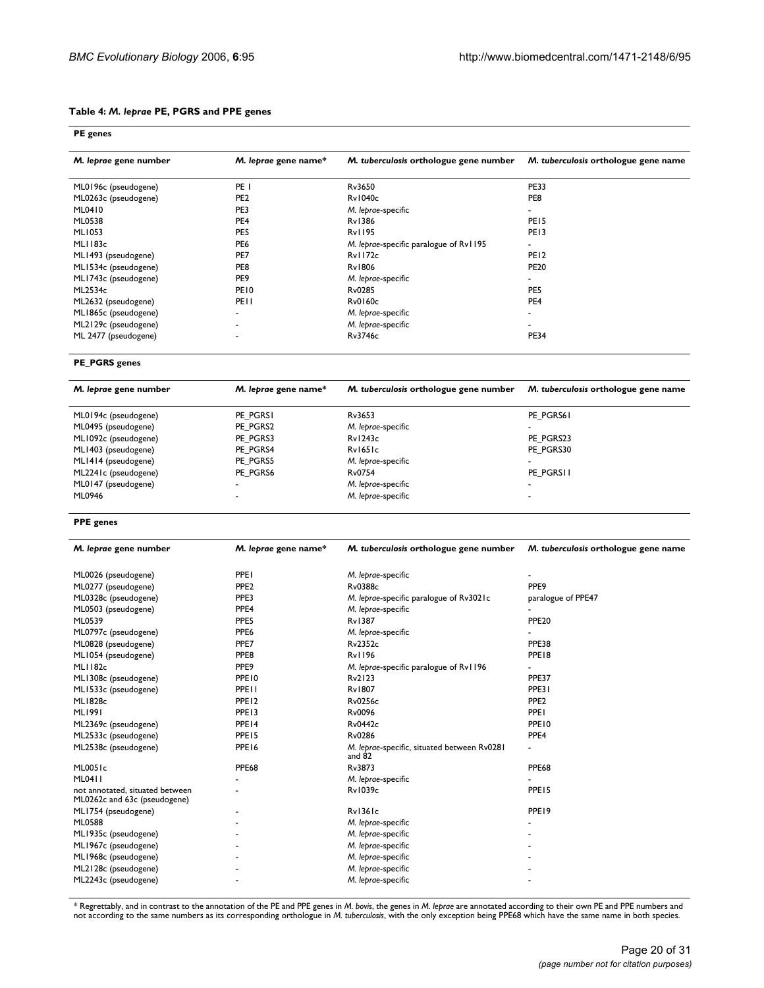#### **Table 4:** *M. leprae* **PE, PGRS and PPE genes**

**PE genes**

| M. leprae gene number | M. leprae gene name* | M. tuberculosis orthologue gene number | M. tuberculosis orthologue gene name |
|-----------------------|----------------------|----------------------------------------|--------------------------------------|
| ML0196c (pseudogene)  | PE I                 | Rv3650                                 | <b>PE33</b>                          |
| ML0263c (pseudogene)  | PE <sub>2</sub>      | <b>Rv1040c</b>                         | PE8                                  |
| ML0410                | PE3                  | M. leprae-specific                     | ٠                                    |
| ML0538                | PE4                  | Rv1386                                 | PE <sub>15</sub>                     |
| <b>ML1053</b>         | PE5                  | <b>Rv1195</b>                          | PE <sub>13</sub>                     |
| <b>MLI183c</b>        | PE <sub>6</sub>      | M. leprae-specific paralogue of Rv1195 | ٠                                    |
| ML1493 (pseudogene)   | PE7                  | <b>Rv1172c</b>                         | PE <sub>12</sub>                     |
| ML1534c (pseudogene)  | PE8                  | <b>Rv1806</b>                          | <b>PE20</b>                          |
| ML1743c (pseudogene)  | PE <sub>9</sub>      | M. leprae-specific                     |                                      |
| ML2534c               | PE10                 | Rv0285                                 | PE5                                  |
| ML2632 (pseudogene)   | PEII                 | <b>Rv0160c</b>                         | PE4                                  |
| ML1865c (pseudogene)  |                      | M. leprae-specific                     | ۰                                    |
| ML2129c (pseudogene)  |                      | M. leprae-specific                     | $\overline{\phantom{0}}$             |
| ML 2477 (pseudogene)  | -                    | Rv3746c                                | <b>PE34</b>                          |

**PE\_PGRS genes**

*M. leprae* **gene number** *M. leprae* **gene name\*** *M. tuberculosis* **orthologue gene number** *M. tuberculosis* **orthologue gene name**

| ML0194c (pseudogene) | PE PGRSI                 | Rv3653             | PE PGRS61                |  |
|----------------------|--------------------------|--------------------|--------------------------|--|
| ML0495 (pseudogene)  | PE PGRS2                 | M. leprae-specific |                          |  |
| ML1092c (pseudogene) | PE PGRS3                 | <b>Rv1243c</b>     | PE PGRS23                |  |
| ML1403 (pseudogene)  | PE PGRS4                 | Rv1651c            | PE PGRS30                |  |
| ML1414 (pseudogene)  | PE PGRS5                 | M. leprae-specific | $\overline{\phantom{a}}$ |  |
| ML2241c (pseudogene) | PE PGRS6                 | Rv0754             | PE PGRSII                |  |
| ML0147 (pseudogene)  |                          | M. leprae-specific | $\overline{\phantom{a}}$ |  |
| ML0946               | $\overline{\phantom{a}}$ | M. leprae-specific | $\overline{\phantom{a}}$ |  |
|                      |                          |                    |                          |  |

# **PPE genes**

| M. leprae gene number                                           | M. leprae gene name* | M. tuberculosis orthologue gene number                | M. tuberculosis orthologue gene name |
|-----------------------------------------------------------------|----------------------|-------------------------------------------------------|--------------------------------------|
| ML0026 (pseudogene)                                             | <b>PPE1</b>          | M. leprae-specific                                    |                                      |
| ML0277 (pseudogene)                                             | PPE <sub>2</sub>     | Rv0388c                                               | PPE9                                 |
| ML0328c (pseudogene)                                            | PPE3                 | M. leprae-specific paralogue of Rv3021c               | paralogue of PPE47                   |
| ML0503 (pseudogene)                                             | PPE4                 | M. leprae-specific                                    |                                      |
| ML0539                                                          | PPE5                 | <b>Rv1387</b>                                         | PPE <sub>20</sub>                    |
| ML0797c (pseudogene)                                            | PPE6                 | M. leprae-specific                                    |                                      |
| ML0828 (pseudogene)                                             | PPE7                 | Rv2352c                                               | PPE38                                |
| ML1054 (pseudogene)                                             | PPE8                 | <b>Rv1196</b>                                         | PPE18                                |
| <b>MLI182c</b>                                                  | PPE9                 | M. leprae-specific paralogue of Rv1196                |                                      |
| ML1308c (pseudogene)                                            | PPE10                | Rv2123                                                | PPE37                                |
| ML1533c (pseudogene)                                            | <b>PPEII</b>         | <b>Rv1807</b>                                         | PPE31                                |
| <b>ML1828c</b>                                                  | PPE <sub>12</sub>    | <b>Rv0256c</b>                                        | PPE <sub>2</sub>                     |
| <b>ML1991</b>                                                   | PPE13                | Rv0096                                                | <b>PPE1</b>                          |
| ML2369c (pseudogene)                                            | PPE14                | <b>Rv0442c</b>                                        | PPE <sub>10</sub>                    |
| ML2533c (pseudogene)                                            | PPE15                | Rv0286                                                | PPE4                                 |
| ML2538c (pseudogene)                                            | PPE16                | M. leprae-specific, situated between Rv0281<br>and 82 |                                      |
| ML0051c                                                         | PPE68                | Rv3873                                                | <b>PPE68</b>                         |
| ML0411                                                          |                      | M. leprae-specific                                    |                                      |
| not annotated, situated between<br>ML0262c and 63c (pseudogene) |                      | <b>Rv1039c</b>                                        | PPE15                                |
| ML1754 (pseudogene)                                             |                      | Rv1361c                                               | PPE <sub>19</sub>                    |
| <b>ML0588</b>                                                   |                      | M. leprae-specific                                    |                                      |
| ML1935c (pseudogene)                                            |                      | M. leprae-specific                                    |                                      |
| ML1967c (pseudogene)                                            |                      | M. leprae-specific                                    |                                      |
| ML1968c (pseudogene)                                            |                      | M. leprae-specific                                    |                                      |
| ML2128c (pseudogene)                                            |                      | M. leprae-specific                                    |                                      |
| ML2243c (pseudogene)                                            |                      | M. leprae-specific                                    |                                      |

\* Regrettably, and in contrast to the annotation of the PE and PPE genes in *M. bovis,* the genes in *M. leprae* are annotated according to their own PE and PPE numbers and<br>not according to the same numbers as its correspo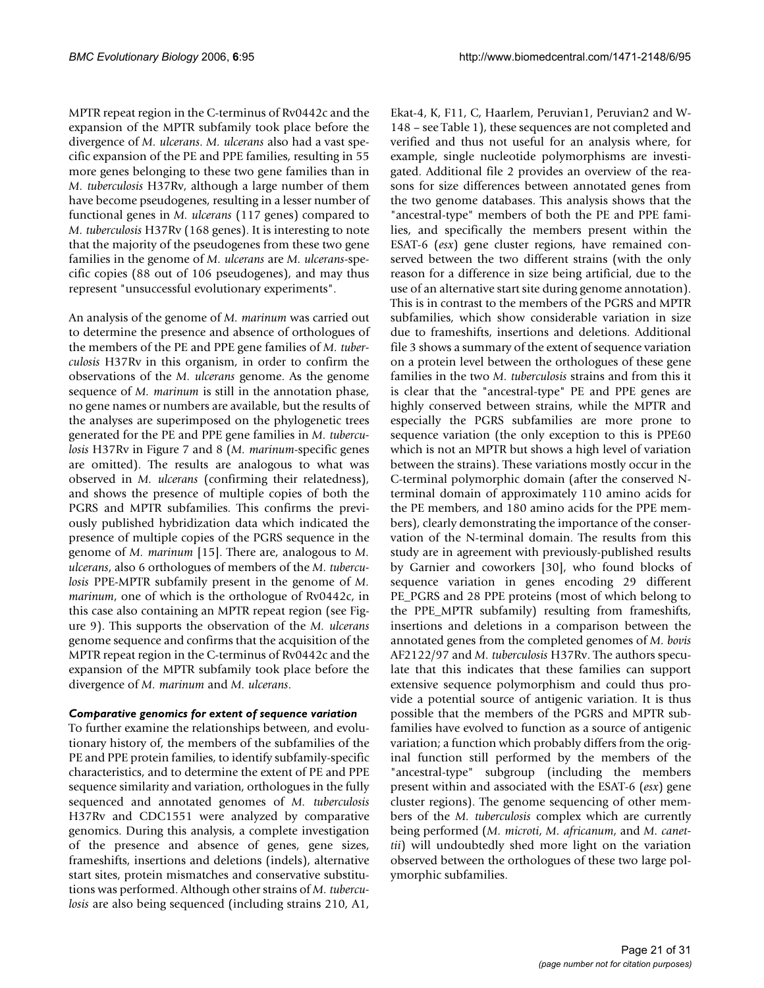MPTR repeat region in the C-terminus of Rv0442c and the expansion of the MPTR subfamily took place before the divergence of *M. ulcerans*. *M. ulcerans* also had a vast specific expansion of the PE and PPE families, resulting in 55 more genes belonging to these two gene families than in *M. tuberculosis* H37Rv, although a large number of them have become pseudogenes, resulting in a lesser number of functional genes in *M. ulcerans* (117 genes) compared to *M. tuberculosis* H37Rv (168 genes). It is interesting to note that the majority of the pseudogenes from these two gene families in the genome of *M. ulcerans* are *M. ulcerans*-specific copies (88 out of 106 pseudogenes), and may thus represent "unsuccessful evolutionary experiments".

An analysis of the genome of *M. marinum* was carried out to determine the presence and absence of orthologues of the members of the PE and PPE gene families of *M. tuberculosis* H37Rv in this organism, in order to confirm the observations of the *M. ulcerans* genome. As the genome sequence of *M. marinum* is still in the annotation phase, no gene names or numbers are available, but the results of the analyses are superimposed on the phylogenetic trees generated for the PE and PPE gene families in *M. tuberculosis* H37Rv in Figure 7 and 8 (*M. marinum*-specific genes are omitted). The results are analogous to what was observed in *M. ulcerans* (confirming their relatedness), and shows the presence of multiple copies of both the PGRS and MPTR subfamilies. This confirms the previously published hybridization data which indicated the presence of multiple copies of the PGRS sequence in the genome of *M. marinum* [15]. There are, analogous to *M. ulcerans*, also 6 orthologues of members of the *M. tuberculosis* PPE-MPTR subfamily present in the genome of *M. marinum*, one of which is the orthologue of Rv0442c, in this case also containing an MPTR repeat region (see Figure 9). This supports the observation of the *M. ulcerans* genome sequence and confirms that the acquisition of the MPTR repeat region in the C-terminus of Rv0442c and the expansion of the MPTR subfamily took place before the divergence of *M. marinum* and *M. ulcerans*.

# *Comparative genomics for extent of sequence variation*

To further examine the relationships between, and evolutionary history of, the members of the subfamilies of the PE and PPE protein families, to identify subfamily-specific characteristics, and to determine the extent of PE and PPE sequence similarity and variation, orthologues in the fully sequenced and annotated genomes of *M. tuberculosis* H37Rv and CDC1551 were analyzed by comparative genomics. During this analysis, a complete investigation of the presence and absence of genes, gene sizes, frameshifts, insertions and deletions (indels), alternative start sites, protein mismatches and conservative substitutions was performed. Although other strains of *M. tuberculosis* are also being sequenced (including strains 210, A1,

Ekat-4, K, F11, C, Haarlem, Peruvian1, Peruvian2 and W-148 – see Table 1), these sequences are not completed and verified and thus not useful for an analysis where, for example, single nucleotide polymorphisms are investigated. Additional file 2 provides an overview of the reasons for size differences between annotated genes from the two genome databases. This analysis shows that the "ancestral-type" members of both the PE and PPE families, and specifically the members present within the ESAT-6 (*esx*) gene cluster regions, have remained conserved between the two different strains (with the only reason for a difference in size being artificial, due to the use of an alternative start site during genome annotation). This is in contrast to the members of the PGRS and MPTR subfamilies, which show considerable variation in size due to frameshifts, insertions and deletions. Additional file 3 shows a summary of the extent of sequence variation on a protein level between the orthologues of these gene families in the two *M. tuberculosis* strains and from this it is clear that the "ancestral-type" PE and PPE genes are highly conserved between strains, while the MPTR and especially the PGRS subfamilies are more prone to sequence variation (the only exception to this is PPE60 which is not an MPTR but shows a high level of variation between the strains). These variations mostly occur in the C-terminal polymorphic domain (after the conserved Nterminal domain of approximately 110 amino acids for the PE members, and 180 amino acids for the PPE members), clearly demonstrating the importance of the conservation of the N-terminal domain. The results from this study are in agreement with previously-published results by Garnier and coworkers [30], who found blocks of sequence variation in genes encoding 29 different PE\_PGRS and 28 PPE proteins (most of which belong to the PPE\_MPTR subfamily) resulting from frameshifts, insertions and deletions in a comparison between the annotated genes from the completed genomes of *M. bovis* AF2122/97 and *M. tuberculosis* H37Rv. The authors speculate that this indicates that these families can support extensive sequence polymorphism and could thus provide a potential source of antigenic variation. It is thus possible that the members of the PGRS and MPTR subfamilies have evolved to function as a source of antigenic variation; a function which probably differs from the original function still performed by the members of the "ancestral-type" subgroup (including the members present within and associated with the ESAT-6 (*esx*) gene cluster regions). The genome sequencing of other members of the *M. tuberculosis* complex which are currently being performed (*M. microti*, *M. africanum*, and *M. canettii*) will undoubtedly shed more light on the variation observed between the orthologues of these two large polymorphic subfamilies.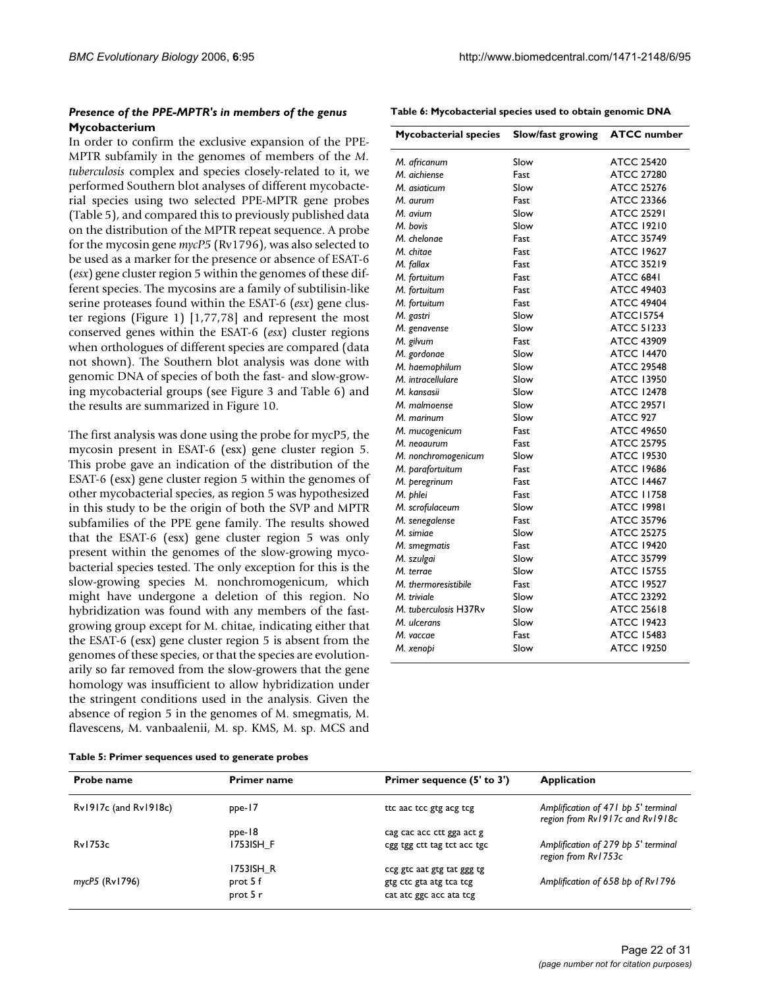In order to confirm the exclusive expansion of the PPE-MPTR subfamily in the genomes of members of the *M. tuberculosis* complex and species closely-related to it, we performed Southern blot analyses of different mycobacterial species using two selected PPE-MPTR gene probes (Table 5), and compared this to previously published data on the distribution of the MPTR repeat sequence. A probe for the mycosin gene *mycP5* (Rv1796), was also selected to be used as a marker for the presence or absence of ESAT-6 (*esx*) gene cluster region 5 within the genomes of these different species. The mycosins are a family of subtilisin-like serine proteases found within the ESAT-6 (*esx*) gene cluster regions (Figure 1) [1,77,78] and represent the most conserved genes within the ESAT-6 (*esx*) cluster regions when orthologues of different species are compared (data not shown). The Southern blot analysis was done with genomic DNA of species of both the fast- and slow-growing mycobacterial groups (see Figure 3 and Table 6) and the results are summarized in Figure 10.

The first analysis was done using the probe for mycP5, the mycosin present in ESAT-6 (esx) gene cluster region 5. This probe gave an indication of the distribution of the ESAT-6 (esx) gene cluster region 5 within the genomes of other mycobacterial species, as region 5 was hypothesized in this study to be the origin of both the SVP and MPTR subfamilies of the PPE gene family. The results showed that the ESAT-6 (esx) gene cluster region 5 was only present within the genomes of the slow-growing mycobacterial species tested. The only exception for this is the slow-growing species M. nonchromogenicum, which might have undergone a deletion of this region. No hybridization was found with any members of the fastgrowing group except for M. chitae, indicating either that the ESAT-6 (esx) gene cluster region 5 is absent from the genomes of these species, or that the species are evolutionarily so far removed from the slow-growers that the gene homology was insufficient to allow hybridization under the stringent conditions used in the analysis. Given the absence of region 5 in the genomes of M. smegmatis, M. flavescens, M. vanbaalenii, M. sp. KMS, M. sp. MCS and

**Table 6: Mycobacterial species used to obtain genomic DNA**

| <b>Mycobacterial species</b> | Slow/fast growing | <b>ATCC</b> number |
|------------------------------|-------------------|--------------------|
| M. africanum                 | Slow              | <b>ATCC 25420</b>  |
| M. aichiense                 | Fast              | <b>ATCC 27280</b>  |
| M. asiaticum                 | Slow              | <b>ATCC 25276</b>  |
| M. aurum                     | Fast              | <b>ATCC 23366</b>  |
| M. avium                     | Slow              | <b>ATCC 25291</b>  |
| M. bovis                     | Slow              | <b>ATCC 19210</b>  |
| M. chelonae                  | Fast              | <b>ATCC 35749</b>  |
| M. chitae                    | Fast              | <b>ATCC 19627</b>  |
| M. fallax                    | Fast              | <b>ATCC 35219</b>  |
| M. fortuitum                 | Fast              | <b>ATCC 6841</b>   |
| M. fortuitum                 | Fast              | <b>ATCC 49403</b>  |
| M. fortuitum                 | Fast              | <b>ATCC 49404</b>  |
| M. gastri                    | Slow              | <b>ATCC15754</b>   |
| M. genavense                 | Slow              | <b>ATCC 51233</b>  |
| M. gilvum                    | Fast              | <b>ATCC 43909</b>  |
| M. gordonae                  | Slow              | <b>ATCC 14470</b>  |
| M. haemophilum               | Slow              | <b>ATCC 29548</b>  |
| M. intracellulare            | Slow              | <b>ATCC 13950</b>  |
| M. kansasii                  | Slow              | <b>ATCC 12478</b>  |
| M. malmoense                 | Slow              | <b>ATCC 29571</b>  |
| M. marinum                   | Slow              | <b>ATCC 927</b>    |
| M. mucogenicum               | Fast              | <b>ATCC 49650</b>  |
| M. neoaurum                  | Fast              | <b>ATCC 25795</b>  |
| M. nonchromogenicum          | Slow              | <b>ATCC 19530</b>  |
| M. parafortuitum             | Fast              | <b>ATCC 19686</b>  |
| M. peregrinum                | Fast              | <b>ATCC 14467</b>  |
| M. phlei                     | Fast              | <b>ATCC 11758</b>  |
| M. scrofulaceum              | Slow              | <b>ATCC 19981</b>  |
| M. senegalense               | Fast              | <b>ATCC 35796</b>  |
| M. simige                    | Slow              | <b>ATCC 25275</b>  |
| M. smegmatis                 | Fast              | ATCC 19420         |
| M. szulgai                   | Slow              | <b>ATCC 35799</b>  |
| M. terrae                    | Slow              | <b>ATCC 15755</b>  |
| M. thermoresistibile         | Fast              | <b>ATCC 19527</b>  |
| M. triviale                  | Slow              | <b>ATCC 23292</b>  |
| M. tuberculosis H37Rv        | Slow              | <b>ATCC 25618</b>  |
| M. ulcerans                  | Slow              | <b>ATCC 19423</b>  |
| M. vaccae                    | Fast              | <b>ATCC 15483</b>  |
| M. xenopi                    | Slow              | <b>ATCC 19250</b>  |
|                              |                   |                    |

**Table 5: Primer sequences used to generate probes**

| Probe name            | <b>Primer name</b> | Primer sequence (5' to 3')  | Application                                                            |  |
|-----------------------|--------------------|-----------------------------|------------------------------------------------------------------------|--|
| Rv1917c (and Rv1918c) | ppe-17             | tte aac tee gtg aeg teg     | Amplification of 471 bp 5' terminal<br>region from Rv1917c and Rv1918c |  |
|                       | ppe-18             | cag cac acc ctt gga act g   |                                                                        |  |
| <b>Rv1753c</b>        | 1753ISH F          | cgg tgg ctt tag tct acc tgc | Amplification of 279 bp 5' terminal<br>region from Rv1753c             |  |
|                       | 1753ISH R          | ccg gtc aat gtg tat ggg tg  |                                                                        |  |
| mycP5 (Rv1796)        | prot 5 f           | gtg ctc gta atg tca tcg     | Amplification of 658 bp of Rv1796                                      |  |
|                       | prot $5r$          | cat atc ggc acc ata tcg     |                                                                        |  |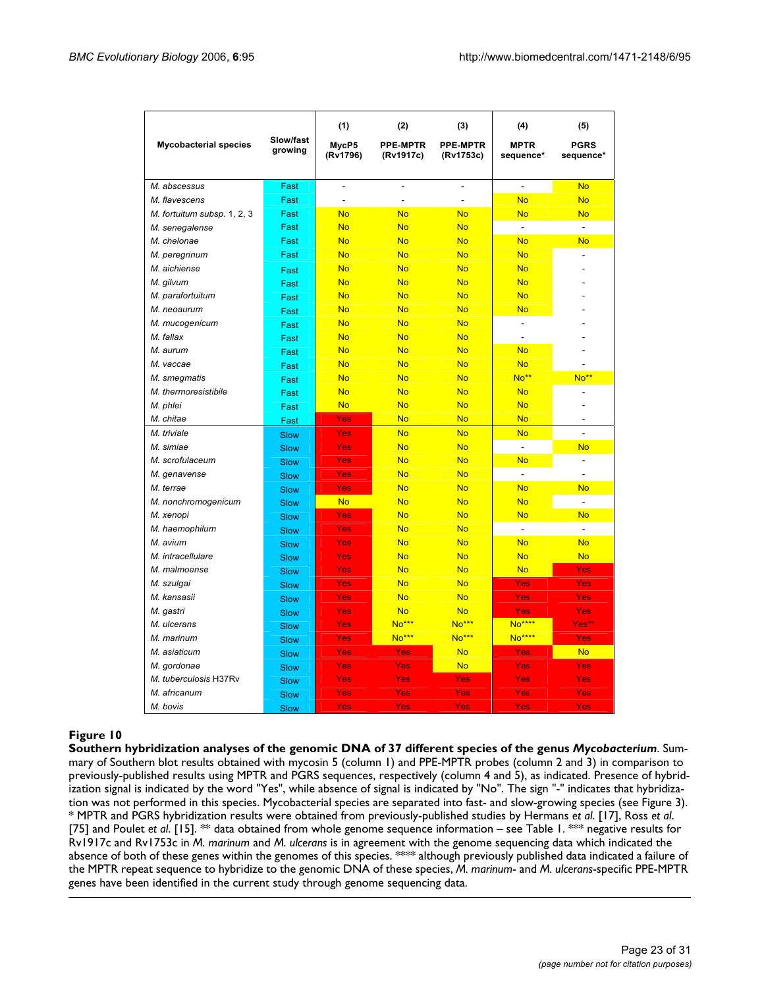| <b>Mycobacterial species</b> | Slow/fast<br>growing | (1)<br>MycP5<br>(Rv1796) | (2)<br><b>PPE-MPTR</b><br>(Rv1917c) | (3)<br><b>PPE-MPTR</b><br>(Rv1753c) | (4)<br><b>MPTR</b><br>sequence* | (5)<br><b>PGRS</b><br>sequence* |
|------------------------------|----------------------|--------------------------|-------------------------------------|-------------------------------------|---------------------------------|---------------------------------|
| M. abscessus                 | Fast                 | $\overline{a}$           | L.                                  | $\overline{a}$                      | $\overline{a}$                  | <b>No</b>                       |
| M. flavescens                | Fast                 | $\overline{a}$           | $\overline{\phantom{a}}$            | $\overline{a}$                      | <b>No</b>                       | <b>No</b>                       |
| M. fortuitum subsp. 1, 2, 3  | Fast                 | <b>No</b>                | <b>No</b>                           | <b>No</b>                           | <b>No</b>                       | <b>No</b>                       |
| M. senegalense               | Fast                 | <b>No</b>                | <b>No</b>                           | <b>No</b>                           | ÷,                              | $\overline{a}$                  |
| M. chelonae                  | Fast                 | No                       | <b>No</b>                           | <b>No</b>                           | <b>No</b>                       | <b>No</b>                       |
| M. peregrinum                | Fast                 | <b>No</b>                | <b>No</b>                           | <b>No</b>                           | <b>No</b>                       | $\overline{a}$                  |
| M. aichiense                 | Fast                 | <b>No</b>                | <b>No</b>                           | <b>No</b>                           | <b>No</b>                       |                                 |
| M. gilvum                    | Fast                 | <b>No</b>                | <b>No</b>                           | <b>No</b>                           | <b>No</b>                       |                                 |
| M. parafortuitum             | Fast                 | <b>No</b>                | <b>No</b>                           | <b>No</b>                           | <b>No</b>                       |                                 |
| M. neoaurum                  | Fast                 | <b>No</b>                | <b>No</b>                           | <b>No</b>                           | <b>No</b>                       |                                 |
| M. mucogenicum               | Fast                 | <b>No</b>                | <b>No</b>                           | <b>No</b>                           | ÷.                              |                                 |
| M. fallax                    | Fast                 | <b>No</b>                | <b>No</b>                           | <b>No</b>                           |                                 |                                 |
| M. aurum                     | Fast                 | <b>No</b>                | <b>No</b>                           | <b>No</b>                           | <b>No</b>                       |                                 |
| M. vaccae                    | Fast                 | <b>No</b>                | <b>No</b>                           | <b>No</b>                           | <b>No</b>                       |                                 |
| M. smegmatis                 | Fast                 | <b>No</b>                | <b>No</b>                           | <b>No</b>                           | No <sup>**</sup>                | $No**$                          |
| M. thermoresistibile         | Fast                 | <b>No</b>                | <b>No</b>                           | <b>No</b>                           | <b>No</b>                       |                                 |
| M. phlei                     | Fast                 | <b>No</b>                | <b>No</b>                           | <b>No</b>                           | <b>No</b>                       |                                 |
| M. chitae                    | Fast                 | <b>Yes</b>               | <b>No</b>                           | <b>No</b>                           | <b>No</b>                       | ÷,                              |
| M. triviale                  | Slow                 | Yes                      | <b>No</b>                           | <b>No</b>                           | <b>No</b>                       |                                 |
| M. simiae                    | Slow                 | Yes                      | <b>No</b>                           | <b>No</b>                           |                                 | <b>No</b>                       |
| M. scrofulaceum              | <b>Slow</b>          | Yes                      | <b>No</b>                           | <b>No</b>                           | <b>No</b>                       | -                               |
| M. genavense                 | <b>Slow</b>          | Yes                      | <b>No</b>                           | <b>No</b>                           |                                 |                                 |
| M. terrae                    | Slow                 | Yes                      | <b>No</b>                           | <b>No</b>                           | <b>No</b>                       | <b>No</b>                       |
| M. nonchromogenicum          | Slow                 | <b>No</b>                | <b>No</b>                           | <b>No</b>                           | <b>No</b>                       | $\overline{a}$                  |
| M. xenopi                    | Slow                 | Yes                      | <b>No</b>                           | <b>No</b>                           | <b>No</b>                       | <b>No</b>                       |
| M. haemophilum               | Slow                 | Yes                      | <b>No</b>                           | <b>No</b>                           | $\overline{a}$                  | ÷.                              |
| M. avium                     | <b>Slow</b>          | Yes                      | <b>No</b>                           | <b>No</b>                           | <b>No</b>                       | <b>No</b>                       |
| M. intracellulare            | Slow                 | <b>Yes</b>               | <b>No</b>                           | <b>No</b>                           | <b>No</b>                       | <b>No</b>                       |
| M. malmoense                 | Slow                 | Yes                      | <b>No</b>                           | <b>No</b>                           | <b>No</b>                       | Yes                             |
| M. szulgai                   | <b>Slow</b>          | Yes                      | <b>No</b>                           | <b>No</b>                           | Yes                             | Yes                             |
| M. kansasii                  | Slow                 | Yes                      | <b>No</b>                           | <b>No</b>                           | Yes                             | Yes                             |
| M. gastri                    | Slow                 | Yes                      | <b>No</b>                           | <b>No</b>                           | Yes                             | Yes                             |
| M. ulcerans                  | Slow                 | Yes                      | No***                               | No***                               | No****                          | Yes**                           |
| M. marinum                   | <b>Slow</b>          | Yes                      | No***                               | No***                               | No****                          | Yes                             |
| M. asiaticum                 | <b>Slow</b>          | Yes                      | Yes                                 | <b>No</b>                           | Yes                             | <b>No</b>                       |
| M. gordonae                  | Slow                 | Yes                      | Yes                                 | <b>No</b>                           | Yes                             | Yes                             |
| M. tuberculosis H37Rv        | Slow                 | Yes                      | Yes                                 | <b>Yes</b>                          | Yes                             | Yes                             |
| M. africanum                 | Slow                 | Yes                      | Yes                                 | Yes                                 | Yes                             | Yes                             |
| M. bovis                     | Slow                 | Yes                      | Yes                                 | Yes                                 | Yes                             | Yes                             |

#### Southern hybridization analyses of the genomi **Figure 10** c DNA of 37 different species of the genus *Mycobacterium*

**Southern hybridization analyses of the genomic DNA of 37 different species of the genus** *Mycobacterium*. Summary of Southern blot results obtained with mycosin 5 (column 1) and PPE-MPTR probes (column 2 and 3) in comparison to previously-published results using MPTR and PGRS sequences, respectively (column 4 and 5), as indicated. Presence of hybridization signal is indicated by the word "Yes", while absence of signal is indicated by "No". The sign "-" indicates that hybridization was not performed in this species. Mycobacterial species are separated into fast- and slow-growing species (see Figure 3). \* MPTR and PGRS hybridization results were obtained from previously-published studies by Hermans *et al*. [17], Ross *et al*. [75] and Poulet *et al*. [15]. \*\* data obtained from whole genome sequence information – see Table 1. \*\*\* negative results for Rv1917c and Rv1753c in *M. marinum* and *M. ulcerans* is in agreement with the genome sequencing data which indicated the absence of both of these genes within the genomes of this species. \*\*\* although previously published data indicated a failure of the MPTR repeat sequence to hybridize to the genomic DNA of these species, *M. marinum*- and *M. ulcerans*-specific PPE-MPTR genes have been identified in the current study through genome sequencing data.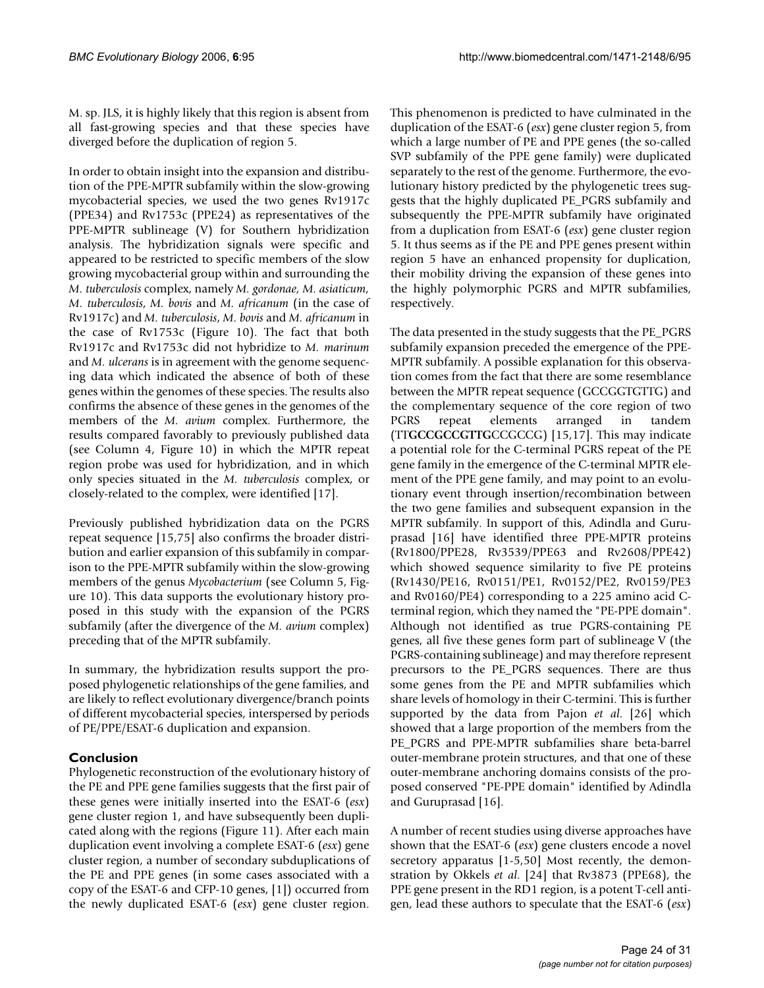M. sp. JLS, it is highly likely that this region is absent from all fast-growing species and that these species have diverged before the duplication of region 5.

In order to obtain insight into the expansion and distribution of the PPE-MPTR subfamily within the slow-growing mycobacterial species, we used the two genes Rv1917c (PPE34) and Rv1753c (PPE24) as representatives of the PPE-MPTR sublineage (V) for Southern hybridization analysis. The hybridization signals were specific and appeared to be restricted to specific members of the slow growing mycobacterial group within and surrounding the *M. tuberculosis* complex, namely *M. gordonae, M. asiaticum, M. tuberculosis*, *M. bovis* and *M. africanum* (in the case of Rv1917c) and *M. tuberculosis*, *M. bovis* and *M. africanum* in the case of Rv1753c (Figure 10). The fact that both Rv1917c and Rv1753c did not hybridize to *M. marinum* and *M. ulcerans* is in agreement with the genome sequencing data which indicated the absence of both of these genes within the genomes of these species. The results also confirms the absence of these genes in the genomes of the members of the *M. avium* complex. Furthermore, the results compared favorably to previously published data (see Column 4, Figure 10) in which the MPTR repeat region probe was used for hybridization, and in which only species situated in the *M. tuberculosis* complex, or closely-related to the complex, were identified [17].

Previously published hybridization data on the PGRS repeat sequence [15,75] also confirms the broader distribution and earlier expansion of this subfamily in comparison to the PPE-MPTR subfamily within the slow-growing members of the genus *Mycobacterium* (see Column 5, Figure 10). This data supports the evolutionary history proposed in this study with the expansion of the PGRS subfamily (after the divergence of the *M. avium* complex) preceding that of the MPTR subfamily.

In summary, the hybridization results support the proposed phylogenetic relationships of the gene families, and are likely to reflect evolutionary divergence/branch points of different mycobacterial species, interspersed by periods of PE/PPE/ESAT-6 duplication and expansion.

# **Conclusion**

Phylogenetic reconstruction of the evolutionary history of the PE and PPE gene families suggests that the first pair of these genes were initially inserted into the ESAT-6 (*esx*) gene cluster region 1, and have subsequently been duplicated along with the regions (Figure 11). After each main duplication event involving a complete ESAT-6 (*esx*) gene cluster region, a number of secondary subduplications of the PE and PPE genes (in some cases associated with a copy of the ESAT-6 and CFP-10 genes, [1]) occurred from the newly duplicated ESAT-6 (*esx*) gene cluster region.

This phenomenon is predicted to have culminated in the duplication of the ESAT-6 (*esx*) gene cluster region 5, from which a large number of PE and PPE genes (the so-called SVP subfamily of the PPE gene family) were duplicated separately to the rest of the genome. Furthermore, the evolutionary history predicted by the phylogenetic trees suggests that the highly duplicated PE\_PGRS subfamily and subsequently the PPE-MPTR subfamily have originated from a duplication from ESAT-6 (*esx*) gene cluster region 5. It thus seems as if the PE and PPE genes present within region 5 have an enhanced propensity for duplication, their mobility driving the expansion of these genes into the highly polymorphic PGRS and MPTR subfamilies, respectively.

The data presented in the study suggests that the PE\_PGRS subfamily expansion preceded the emergence of the PPE-MPTR subfamily. A possible explanation for this observation comes from the fact that there are some resemblance between the MPTR repeat sequence (GCCGGTGTTG) and the complementary sequence of the core region of two PGRS repeat elements arranged in tandem (TT**GCCGCCGTTG**CCGCCG) [15,17]. This may indicate a potential role for the C-terminal PGRS repeat of the PE gene family in the emergence of the C-terminal MPTR element of the PPE gene family, and may point to an evolutionary event through insertion/recombination between the two gene families and subsequent expansion in the MPTR subfamily. In support of this, Adindla and Guruprasad [16] have identified three PPE-MPTR proteins (Rv1800/PPE28, Rv3539/PPE63 and Rv2608/PPE42) which showed sequence similarity to five PE proteins (Rv1430/PE16, Rv0151/PE1, Rv0152/PE2, Rv0159/PE3 and Rv0160/PE4) corresponding to a 225 amino acid Cterminal region, which they named the "PE-PPE domain". Although not identified as true PGRS-containing PE genes, all five these genes form part of sublineage V (the PGRS-containing sublineage) and may therefore represent precursors to the PE\_PGRS sequences. There are thus some genes from the PE and MPTR subfamilies which share levels of homology in their C-termini. This is further supported by the data from Pajon *et al*. [26] which showed that a large proportion of the members from the PE\_PGRS and PPE-MPTR subfamilies share beta-barrel outer-membrane protein structures, and that one of these outer-membrane anchoring domains consists of the proposed conserved "PE-PPE domain" identified by Adindla and Guruprasad [16].

A number of recent studies using diverse approaches have shown that the ESAT-6 (*esx*) gene clusters encode a novel secretory apparatus [1-5,50] Most recently, the demonstration by Okkels *et al*. [24] that Rv3873 (PPE68), the PPE gene present in the RD1 region, is a potent T-cell antigen, lead these authors to speculate that the ESAT-6 (*esx*)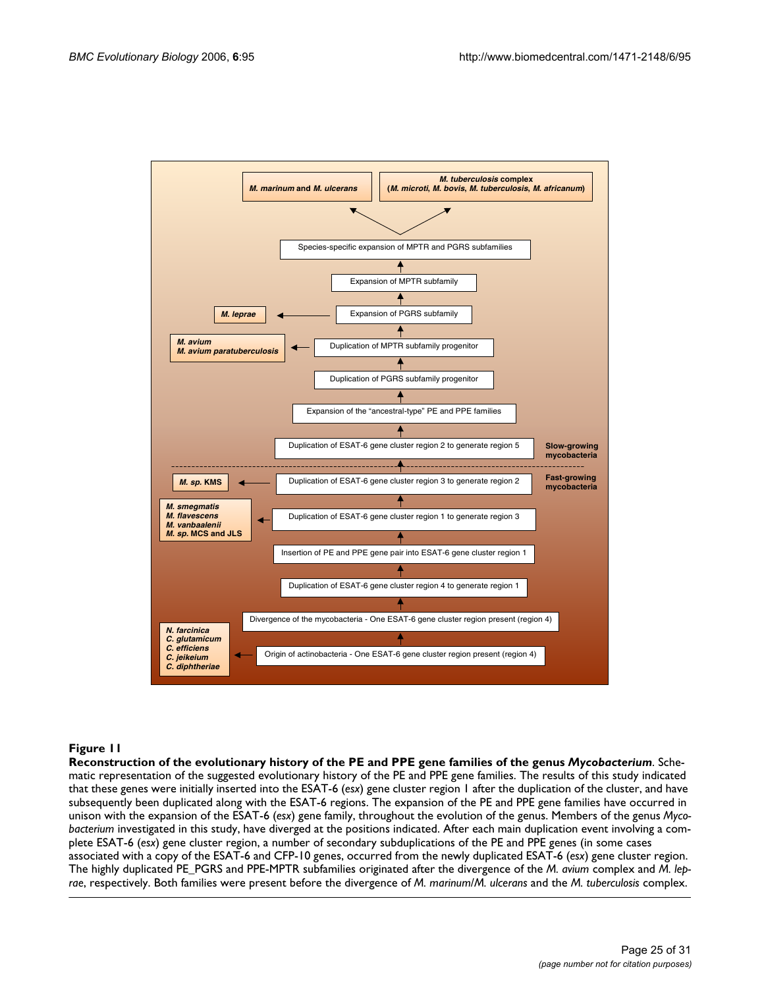

#### **Figure 11** Reconstruction of the evolutionary history of the PE and PPE gene families of the genus *Mycobacterium*

**Reconstruction of the evolutionary history of the PE and PPE gene families of the genus** *Mycobacterium*. Schematic representation of the suggested evolutionary history of the PE and PPE gene families. The results of this study indicated that these genes were initially inserted into the ESAT-6 (*esx*) gene cluster region 1 after the duplication of the cluster, and have subsequently been duplicated along with the ESAT-6 regions. The expansion of the PE and PPE gene families have occurred in unison with the expansion of the ESAT-6 (*esx*) gene family, throughout the evolution of the genus. Members of the genus *Mycobacterium* investigated in this study, have diverged at the positions indicated. After each main duplication event involving a complete ESAT-6 (*esx*) gene cluster region, a number of secondary subduplications of the PE and PPE genes (in some cases associated with a copy of the ESAT-6 and CFP-10 genes, occurred from the newly duplicated ESAT-6 (*esx*) gene cluster region. The highly duplicated PE\_PGRS and PPE-MPTR subfamilies originated after the divergence of the *M. avium* complex and *M. leprae*, respectively. Both families were present before the divergence of *M. marinum*/*M. ulcerans* and the *M. tuberculosis* complex.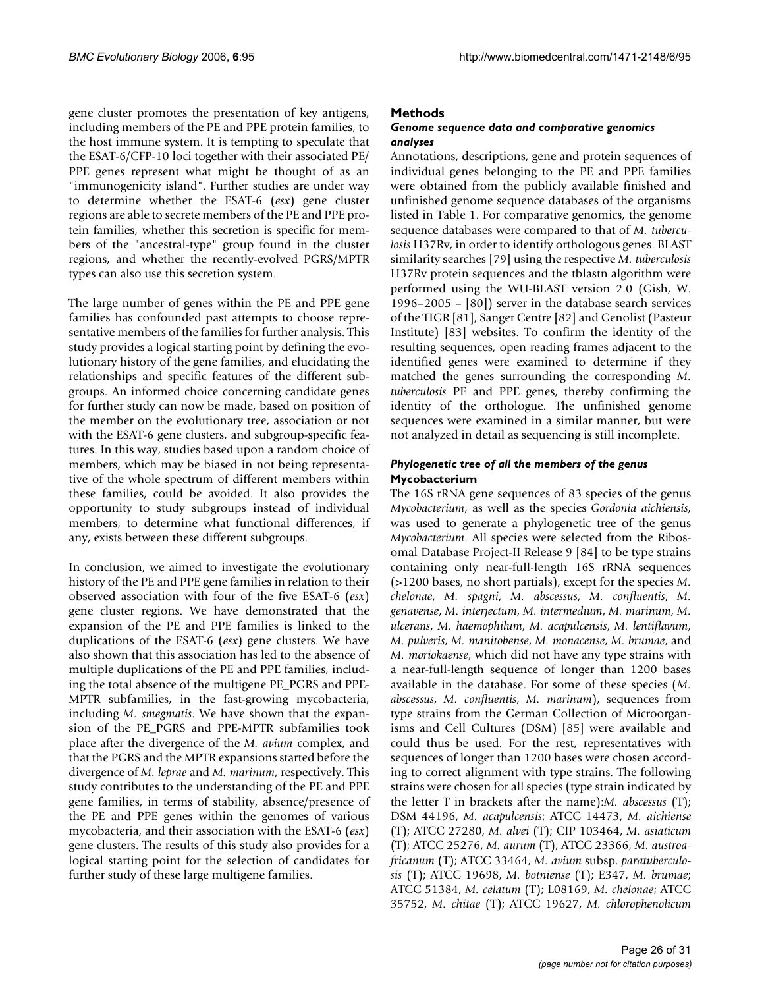gene cluster promotes the presentation of key antigens, including members of the PE and PPE protein families, to the host immune system. It is tempting to speculate that the ESAT-6/CFP-10 loci together with their associated PE/ PPE genes represent what might be thought of as an "immunogenicity island". Further studies are under way to determine whether the ESAT-6 (*esx*) gene cluster regions are able to secrete members of the PE and PPE protein families, whether this secretion is specific for members of the "ancestral-type" group found in the cluster regions, and whether the recently-evolved PGRS/MPTR types can also use this secretion system.

The large number of genes within the PE and PPE gene families has confounded past attempts to choose representative members of the families for further analysis. This study provides a logical starting point by defining the evolutionary history of the gene families, and elucidating the relationships and specific features of the different subgroups. An informed choice concerning candidate genes for further study can now be made, based on position of the member on the evolutionary tree, association or not with the ESAT-6 gene clusters, and subgroup-specific features. In this way, studies based upon a random choice of members, which may be biased in not being representative of the whole spectrum of different members within these families, could be avoided. It also provides the opportunity to study subgroups instead of individual members, to determine what functional differences, if any, exists between these different subgroups.

In conclusion, we aimed to investigate the evolutionary history of the PE and PPE gene families in relation to their observed association with four of the five ESAT-6 (*esx*) gene cluster regions. We have demonstrated that the expansion of the PE and PPE families is linked to the duplications of the ESAT-6 (*esx*) gene clusters. We have also shown that this association has led to the absence of multiple duplications of the PE and PPE families, including the total absence of the multigene PE\_PGRS and PPE-MPTR subfamilies, in the fast-growing mycobacteria, including *M. smegmatis*. We have shown that the expansion of the PE\_PGRS and PPE-MPTR subfamilies took place after the divergence of the *M. avium* complex, and that the PGRS and the MPTR expansions started before the divergence of *M. leprae* and *M. marinum*, respectively. This study contributes to the understanding of the PE and PPE gene families, in terms of stability, absence/presence of the PE and PPE genes within the genomes of various mycobacteria, and their association with the ESAT-6 (*esx*) gene clusters. The results of this study also provides for a logical starting point for the selection of candidates for further study of these large multigene families.

# **Methods**

# *Genome sequence data and comparative genomics analyses*

Annotations, descriptions, gene and protein sequences of individual genes belonging to the PE and PPE families were obtained from the publicly available finished and unfinished genome sequence databases of the organisms listed in Table 1. For comparative genomics, the genome sequence databases were compared to that of *M. tuberculosis* H37Rv, in order to identify orthologous genes. BLAST similarity searches [79] using the respective *M. tuberculosis* H37Rv protein sequences and the tblastn algorithm were performed using the WU-BLAST version 2.0 (Gish, W. 1996–2005 – [80]) server in the database search services of the TIGR [81], Sanger Centre [82] and Genolist (Pasteur Institute) [83] websites. To confirm the identity of the resulting sequences, open reading frames adjacent to the identified genes were examined to determine if they matched the genes surrounding the corresponding *M. tuberculosis* PE and PPE genes, thereby confirming the identity of the orthologue. The unfinished genome sequences were examined in a similar manner, but were not analyzed in detail as sequencing is still incomplete.

# *Phylogenetic tree of all the members of the genus*  **Mycobacterium**

The 16S rRNA gene sequences of 83 species of the genus *Mycobacterium*, as well as the species *Gordonia aichiensis*, was used to generate a phylogenetic tree of the genus *Mycobacterium*. All species were selected from the Ribosomal Database Project-II Release 9 [84] to be type strains containing only near-full-length 16S rRNA sequences (>1200 bases, no short partials), except for the species *M. chelonae*, *M. spagni*, *M. abscessus*, *M. confluentis*, *M. genavense*, *M. interjectum*, *M. intermedium*, *M. marinum*, *M. ulcerans*, *M. haemophilum*, *M. acapulcensis*, *M. lentiflavum*, *M. pulveris*, *M. manitobense*, *M. monacense*, *M. brumae*, and *M. moriokaense*, which did not have any type strains with a near-full-length sequence of longer than 1200 bases available in the database. For some of these species (*M. abscessus*, *M. confluentis*, *M. marinum*), sequences from type strains from the German Collection of Microorganisms and Cell Cultures (DSM) [85] were available and could thus be used. For the rest, representatives with sequences of longer than 1200 bases were chosen according to correct alignment with type strains. The following strains were chosen for all species (type strain indicated by the letter T in brackets after the name):*M. abscessus* (T); DSM 44196, *M. acapulcensis*; ATCC 14473, *M. aichiense* (T); ATCC 27280, *M. alvei* (T); CIP 103464, *M. asiaticum* (T); ATCC 25276, *M. aurum* (T); ATCC 23366, *M. austroafricanum* (T); ATCC 33464, *M. avium* subsp. *paratuberculosis* (T); ATCC 19698, *M. botniense* (T); E347, *M. brumae*; ATCC 51384, *M. celatum* (T); L08169, *M. chelonae*; ATCC 35752, *M. chitae* (T); ATCC 19627, *M. chlorophenolicum*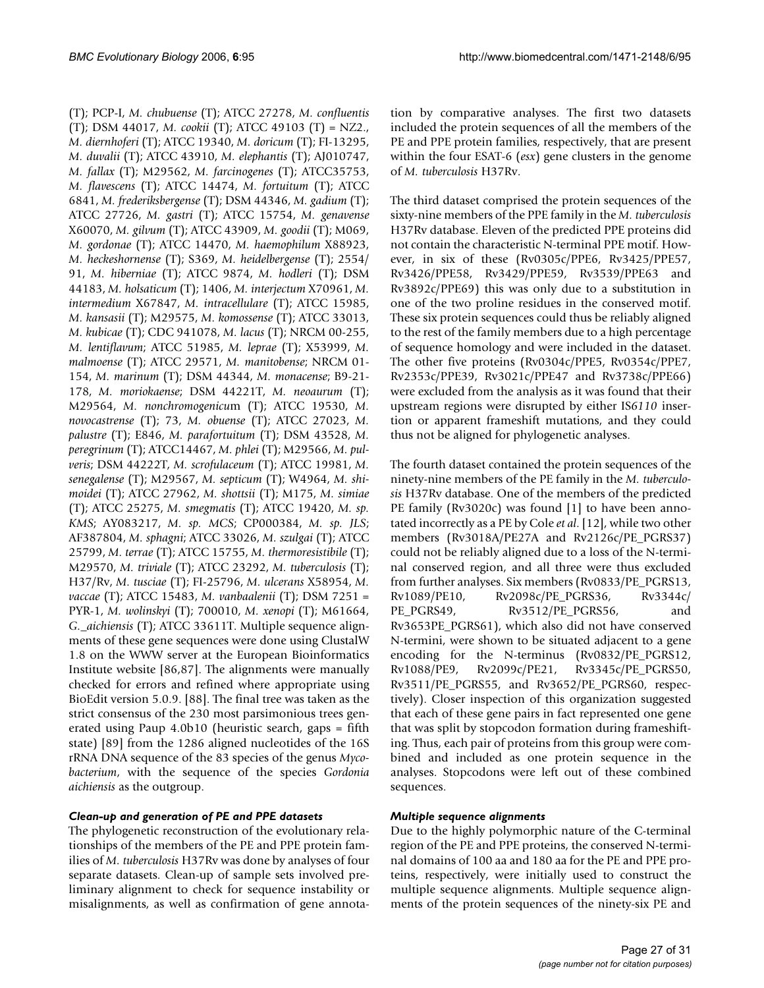(T); PCP-I, *M. chubuense* (T); ATCC 27278, *M. confluentis* (T); DSM 44017, *M. cookii* (T); ATCC 49103 (T) = NZ2., *M. diernhoferi* (T); ATCC 19340, *M. doricum* (T); FI-13295, *M. duvalii* (T); ATCC 43910, *M. elephantis* (T); AJ010747, *M. fallax* (T); M29562, *M. farcinogenes* (T); ATCC35753, *M. flavescens* (T); ATCC 14474, *M. fortuitum* (T); ATCC 6841, *M. frederiksbergense* (T); DSM 44346, *M. gadium* (T); ATCC 27726, *M. gastri* (T); ATCC 15754, *M. genavense* X60070, *M. gilvum* (T); ATCC 43909, *M. goodii* (T); M069, *M. gordonae* (T); ATCC 14470, *M. haemophilum* X88923, *M. heckeshornense* (T); S369, *M. heidelbergense* (T); 2554/ 91, *M. hiberniae* (T); ATCC 9874, *M. hodleri* (T); DSM 44183, *M. holsaticum* (T); 1406, *M. interjectum* X70961, *M. intermedium* X67847, *M. intracellulare* (T); ATCC 15985, *M. kansasii* (T); M29575, *M. komossense* (T); ATCC 33013, *M. kubicae* (T); CDC 941078, *M. lacus* (T); NRCM 00-255, *M. lentiflavum*; ATCC 51985, *M. leprae* (T); X53999, *M. malmoense* (T); ATCC 29571, *M. manitobense*; NRCM 01- 154, *M. marinum* (T); DSM 44344, *M. monacense*; B9-21- 178, *M. moriokaense*; DSM 44221T, *M. neoaurum* (T); M29564, *M. nonchromogenicu*m (T); ATCC 19530, *M. novocastrense* (T); 73, *M. obuense* (T); ATCC 27023, *M. palustre* (T); E846, *M. parafortuitum* (T); DSM 43528, *M. peregrinum* (T); ATCC14467, *M. phlei* (T); M29566, *M. pulveris*; DSM 44222T, *M. scrofulaceum* (T); ATCC 19981, *M. senegalense* (T); M29567, *M. septicum* (T); W4964, *M. shimoidei* (T); ATCC 27962, *M. shottsii* (T); M175, *M. simiae* (T); ATCC 25275, *M. smegmatis* (T); ATCC 19420, *M. sp. KMS*; AY083217, *M. sp. MCS*; CP000384, *M. sp. JLS*; AF387804, *M. sphagni*; ATCC 33026, *M. szulgai* (T); ATCC 25799, *M. terrae* (T); ATCC 15755, *M. thermoresistibile* (T); M29570, *M. triviale* (T); ATCC 23292, *M. tuberculosis* (T); H37/Rv, *M. tusciae* (T); FI-25796, *M. ulcerans* X58954, *M. vaccae* (T); ATCC 15483, *M. vanbaalenii* (T); DSM 7251 = PYR-1, *M. wolinskyi* (T); 700010, *M. xenopi* (T); M61664, *G.\_aichiensis* (T); ATCC 33611T. Multiple sequence alignments of these gene sequences were done using ClustalW 1.8 on the WWW server at the European Bioinformatics Institute website [86,87]. The alignments were manually checked for errors and refined where appropriate using BioEdit version 5.0.9. [88]. The final tree was taken as the strict consensus of the 230 most parsimonious trees generated using Paup 4.0b10 (heuristic search, gaps = fifth state) [89] from the 1286 aligned nucleotides of the 16S rRNA DNA sequence of the 83 species of the genus *Mycobacterium*, with the sequence of the species *Gordonia aichiensis* as the outgroup.

# *Clean-up and generation of PE and PPE datasets*

The phylogenetic reconstruction of the evolutionary relationships of the members of the PE and PPE protein families of *M. tuberculosis* H37Rv was done by analyses of four separate datasets. Clean-up of sample sets involved preliminary alignment to check for sequence instability or misalignments, as well as confirmation of gene annotation by comparative analyses. The first two datasets included the protein sequences of all the members of the PE and PPE protein families, respectively, that are present within the four ESAT-6 (*esx*) gene clusters in the genome of *M. tuberculosis* H37Rv.

The third dataset comprised the protein sequences of the sixty-nine members of the PPE family in the *M. tuberculosis* H37Rv database. Eleven of the predicted PPE proteins did not contain the characteristic N-terminal PPE motif. However, in six of these (Rv0305c/PPE6, Rv3425/PPE57, Rv3426/PPE58, Rv3429/PPE59, Rv3539/PPE63 and Rv3892c/PPE69) this was only due to a substitution in one of the two proline residues in the conserved motif. These six protein sequences could thus be reliably aligned to the rest of the family members due to a high percentage of sequence homology and were included in the dataset. The other five proteins (Rv0304c/PPE5, Rv0354c/PPE7, Rv2353c/PPE39, Rv3021c/PPE47 and Rv3738c/PPE66) were excluded from the analysis as it was found that their upstream regions were disrupted by either IS*6110* insertion or apparent frameshift mutations, and they could thus not be aligned for phylogenetic analyses.

The fourth dataset contained the protein sequences of the ninety-nine members of the PE family in the *M. tuberculosis* H37Rv database. One of the members of the predicted PE family (Rv3020c) was found [1] to have been annotated incorrectly as a PE by Cole *et al*. [12], while two other members (Rv3018A/PE27A and Rv2126c/PE\_PGRS37) could not be reliably aligned due to a loss of the N-terminal conserved region, and all three were thus excluded from further analyses. Six members (Rv0833/PE\_PGRS13, Rv1089/PE10, Rv2098c/PE\_PGRS36, Rv3344c/ PE\_PGRS49, Rv3512/PE\_PGRS56, and Rv3653PE\_PGRS61), which also did not have conserved N-termini, were shown to be situated adjacent to a gene encoding for the N-terminus (Rv0832/PE\_PGRS12, Rv1088/PE9, Rv2099c/PE21, Rv3345c/PE\_PGRS50, Rv3511/PE\_PGRS55, and Rv3652/PE\_PGRS60, respectively). Closer inspection of this organization suggested that each of these gene pairs in fact represented one gene that was split by stopcodon formation during frameshifting. Thus, each pair of proteins from this group were combined and included as one protein sequence in the analyses. Stopcodons were left out of these combined sequences.

# *Multiple sequence alignments*

Due to the highly polymorphic nature of the C-terminal region of the PE and PPE proteins, the conserved N-terminal domains of 100 aa and 180 aa for the PE and PPE proteins, respectively, were initially used to construct the multiple sequence alignments. Multiple sequence alignments of the protein sequences of the ninety-six PE and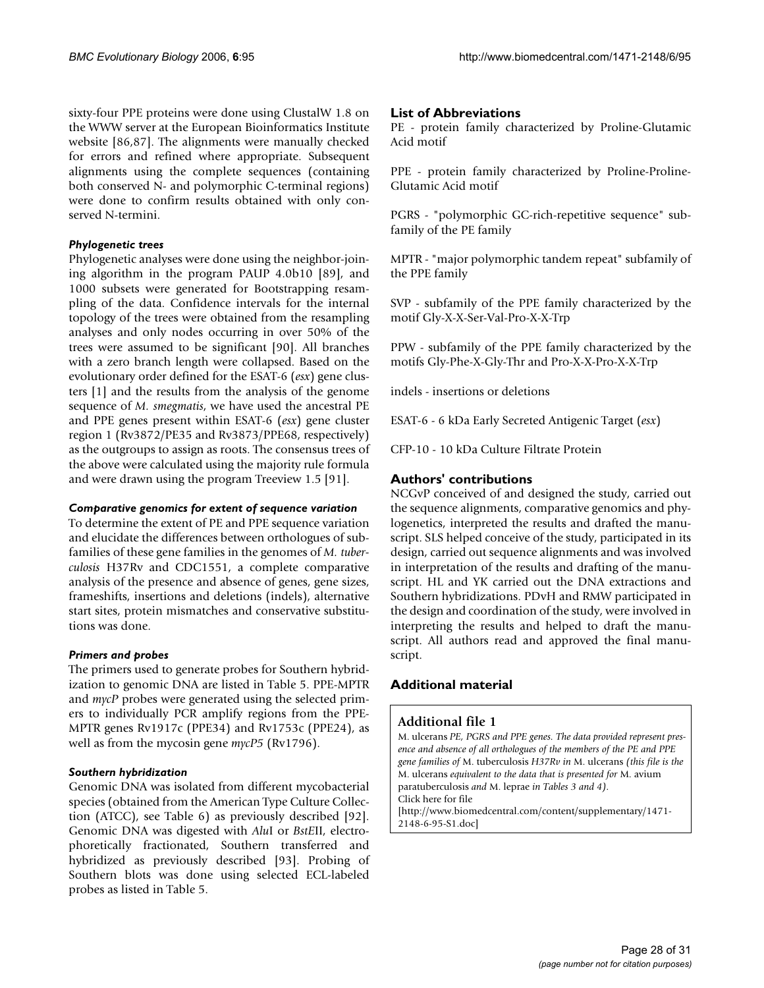sixty-four PPE proteins were done using ClustalW 1.8 on the WWW server at the European Bioinformatics Institute website [86,87]. The alignments were manually checked for errors and refined where appropriate. Subsequent alignments using the complete sequences (containing both conserved N- and polymorphic C-terminal regions) were done to confirm results obtained with only conserved N-termini.

#### *Phylogenetic trees*

Phylogenetic analyses were done using the neighbor-joining algorithm in the program PAUP 4.0b10 [89], and 1000 subsets were generated for Bootstrapping resampling of the data. Confidence intervals for the internal topology of the trees were obtained from the resampling analyses and only nodes occurring in over 50% of the trees were assumed to be significant [90]. All branches with a zero branch length were collapsed. Based on the evolutionary order defined for the ESAT-6 (*esx*) gene clusters [1] and the results from the analysis of the genome sequence of *M. smegmatis*, we have used the ancestral PE and PPE genes present within ESAT-6 (*esx*) gene cluster region 1 (Rv3872/PE35 and Rv3873/PPE68, respectively) as the outgroups to assign as roots. The consensus trees of the above were calculated using the majority rule formula and were drawn using the program Treeview 1.5 [91].

#### *Comparative genomics for extent of sequence variation*

To determine the extent of PE and PPE sequence variation and elucidate the differences between orthologues of subfamilies of these gene families in the genomes of *M. tuberculosis* H37Rv and CDC1551, a complete comparative analysis of the presence and absence of genes, gene sizes, frameshifts, insertions and deletions (indels), alternative start sites, protein mismatches and conservative substitutions was done.

# *Primers and probes*

The primers used to generate probes for Southern hybridization to genomic DNA are listed in Table 5. PPE-MPTR and *mycP* probes were generated using the selected primers to individually PCR amplify regions from the PPE-MPTR genes Rv1917c (PPE34) and Rv1753c (PPE24), as well as from the mycosin gene *mycP5* (Rv1796).

# *Southern hybridization*

Genomic DNA was isolated from different mycobacterial species (obtained from the American Type Culture Collection (ATCC), see Table 6) as previously described [92]. Genomic DNA was digested with *Alu*I or *BstE*II, electrophoretically fractionated, Southern transferred and hybridized as previously described [93]. Probing of Southern blots was done using selected ECL-labeled probes as listed in Table 5.

# **List of Abbreviations**

PE - protein family characterized by Proline-Glutamic Acid motif

PPE - protein family characterized by Proline-Proline-Glutamic Acid motif

PGRS - "polymorphic GC-rich-repetitive sequence" subfamily of the PE family

MPTR - "major polymorphic tandem repeat" subfamily of the PPE family

SVP - subfamily of the PPE family characterized by the motif Gly-X-X-Ser-Val-Pro-X-X-Trp

PPW - subfamily of the PPE family characterized by the motifs Gly-Phe-X-Gly-Thr and Pro-X-X-Pro-X-X-Trp

indels - insertions or deletions

ESAT-6 - 6 kDa Early Secreted Antigenic Target (*esx*)

CFP-10 - 10 kDa Culture Filtrate Protein

# **Authors' contributions**

NCGvP conceived of and designed the study, carried out the sequence alignments, comparative genomics and phylogenetics, interpreted the results and drafted the manuscript. SLS helped conceive of the study, participated in its design, carried out sequence alignments and was involved in interpretation of the results and drafting of the manuscript. HL and YK carried out the DNA extractions and Southern hybridizations. PDvH and RMW participated in the design and coordination of the study, were involved in interpreting the results and helped to draft the manuscript. All authors read and approved the final manuscript.

# **Additional material**

# **Additional file 1**

M. ulcerans *PE, PGRS and PPE genes. The data provided represent presence and absence of all orthologues of the members of the PE and PPE gene families of* M. tuberculosis *H37Rv in* M. ulcerans *(this file is the*  M. ulcerans *equivalent to the data that is presented for* M. avium paratuberculosis *and* M. leprae *in Tables 3 and 4).* Click here for file [\[http://www.biomedcentral.com/content/supplementary/1471-](http://www.biomedcentral.com/content/supplementary/1471-2148-6-95-S1.doc) 2148-6-95-S1.doc]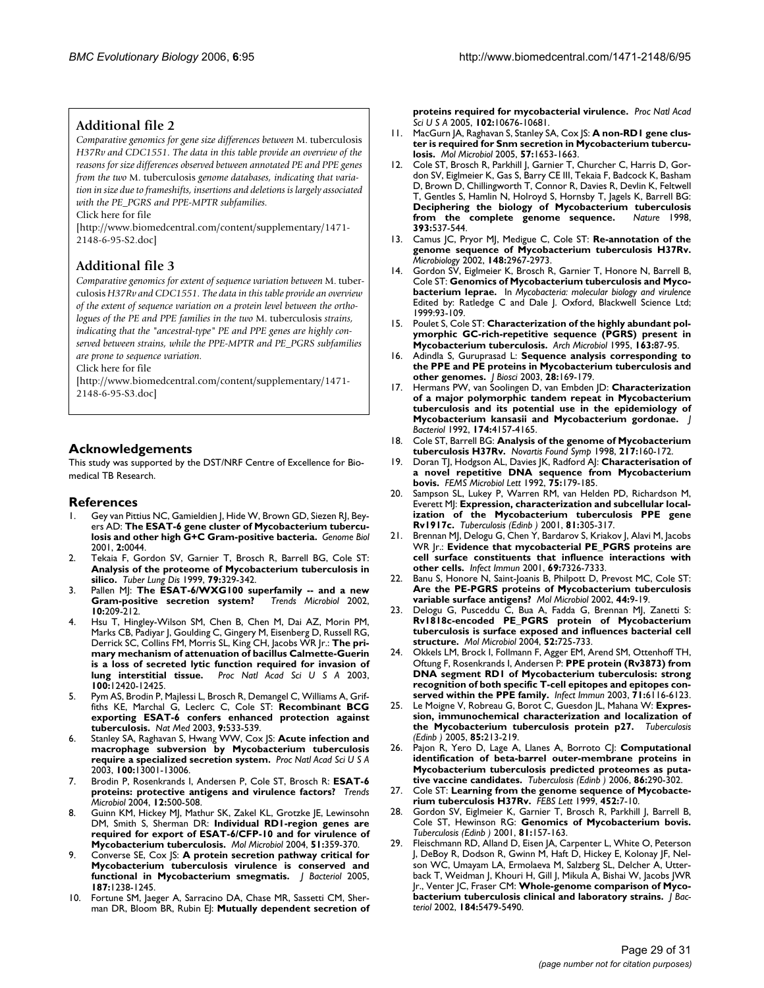#### **Additional file 2**

*Comparative genomics for gene size differences between* M. tuberculosis *H37Rv and CDC1551. The data in this table provide an overview of the reasons for size differences observed between annotated PE and PPE genes from the two* M. tuberculosis *genome databases, indicating that variation in size due to frameshifts, insertions and deletions is largely associated with the PE\_PGRS and PPE-MPTR subfamilies.*

Click here for file

[\[http://www.biomedcentral.com/content/supplementary/1471-](http://www.biomedcentral.com/content/supplementary/1471-2148-6-95-S2.doc) 2148-6-95-S2.doc]

#### **Additional file 3**

*Comparative genomics for extent of sequence variation between* M. tuberculosis *H37Rv and CDC1551. The data in this table provide an overview of the extent of sequence variation on a protein level between the orthologues of the PE and PPE families in the two* M. tuberculosis *strains, indicating that the "ancestral-type" PE and PPE genes are highly conserved between strains, while the PPE-MPTR and PE\_PGRS subfamilies are prone to sequence variation.*

Click here for file

[\[http://www.biomedcentral.com/content/supplementary/1471-](http://www.biomedcentral.com/content/supplementary/1471-2148-6-95-S3.doc) 2148-6-95-S3.doc]

#### **Acknowledgements**

This study was supported by the DST/NRF Centre of Excellence for Biomedical TB Research.

#### **References**

- 1. Gey van Pittius NC, Gamieldien J, Hide W, Brown GD, Siezen RJ, Beyers AD: **The ESAT-6 gene cluster of Mycobacterium tuberculosis and other high G+C Gram-positive bacteria.** *Genome Biol* 2001, **2:**0044.
- 2. Tekaia F, Gordon SV, Garnier T, Brosch R, Barrell BG, Cole ST: **[Analysis of the proteome of Mycobacterium tuberculosis in](http://www.ncbi.nlm.nih.gov/entrez/query.fcgi?cmd=Retrieve&db=PubMed&dopt=Abstract&list_uids=10694977) [silico.](http://www.ncbi.nlm.nih.gov/entrez/query.fcgi?cmd=Retrieve&db=PubMed&dopt=Abstract&list_uids=10694977)** *Tuber Lung Dis* 1999, **79:**329-342.
- 3. Pallen MJ: **[The ESAT-6/WXG100 superfamily -- and a new](http://www.ncbi.nlm.nih.gov/entrez/query.fcgi?cmd=Retrieve&db=PubMed&dopt=Abstract&list_uids=11973144) [Gram-positive secretion system?](http://www.ncbi.nlm.nih.gov/entrez/query.fcgi?cmd=Retrieve&db=PubMed&dopt=Abstract&list_uids=11973144) 10:**209-212.
- Hsu T, Hingley-Wilson SM, Chen B, Chen M, Dai AZ, Morin PM, Marks CB, Padiyar J, Goulding C, Gingery M, Eisenberg D, Russell RG, Derrick SC, Collins FM, Morris SL, King CH, Jacobs WR Jr.: **[The pri](http://www.ncbi.nlm.nih.gov/entrez/query.fcgi?cmd=Retrieve&db=PubMed&dopt=Abstract&list_uids=14557547)mary mechanism of attenuation of bacillus Calmette-Guerin [is a loss of secreted lytic function required for invasion of](http://www.ncbi.nlm.nih.gov/entrez/query.fcgi?cmd=Retrieve&db=PubMed&dopt=Abstract&list_uids=14557547) [lung interstitial tissue.](http://www.ncbi.nlm.nih.gov/entrez/query.fcgi?cmd=Retrieve&db=PubMed&dopt=Abstract&list_uids=14557547)** *Proc Natl Acad Sci U S A* 2003, **100:**12420-12425.
- 5. Pym AS, Brodin P, Majlessi L, Brosch R, Demangel C, Williams A, Griffiths KE, Marchal G, Leclerc C, Cole ST: **[Recombinant BCG](http://www.ncbi.nlm.nih.gov/entrez/query.fcgi?cmd=Retrieve&db=PubMed&dopt=Abstract&list_uids=12692540) [exporting ESAT-6 confers enhanced protection against](http://www.ncbi.nlm.nih.gov/entrez/query.fcgi?cmd=Retrieve&db=PubMed&dopt=Abstract&list_uids=12692540) [tuberculosis.](http://www.ncbi.nlm.nih.gov/entrez/query.fcgi?cmd=Retrieve&db=PubMed&dopt=Abstract&list_uids=12692540)** *Nat Med* 2003, **9:**533-539.
- 6. Stanley SA, Raghavan S, Hwang WW, Cox JS: **[Acute infection and](http://www.ncbi.nlm.nih.gov/entrez/query.fcgi?cmd=Retrieve&db=PubMed&dopt=Abstract&list_uids=14557536) [macrophage subversion by Mycobacterium tuberculosis](http://www.ncbi.nlm.nih.gov/entrez/query.fcgi?cmd=Retrieve&db=PubMed&dopt=Abstract&list_uids=14557536) [require a specialized secretion system.](http://www.ncbi.nlm.nih.gov/entrez/query.fcgi?cmd=Retrieve&db=PubMed&dopt=Abstract&list_uids=14557536)** *Proc Natl Acad Sci U S A* 2003, **100:**13001-13006.
- 7. Brodin P, Rosenkrands I, Andersen P, Cole ST, Brosch R: **[ESAT-6](http://www.ncbi.nlm.nih.gov/entrez/query.fcgi?cmd=Retrieve&db=PubMed&dopt=Abstract&list_uids=15488391) [proteins: protective antigens and virulence factors?](http://www.ncbi.nlm.nih.gov/entrez/query.fcgi?cmd=Retrieve&db=PubMed&dopt=Abstract&list_uids=15488391)** *Trends Microbiol* 2004, **12:**500-508.
- Guinn KM, Hickey MJ, Mathur SK, Zakel KL, Grotzke JE, Lewinsohn DM, Smith S, Sherman DR: **[Individual RD1-region genes are](http://www.ncbi.nlm.nih.gov/entrez/query.fcgi?cmd=Retrieve&db=PubMed&dopt=Abstract&list_uids=14756778) [required for export of ESAT-6/CFP-10 and for virulence of](http://www.ncbi.nlm.nih.gov/entrez/query.fcgi?cmd=Retrieve&db=PubMed&dopt=Abstract&list_uids=14756778) [Mycobacterium tuberculosis.](http://www.ncbi.nlm.nih.gov/entrez/query.fcgi?cmd=Retrieve&db=PubMed&dopt=Abstract&list_uids=14756778)** *Mol Microbiol* 2004, **51:**359-370.
- 9. Converse SE, Cox JS: **[A protein secretion pathway critical for](http://www.ncbi.nlm.nih.gov/entrez/query.fcgi?cmd=Retrieve&db=PubMed&dopt=Abstract&list_uids=15687187) [Mycobacterium tuberculosis virulence is conserved and](http://www.ncbi.nlm.nih.gov/entrez/query.fcgi?cmd=Retrieve&db=PubMed&dopt=Abstract&list_uids=15687187) [functional in Mycobacterium smegmatis.](http://www.ncbi.nlm.nih.gov/entrez/query.fcgi?cmd=Retrieve&db=PubMed&dopt=Abstract&list_uids=15687187)** *J Bacteriol* 2005, **187:**1238-1245.
- 10. Fortune SM, Jaeger A, Sarracino DA, Chase MR, Sassetti CM, Sherman DR, Bloom BR, Rubin EJ: **[Mutually dependent secretion of](http://www.ncbi.nlm.nih.gov/entrez/query.fcgi?cmd=Retrieve&db=PubMed&dopt=Abstract&list_uids=16030141)**

**[proteins required for mycobacterial virulence.](http://www.ncbi.nlm.nih.gov/entrez/query.fcgi?cmd=Retrieve&db=PubMed&dopt=Abstract&list_uids=16030141)** *Proc Natl Acad Sci U S A* 2005, **102:**10676-10681.

- 11. MacGurn JA, Raghavan S, Stanley SA, Cox JS: **[A non-RD1 gene clus](http://www.ncbi.nlm.nih.gov/entrez/query.fcgi?cmd=Retrieve&db=PubMed&dopt=Abstract&list_uids=16135231)[ter is required for Snm secretion in Mycobacterium tubercu](http://www.ncbi.nlm.nih.gov/entrez/query.fcgi?cmd=Retrieve&db=PubMed&dopt=Abstract&list_uids=16135231)[losis.](http://www.ncbi.nlm.nih.gov/entrez/query.fcgi?cmd=Retrieve&db=PubMed&dopt=Abstract&list_uids=16135231)** *Mol Microbiol* 2005, **57:**1653-1663.
- 12. Cole ST, Brosch R, Parkhill J, Garnier T, Churcher C, Harris D, Gordon SV, Eiglmeier K, Gas S, Barry CE III, Tekaia F, Badcock K, Basham D, Brown D, Chillingworth T, Connor R, Davies R, Devlin K, Feltwell T, Gentles S, Hamlin N, Holroyd S, Hornsby T, Jagels K, Barrell BG: **[Deciphering the biology of Mycobacterium tuberculosis](http://www.ncbi.nlm.nih.gov/entrez/query.fcgi?cmd=Retrieve&db=PubMed&dopt=Abstract&list_uids=9634230)**<br>from the complete genome sequence. Nature 1998, [from the complete genome sequence.](http://www.ncbi.nlm.nih.gov/entrez/query.fcgi?cmd=Retrieve&db=PubMed&dopt=Abstract&list_uids=9634230) **393:**537-544.
- 13. Camus JC, Pryor MJ, Medigue C, Cole ST: **[Re-annotation of the](http://www.ncbi.nlm.nih.gov/entrez/query.fcgi?cmd=Retrieve&db=PubMed&dopt=Abstract&list_uids=12368430) [genome sequence of Mycobacterium tuberculosis H37Rv.](http://www.ncbi.nlm.nih.gov/entrez/query.fcgi?cmd=Retrieve&db=PubMed&dopt=Abstract&list_uids=12368430)** *Microbiology* 2002, **148:**2967-2973.
- 14. Gordon SV, Eiglmeier K, Brosch R, Garnier T, Honore N, Barrell B, Cole ST: **Genomics of Mycobacterium tuberculosis and Mycobacterium leprae.** In *Mycobacteria: molecular biology and virulence* Edited by: Ratledge C and Dale J. Oxford, Blackwell Science Ltd; 1999:93-109.
- 15. Poulet S, Cole ST: **[Characterization of the highly abundant pol](http://www.ncbi.nlm.nih.gov/entrez/query.fcgi?cmd=Retrieve&db=PubMed&dopt=Abstract&list_uids=7710330)[ymorphic GC-rich-repetitive sequence \(PGRS\) present in](http://www.ncbi.nlm.nih.gov/entrez/query.fcgi?cmd=Retrieve&db=PubMed&dopt=Abstract&list_uids=7710330) [Mycobacterium tuberculosis.](http://www.ncbi.nlm.nih.gov/entrez/query.fcgi?cmd=Retrieve&db=PubMed&dopt=Abstract&list_uids=7710330)** *Arch Microbiol* 1995, **163:**87-95.
- 16. Adindla S, Guruprasad L: **[Sequence analysis corresponding to](http://www.ncbi.nlm.nih.gov/entrez/query.fcgi?cmd=Retrieve&db=PubMed&dopt=Abstract&list_uids=12711809) [the PPE and PE proteins in Mycobacterium tuberculosis and](http://www.ncbi.nlm.nih.gov/entrez/query.fcgi?cmd=Retrieve&db=PubMed&dopt=Abstract&list_uids=12711809) [other genomes.](http://www.ncbi.nlm.nih.gov/entrez/query.fcgi?cmd=Retrieve&db=PubMed&dopt=Abstract&list_uids=12711809)** *J Biosci* 2003, **28:**169-179.
- 17. Hermans PW, van Soolingen D, van Embden JD: **[Characterization](http://www.ncbi.nlm.nih.gov/entrez/query.fcgi?cmd=Retrieve&db=PubMed&dopt=Abstract&list_uids=1350781) of a major polymorphic tandem repeat in Mycobacterium [tuberculosis and its potential use in the epidemiology of](http://www.ncbi.nlm.nih.gov/entrez/query.fcgi?cmd=Retrieve&db=PubMed&dopt=Abstract&list_uids=1350781) [Mycobacterium kansasii and Mycobacterium gordonae.](http://www.ncbi.nlm.nih.gov/entrez/query.fcgi?cmd=Retrieve&db=PubMed&dopt=Abstract&list_uids=1350781)** *J Bacteriol* 1992, **174:**4157-4165.
- 18. Cole ST, Barrell BG: **[Analysis of the genome of Mycobacterium](http://www.ncbi.nlm.nih.gov/entrez/query.fcgi?cmd=Retrieve&db=PubMed&dopt=Abstract&list_uids=9949807) [tuberculosis H37Rv.](http://www.ncbi.nlm.nih.gov/entrez/query.fcgi?cmd=Retrieve&db=PubMed&dopt=Abstract&list_uids=9949807)** *Novartis Found Symp* 1998, **217:**160-172.
- 19. Doran TJ, Hodgson AL, Davies JK, Radford AJ: **[Characterisation of](http://www.ncbi.nlm.nih.gov/entrez/query.fcgi?cmd=Retrieve&db=PubMed&dopt=Abstract&list_uids=1398035) [a novel repetitive DNA sequence from Mycobacterium](http://www.ncbi.nlm.nih.gov/entrez/query.fcgi?cmd=Retrieve&db=PubMed&dopt=Abstract&list_uids=1398035) [bovis.](http://www.ncbi.nlm.nih.gov/entrez/query.fcgi?cmd=Retrieve&db=PubMed&dopt=Abstract&list_uids=1398035)** *FEMS Microbiol Lett* 1992, **75:**179-185.
- 20. Sampson SL, Lukey P, Warren RM, van Helden PD, Richardson M, Everett MJ: **[Expression, characterization and subcellular local](http://www.ncbi.nlm.nih.gov/entrez/query.fcgi?cmd=Retrieve&db=PubMed&dopt=Abstract&list_uids=11800581)[ization of the Mycobacterium tuberculosis PPE gene](http://www.ncbi.nlm.nih.gov/entrez/query.fcgi?cmd=Retrieve&db=PubMed&dopt=Abstract&list_uids=11800581) [Rv1917c.](http://www.ncbi.nlm.nih.gov/entrez/query.fcgi?cmd=Retrieve&db=PubMed&dopt=Abstract&list_uids=11800581)** *Tuberculosis (Edinb )* 2001, **81:**305-317.
- 21. Brennan MJ, Delogu G, Chen Y, Bardarov S, Kriakov J, Alavi M, Jacobs WR Jr.: **[Evidence that mycobacterial PE\\_PGRS proteins are](http://www.ncbi.nlm.nih.gov/entrez/query.fcgi?cmd=Retrieve&db=PubMed&dopt=Abstract&list_uids=11705904) [cell surface constituents that influence interactions with](http://www.ncbi.nlm.nih.gov/entrez/query.fcgi?cmd=Retrieve&db=PubMed&dopt=Abstract&list_uids=11705904) [other cells.](http://www.ncbi.nlm.nih.gov/entrez/query.fcgi?cmd=Retrieve&db=PubMed&dopt=Abstract&list_uids=11705904)** *Infect Immun* 2001, **69:**7326-7333.
- 22. Banu S, Honore N, Saint-Joanis B, Philpott D, Prevost MC, Cole ST: **[Are the PE-PGRS proteins of Mycobacterium tuberculosis](http://www.ncbi.nlm.nih.gov/entrez/query.fcgi?cmd=Retrieve&db=PubMed&dopt=Abstract&list_uids=11967065) [variable surface antigens?](http://www.ncbi.nlm.nih.gov/entrez/query.fcgi?cmd=Retrieve&db=PubMed&dopt=Abstract&list_uids=11967065)** *Mol Microbiol* 2002, **44:**9-19.
- 23. Delogu G, Pusceddu C, Bua A, Fadda G, Brennan MJ, Zanetti S: **Rv1818c-encoded PE\_PGRS protein of Mycobacterium [tuberculosis is surface exposed and influences bacterial cell](http://www.ncbi.nlm.nih.gov/entrez/query.fcgi?cmd=Retrieve&db=PubMed&dopt=Abstract&list_uids=15101979) [structure.](http://www.ncbi.nlm.nih.gov/entrez/query.fcgi?cmd=Retrieve&db=PubMed&dopt=Abstract&list_uids=15101979)** *Mol Microbiol* 2004, **52:**725-733.
- 24. Okkels LM, Brock I, Follmann F, Agger EM, Arend SM, Ottenhoff TH, Oftung F, Rosenkrands I, Andersen P: **[PPE protein \(Rv3873\) from](http://www.ncbi.nlm.nih.gov/entrez/query.fcgi?cmd=Retrieve&db=PubMed&dopt=Abstract&list_uids=14573626) DNA segment RD1 of Mycobacterium tuberculosis: strong [recognition of both specific T-cell epitopes and epitopes con](http://www.ncbi.nlm.nih.gov/entrez/query.fcgi?cmd=Retrieve&db=PubMed&dopt=Abstract&list_uids=14573626)[served within the PPE family.](http://www.ncbi.nlm.nih.gov/entrez/query.fcgi?cmd=Retrieve&db=PubMed&dopt=Abstract&list_uids=14573626)** *Infect Immun* 2003, **71:**6116-6123.
- 25. Le Moigne V, Robreau G, Borot C, Guesdon JL, Mahana W: **[Expres](http://www.ncbi.nlm.nih.gov/entrez/query.fcgi?cmd=Retrieve&db=PubMed&dopt=Abstract&list_uids=15958258)[sion, immunochemical characterization and localization of](http://www.ncbi.nlm.nih.gov/entrez/query.fcgi?cmd=Retrieve&db=PubMed&dopt=Abstract&list_uids=15958258) [the Mycobacterium tuberculosis protein p27.](http://www.ncbi.nlm.nih.gov/entrez/query.fcgi?cmd=Retrieve&db=PubMed&dopt=Abstract&list_uids=15958258)** *Tuberculosis (Edinb )* 2005, **85:**213-219.
- 26. Pajon R, Yero D, Lage A, Llanes A, Borroto CJ: **[Computational](http://www.ncbi.nlm.nih.gov/entrez/query.fcgi?cmd=Retrieve&db=PubMed&dopt=Abstract&list_uids=16542876) identification of beta-barrel outer-membrane proteins in [Mycobacterium tuberculosis predicted proteomes as puta](http://www.ncbi.nlm.nih.gov/entrez/query.fcgi?cmd=Retrieve&db=PubMed&dopt=Abstract&list_uids=16542876)[tive vaccine candidates.](http://www.ncbi.nlm.nih.gov/entrez/query.fcgi?cmd=Retrieve&db=PubMed&dopt=Abstract&list_uids=16542876)** *Tuberculosis (Edinb )* 2006, **86:**290-302.
- 27. Cole ST: **[Learning from the genome sequence of Mycobacte](http://www.ncbi.nlm.nih.gov/entrez/query.fcgi?cmd=Retrieve&db=PubMed&dopt=Abstract&list_uids=10376668)[rium tuberculosis H37Rv.](http://www.ncbi.nlm.nih.gov/entrez/query.fcgi?cmd=Retrieve&db=PubMed&dopt=Abstract&list_uids=10376668)** *FEBS Lett* 1999, **452:**7-10.
- 28. Gordon SV, Eiglmeier K, Garnier T, Brosch R, Parkhill J, Barrell B, Cole ST, Hewinson RG: **[Genomics of Mycobacterium bovis.](http://www.ncbi.nlm.nih.gov/entrez/query.fcgi?cmd=Retrieve&db=PubMed&dopt=Abstract&list_uids=11463237)** *Tuberculosis (Edinb )* 2001, **81:**157-163.
- 29. Fleischmann RD, Alland D, Eisen JA, Carpenter L, White O, Peterson J, DeBoy R, Dodson R, Gwinn M, Haft D, Hickey E, Kolonay JF, Nelson WC, Umayam LA, Ermolaeva M, Salzberg SL, Delcher A, Utterback T, Weidman J, Khouri H, Gill J, Mikula A, Bishai W, Jacobs JWR Jr., Venter JC, Fraser CM: **[Whole-genome comparison of Myco](http://www.ncbi.nlm.nih.gov/entrez/query.fcgi?cmd=Retrieve&db=PubMed&dopt=Abstract&list_uids=12218036)[bacterium tuberculosis clinical and laboratory strains.](http://www.ncbi.nlm.nih.gov/entrez/query.fcgi?cmd=Retrieve&db=PubMed&dopt=Abstract&list_uids=12218036)** *J Bacteriol* 2002, **184:**5479-5490.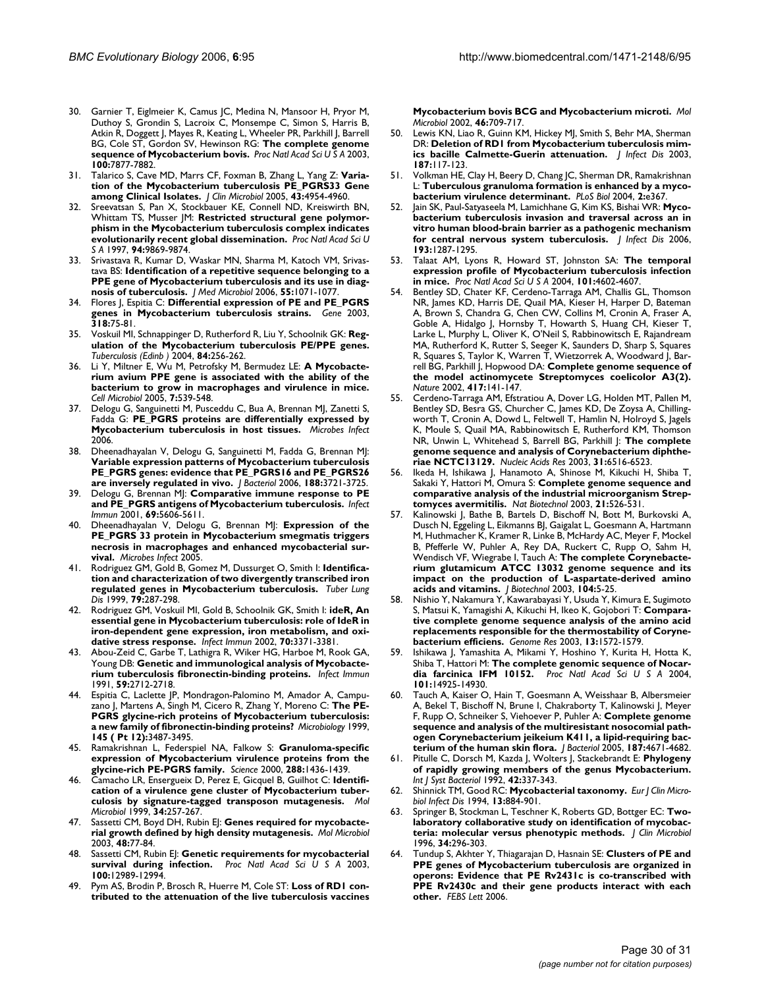- 30. Garnier T, Eiglmeier K, Camus JC, Medina N, Mansoor H, Pryor M, Duthoy S, Grondin S, Lacroix C, Monsempe C, Simon S, Harris B, Atkin R, Doggett J, Mayes R, Keating L, Wheeler PR, Parkhill J, Barrell BG, Cole ST, Gordon SV, Hewinson RG: **[The complete genome](http://www.ncbi.nlm.nih.gov/entrez/query.fcgi?cmd=Retrieve&db=PubMed&dopt=Abstract&list_uids=12788972) [sequence of Mycobacterium bovis.](http://www.ncbi.nlm.nih.gov/entrez/query.fcgi?cmd=Retrieve&db=PubMed&dopt=Abstract&list_uids=12788972)** *Proc Natl Acad Sci U S A* 2003, **100:**7877-7882.
- 31. Talarico S, Cave MD, Marrs CF, Foxman B, Zhang L, Yang Z: **[Varia](http://www.ncbi.nlm.nih.gov/entrez/query.fcgi?cmd=Retrieve&db=PubMed&dopt=Abstract&list_uids=16207947)[tion of the Mycobacterium tuberculosis PE\\_PGRS33 Gene](http://www.ncbi.nlm.nih.gov/entrez/query.fcgi?cmd=Retrieve&db=PubMed&dopt=Abstract&list_uids=16207947) [among Clinical Isolates.](http://www.ncbi.nlm.nih.gov/entrez/query.fcgi?cmd=Retrieve&db=PubMed&dopt=Abstract&list_uids=16207947)** *J Clin Microbiol* 2005, **43:**4954-4960.
- Sreevatsan S, Pan X, Stockbauer KE, Connell ND, Kreiswirth BN, Whittam TS, Musser JM: **[Restricted structural gene polymor](http://www.ncbi.nlm.nih.gov/entrez/query.fcgi?cmd=Retrieve&db=PubMed&dopt=Abstract&list_uids=9275218)[phism in the Mycobacterium tuberculosis complex indicates](http://www.ncbi.nlm.nih.gov/entrez/query.fcgi?cmd=Retrieve&db=PubMed&dopt=Abstract&list_uids=9275218) [evolutionarily recent global dissemination.](http://www.ncbi.nlm.nih.gov/entrez/query.fcgi?cmd=Retrieve&db=PubMed&dopt=Abstract&list_uids=9275218)** *Proc Natl Acad Sci U S A* 1997, **94:**9869-9874.
- 33. Srivastava R, Kumar D, Waskar MN, Sharma M, Katoch VM, Srivastava BS: **[Identification of a repetitive sequence belonging to a](http://www.ncbi.nlm.nih.gov/entrez/query.fcgi?cmd=Retrieve&db=PubMed&dopt=Abstract&list_uids=16849727) [PPE gene of Mycobacterium tuberculosis and its use in diag](http://www.ncbi.nlm.nih.gov/entrez/query.fcgi?cmd=Retrieve&db=PubMed&dopt=Abstract&list_uids=16849727)[nosis of tuberculosis.](http://www.ncbi.nlm.nih.gov/entrez/query.fcgi?cmd=Retrieve&db=PubMed&dopt=Abstract&list_uids=16849727)** *J Med Microbiol* 2006, **55:**1071-1077.
- 34. Flores J, Espitia C: **[Differential expression of PE and PE\\_PGRS](http://www.ncbi.nlm.nih.gov/entrez/query.fcgi?cmd=Retrieve&db=PubMed&dopt=Abstract&list_uids=14585500) [genes in Mycobacterium tuberculosis strains.](http://www.ncbi.nlm.nih.gov/entrez/query.fcgi?cmd=Retrieve&db=PubMed&dopt=Abstract&list_uids=14585500)** *Gene* 2003, **318:**75-81.
- 35. Voskuil MI, Schnappinger D, Rutherford R, Liu Y, Schoolnik GK: **[Reg](http://www.ncbi.nlm.nih.gov/entrez/query.fcgi?cmd=Retrieve&db=PubMed&dopt=Abstract&list_uids=15207495)[ulation of the Mycobacterium tuberculosis PE/PPE genes.](http://www.ncbi.nlm.nih.gov/entrez/query.fcgi?cmd=Retrieve&db=PubMed&dopt=Abstract&list_uids=15207495)** *Tuberculosis (Edinb )* 2004, **84:**256-262.
- 36. Li Y, Miltner E, Wu M, Petrofsky M, Bermudez LE: **[A Mycobacte](http://www.ncbi.nlm.nih.gov/entrez/query.fcgi?cmd=Retrieve&db=PubMed&dopt=Abstract&list_uids=15760454)rium avium PPE gene is associated with the ability of the [bacterium to grow in macrophages and virulence in mice.](http://www.ncbi.nlm.nih.gov/entrez/query.fcgi?cmd=Retrieve&db=PubMed&dopt=Abstract&list_uids=15760454)** *Cell Microbiol* 2005, **7:**539-548.
- 37. Delogu G, Sanguinetti M, Pusceddu C, Bua A, Brennan MJ, Zanetti S, Fadda G: **PE\_PGRS proteins are differentially expressed by Mycobacterium tuberculosis in host tissues.** *Microbes Infect* 2006.
- 38. Dheenadhayalan V, Delogu G, Sanguinetti M, Fadda G, Brennan MJ: **Variable expression patterns of Mycobacterium tuberculosis [PE\\_PGRS genes: evidence that PE\\_PGRS16 and PE\\_PGRS26](http://www.ncbi.nlm.nih.gov/entrez/query.fcgi?cmd=Retrieve&db=PubMed&dopt=Abstract&list_uids=16672626) [are inversely regulated in vivo.](http://www.ncbi.nlm.nih.gov/entrez/query.fcgi?cmd=Retrieve&db=PubMed&dopt=Abstract&list_uids=16672626)** *J Bacteriol* 2006, **188:**3721-3725.
- 39. Delogu G, Brennan MJ: **[Comparative immune response to PE](http://www.ncbi.nlm.nih.gov/entrez/query.fcgi?cmd=Retrieve&db=PubMed&dopt=Abstract&list_uids=11500435) [and PE\\_PGRS antigens of Mycobacterium tuberculosis.](http://www.ncbi.nlm.nih.gov/entrez/query.fcgi?cmd=Retrieve&db=PubMed&dopt=Abstract&list_uids=11500435)** *Infect Immun* 2001, **69:**5606-5611.
- 40. Dheenadhayalan V, Delogu G, Brennan MJ: **[Expression of the](http://www.ncbi.nlm.nih.gov/entrez/query.fcgi?cmd=Retrieve&db=PubMed&dopt=Abstract&list_uids=16203168) PE\_PGRS 33 protein in Mycobacterium smegmatis triggers [necrosis in macrophages and enhanced mycobacterial sur](http://www.ncbi.nlm.nih.gov/entrez/query.fcgi?cmd=Retrieve&db=PubMed&dopt=Abstract&list_uids=16203168)[vival.](http://www.ncbi.nlm.nih.gov/entrez/query.fcgi?cmd=Retrieve&db=PubMed&dopt=Abstract&list_uids=16203168)** *Microbes Infect* 2005.
- 41. Rodriguez GM, Gold B, Gomez M, Dussurget O, Smith I: **[Identifica](http://www.ncbi.nlm.nih.gov/entrez/query.fcgi?cmd=Retrieve&db=PubMed&dopt=Abstract&list_uids=10707257)[tion and characterization of two divergently transcribed iron](http://www.ncbi.nlm.nih.gov/entrez/query.fcgi?cmd=Retrieve&db=PubMed&dopt=Abstract&list_uids=10707257) [regulated genes in Mycobacterium tuberculosis.](http://www.ncbi.nlm.nih.gov/entrez/query.fcgi?cmd=Retrieve&db=PubMed&dopt=Abstract&list_uids=10707257)** *Tuber Lung Dis* 1999, **79:**287-298.
- 42. Rodriguez GM, Voskuil MI, Gold B, Schoolnik GK, Smith I: **[ideR, An](http://www.ncbi.nlm.nih.gov/entrez/query.fcgi?cmd=Retrieve&db=PubMed&dopt=Abstract&list_uids=12065475) essential gene in Mycobacterium tuberculosis: role of IdeR in [iron-dependent gene expression, iron metabolism, and oxi](http://www.ncbi.nlm.nih.gov/entrez/query.fcgi?cmd=Retrieve&db=PubMed&dopt=Abstract&list_uids=12065475)[dative stress response.](http://www.ncbi.nlm.nih.gov/entrez/query.fcgi?cmd=Retrieve&db=PubMed&dopt=Abstract&list_uids=12065475)** *Infect Immun* 2002, **70:**3371-3381.
- 43. Abou-Zeid C, Garbe T, Lathigra R, Wiker HG, Harboe M, Rook GA, Young DB: **[Genetic and immunological analysis of Mycobacte](http://www.ncbi.nlm.nih.gov/entrez/query.fcgi?cmd=Retrieve&db=PubMed&dopt=Abstract&list_uids=1830294)[rium tuberculosis fibronectin-binding proteins.](http://www.ncbi.nlm.nih.gov/entrez/query.fcgi?cmd=Retrieve&db=PubMed&dopt=Abstract&list_uids=1830294)** *Infect Immun* 1991, **59:**2712-2718.
- 44. Espitia C, Laclette JP, Mondragon-Palomino M, Amador A, Campuzano J, Martens A, Singh M, Cicero R, Zhang Y, Moreno C: **[The PE-](http://www.ncbi.nlm.nih.gov/entrez/query.fcgi?cmd=Retrieve&db=PubMed&dopt=Abstract&list_uids=10627046)[PGRS glycine-rich proteins of Mycobacterium tuberculosis:](http://www.ncbi.nlm.nih.gov/entrez/query.fcgi?cmd=Retrieve&db=PubMed&dopt=Abstract&list_uids=10627046) [a new family of fibronectin-binding proteins?](http://www.ncbi.nlm.nih.gov/entrez/query.fcgi?cmd=Retrieve&db=PubMed&dopt=Abstract&list_uids=10627046)** *Microbiology* 1999, **145 ( Pt 12):**3487-3495.
- 45. Ramakrishnan L, Federspiel NA, Falkow S: **[Granuloma-specific](http://www.ncbi.nlm.nih.gov/entrez/query.fcgi?cmd=Retrieve&db=PubMed&dopt=Abstract&list_uids=10827956) [expression of Mycobacterium virulence proteins from the](http://www.ncbi.nlm.nih.gov/entrez/query.fcgi?cmd=Retrieve&db=PubMed&dopt=Abstract&list_uids=10827956) [glycine-rich PE-PGRS family.](http://www.ncbi.nlm.nih.gov/entrez/query.fcgi?cmd=Retrieve&db=PubMed&dopt=Abstract&list_uids=10827956)** *Science* 2000, **288:**1436-1439.
- 46. Camacho LR, Ensergueix D, Perez E, Gicquel B, Guilhot C: **[Identifi](http://www.ncbi.nlm.nih.gov/entrez/query.fcgi?cmd=Retrieve&db=PubMed&dopt=Abstract&list_uids=10564470)[cation of a virulence gene cluster of Mycobacterium tuber](http://www.ncbi.nlm.nih.gov/entrez/query.fcgi?cmd=Retrieve&db=PubMed&dopt=Abstract&list_uids=10564470)[culosis by signature-tagged transposon mutagenesis.](http://www.ncbi.nlm.nih.gov/entrez/query.fcgi?cmd=Retrieve&db=PubMed&dopt=Abstract&list_uids=10564470)** *Mol Microbiol* 1999, **34:**257-267.
- 47. Sassetti CM, Boyd DH, Rubin EJ: [Genes required for mycobacte](http://www.ncbi.nlm.nih.gov/entrez/query.fcgi?cmd=Retrieve&db=PubMed&dopt=Abstract&list_uids=12657046)**[rial growth defined by high density mutagenesis.](http://www.ncbi.nlm.nih.gov/entrez/query.fcgi?cmd=Retrieve&db=PubMed&dopt=Abstract&list_uids=12657046)** *Mol Microbiol* 2003, **48:**77-84.
- Sassetti CM, Rubin EJ: [Genetic requirements for mycobacterial](http://www.ncbi.nlm.nih.gov/entrez/query.fcgi?cmd=Retrieve&db=PubMed&dopt=Abstract&list_uids=14569030) **[survival during infection.](http://www.ncbi.nlm.nih.gov/entrez/query.fcgi?cmd=Retrieve&db=PubMed&dopt=Abstract&list_uids=14569030)** *Proc Natl Acad Sci U S A* 2003, **100:**12989-12994.
- 49. Pym AS, Brodin P, Brosch R, Huerre M, Cole ST: **[Loss of RD1 con](http://www.ncbi.nlm.nih.gov/entrez/query.fcgi?cmd=Retrieve&db=PubMed&dopt=Abstract&list_uids=12410828)[tributed to the attenuation of the live tuberculosis vaccines](http://www.ncbi.nlm.nih.gov/entrez/query.fcgi?cmd=Retrieve&db=PubMed&dopt=Abstract&list_uids=12410828)**

**[Mycobacterium bovis BCG and Mycobacterium microti.](http://www.ncbi.nlm.nih.gov/entrez/query.fcgi?cmd=Retrieve&db=PubMed&dopt=Abstract&list_uids=12410828)** *Mol Microbiol* 2002, **46:**709-717.

- 50. Lewis KN, Liao R, Guinn KM, Hickey MJ, Smith S, Behr MA, Sherman DR: **[Deletion of RD1 from Mycobacterium tuberculosis mim](http://www.ncbi.nlm.nih.gov/entrez/query.fcgi?cmd=Retrieve&db=PubMed&dopt=Abstract&list_uids=12508154)[ics bacille Calmette-Guerin attenuation.](http://www.ncbi.nlm.nih.gov/entrez/query.fcgi?cmd=Retrieve&db=PubMed&dopt=Abstract&list_uids=12508154)** *J Infect Dis* 2003, **187:**117-123.
- 51. Volkman HE, Clay H, Beery D, Chang JC, Sherman DR, Ramakrishnan L: **[Tuberculous granuloma formation is enhanced by a myco](http://www.ncbi.nlm.nih.gov/entrez/query.fcgi?cmd=Retrieve&db=PubMed&dopt=Abstract&list_uids=15510227)[bacterium virulence determinant.](http://www.ncbi.nlm.nih.gov/entrez/query.fcgi?cmd=Retrieve&db=PubMed&dopt=Abstract&list_uids=15510227)** *PLoS Biol* 2004, **2:**e367.
- Jain SK, Paul-Satyaseela M, Lamichhane G, Kim KS, Bishai WR: [Myco](http://www.ncbi.nlm.nih.gov/entrez/query.fcgi?cmd=Retrieve&db=PubMed&dopt=Abstract&list_uids=16586367)**bacterium tuberculosis invasion and traversal across an in [vitro human blood-brain barrier as a pathogenic mechanism](http://www.ncbi.nlm.nih.gov/entrez/query.fcgi?cmd=Retrieve&db=PubMed&dopt=Abstract&list_uids=16586367) [for central nervous system tuberculosis.](http://www.ncbi.nlm.nih.gov/entrez/query.fcgi?cmd=Retrieve&db=PubMed&dopt=Abstract&list_uids=16586367)** *J Infect Dis* 2006, **193:**1287-1295.
- 53. Talaat AM, Lyons R, Howard ST, Johnston SA: **[The temporal](http://www.ncbi.nlm.nih.gov/entrez/query.fcgi?cmd=Retrieve&db=PubMed&dopt=Abstract&list_uids=15070764) [expression profile of Mycobacterium tuberculosis infection](http://www.ncbi.nlm.nih.gov/entrez/query.fcgi?cmd=Retrieve&db=PubMed&dopt=Abstract&list_uids=15070764) [in mice.](http://www.ncbi.nlm.nih.gov/entrez/query.fcgi?cmd=Retrieve&db=PubMed&dopt=Abstract&list_uids=15070764)** *Proc Natl Acad Sci U S A* 2004, **101:**4602-4607.
- 54. Bentley SD, Chater KF, Cerdeno-Tarraga AM, Challis GL, Thomson NR, James KD, Harris DE, Quail MA, Kieser H, Harper D, Bateman A, Brown S, Chandra G, Chen CW, Collins M, Cronin A, Fraser A, Goble A, Hidalgo J, Hornsby T, Howarth S, Huang CH, Kieser T, Larke L, Murphy L, Oliver K, O'Neil S, Rabbinowitsch E, Rajandream MA, Rutherford K, Rutter S, Seeger K, Saunders D, Sharp S, Squares R, Squares S, Taylor K, Warren T, Wietzorrek A, Woodward J, Barrell BG, Parkhill J, Hopwood DA: **[Complete genome sequence of](http://www.ncbi.nlm.nih.gov/entrez/query.fcgi?cmd=Retrieve&db=PubMed&dopt=Abstract&list_uids=12000953) [the model actinomycete Streptomyces coelicolor A3\(2\).](http://www.ncbi.nlm.nih.gov/entrez/query.fcgi?cmd=Retrieve&db=PubMed&dopt=Abstract&list_uids=12000953)** *Nature* 2002, **417:**141-147.
- 55. Cerdeno-Tarraga AM, Efstratiou A, Dover LG, Holden MT, Pallen M, Bentley SD, Besra GS, Churcher C, James KD, De Zoysa A, Chillingworth T, Cronin A, Dowd L, Feltwell T, Hamlin N, Holroyd S, Jagels K, Moule S, Quail MA, Rabbinowitsch E, Rutherford KM, Thomson NR, Unwin L, Whitehead S, Barrell BG, Parkhill J: **[The complete](http://www.ncbi.nlm.nih.gov/entrez/query.fcgi?cmd=Retrieve&db=PubMed&dopt=Abstract&list_uids=14602910) [genome sequence and analysis of Corynebacterium diphthe](http://www.ncbi.nlm.nih.gov/entrez/query.fcgi?cmd=Retrieve&db=PubMed&dopt=Abstract&list_uids=14602910)[riae NCTC13129.](http://www.ncbi.nlm.nih.gov/entrez/query.fcgi?cmd=Retrieve&db=PubMed&dopt=Abstract&list_uids=14602910)** *Nucleic Acids Res* 2003, **31:**6516-6523.
- Ikeda H, Ishikawa J, Hanamoto A, Shinose M, Kikuchi H, Shiba T, Sakaki Y, Hattori M, Omura S: **[Complete genome sequence and](http://www.ncbi.nlm.nih.gov/entrez/query.fcgi?cmd=Retrieve&db=PubMed&dopt=Abstract&list_uids=12692562) [comparative analysis of the industrial microorganism Strep](http://www.ncbi.nlm.nih.gov/entrez/query.fcgi?cmd=Retrieve&db=PubMed&dopt=Abstract&list_uids=12692562)[tomyces avermitilis.](http://www.ncbi.nlm.nih.gov/entrez/query.fcgi?cmd=Retrieve&db=PubMed&dopt=Abstract&list_uids=12692562)** *Nat Biotechnol* 2003, **21:**526-531.
- 57. Kalinowski J, Bathe B, Bartels D, Bischoff N, Bott M, Burkovski A, Dusch N, Eggeling L, Eikmanns BJ, Gaigalat L, Goesmann A, Hartmann M, Huthmacher K, Kramer R, Linke B, McHardy AC, Meyer F, Mockel B, Pfefferle W, Puhler A, Rey DA, Ruckert C, Rupp O, Sahm H, Wendisch VF, Wiegrabe I, Tauch A: **[The complete Corynebacte](http://www.ncbi.nlm.nih.gov/entrez/query.fcgi?cmd=Retrieve&db=PubMed&dopt=Abstract&list_uids=12948626)rium glutamicum ATCC 13032 genome sequence and its [impact on the production of L-aspartate-derived amino](http://www.ncbi.nlm.nih.gov/entrez/query.fcgi?cmd=Retrieve&db=PubMed&dopt=Abstract&list_uids=12948626) [acids and vitamins.](http://www.ncbi.nlm.nih.gov/entrez/query.fcgi?cmd=Retrieve&db=PubMed&dopt=Abstract&list_uids=12948626)** *J Biotechnol* 2003, **104:**5-25.
- 58. Nishio Y, Nakamura Y, Kawarabayasi Y, Usuda Y, Kimura E, Sugimoto S, Matsui K, Yamagishi A, Kikuchi H, Ikeo K, Gojobori T: **[Compara](http://www.ncbi.nlm.nih.gov/entrez/query.fcgi?cmd=Retrieve&db=PubMed&dopt=Abstract&list_uids=12840036)tive complete genome sequence analysis of the amino acid [replacements responsible for the thermostability of Coryne](http://www.ncbi.nlm.nih.gov/entrez/query.fcgi?cmd=Retrieve&db=PubMed&dopt=Abstract&list_uids=12840036)[bacterium efficiens.](http://www.ncbi.nlm.nih.gov/entrez/query.fcgi?cmd=Retrieve&db=PubMed&dopt=Abstract&list_uids=12840036)** *Genome Res* 2003, **13:**1572-1579.
- 59. Ishikawa J, Yamashita A, Mikami Y, Hoshino Y, Kurita H, Hotta K, Shiba T, Hattori M: **[The complete genomic sequence of Nocar](http://www.ncbi.nlm.nih.gov/entrez/query.fcgi?cmd=Retrieve&db=PubMed&dopt=Abstract&list_uids=15466710)[dia farcinica IFM 10152.](http://www.ncbi.nlm.nih.gov/entrez/query.fcgi?cmd=Retrieve&db=PubMed&dopt=Abstract&list_uids=15466710)** *Proc Natl Acad Sci U S A* 2004, **101:**14925-14930.
- 60. Tauch A, Kaiser O, Hain T, Goesmann A, Weisshaar B, Albersmeier A, Bekel T, Bischoff N, Brune I, Chakraborty T, Kalinowski J, Meyer F, Rupp O, Schneiker S, Viehoever P, Puhler A: **[Complete genome](http://www.ncbi.nlm.nih.gov/entrez/query.fcgi?cmd=Retrieve&db=PubMed&dopt=Abstract&list_uids=15968079) sequence and analysis of the multiresistant nosocomial path[ogen Corynebacterium jeikeium K411, a lipid-requiring bac](http://www.ncbi.nlm.nih.gov/entrez/query.fcgi?cmd=Retrieve&db=PubMed&dopt=Abstract&list_uids=15968079)[terium of the human skin flora.](http://www.ncbi.nlm.nih.gov/entrez/query.fcgi?cmd=Retrieve&db=PubMed&dopt=Abstract&list_uids=15968079)** *J Bacteriol* 2005, **187:**4671-4682.
- 61. Pitulle C, Dorsch M, Kazda J, Wolters J, Stackebrandt E: **[Phylogeny](http://www.ncbi.nlm.nih.gov/entrez/query.fcgi?cmd=Retrieve&db=PubMed&dopt=Abstract&list_uids=1380284) [of rapidly growing members of the genus Mycobacterium.](http://www.ncbi.nlm.nih.gov/entrez/query.fcgi?cmd=Retrieve&db=PubMed&dopt=Abstract&list_uids=1380284)** *Int J Syst Bacteriol* 1992, **42:**337-343.
- 62. Shinnick TM, Good RC: **[Mycobacterial taxonomy.](http://www.ncbi.nlm.nih.gov/entrez/query.fcgi?cmd=Retrieve&db=PubMed&dopt=Abstract&list_uids=7698114)** *Eur J Clin Microbiol Infect Dis* 1994, **13:**884-901.
- 63. Springer B, Stockman L, Teschner K, Roberts GD, Bottger EC: **[Two](http://www.ncbi.nlm.nih.gov/entrez/query.fcgi?cmd=Retrieve&db=PubMed&dopt=Abstract&list_uids=8789004)[laboratory collaborative study on identification of mycobac](http://www.ncbi.nlm.nih.gov/entrez/query.fcgi?cmd=Retrieve&db=PubMed&dopt=Abstract&list_uids=8789004)[teria: molecular versus phenotypic methods.](http://www.ncbi.nlm.nih.gov/entrez/query.fcgi?cmd=Retrieve&db=PubMed&dopt=Abstract&list_uids=8789004)** *J Clin Microbiol* 1996, **34:**296-303.
- 64. Tundup S, Akhter Y, Thiagarajan D, Hasnain SE: **[Clusters of PE and](http://www.ncbi.nlm.nih.gov/entrez/query.fcgi?cmd=Retrieve&db=PubMed&dopt=Abstract&list_uids=16458305) PPE genes of Mycobacterium tuberculosis are organized in operons: Evidence that PE Rv2431c is co-transcribed with [PPE Rv2430c and their gene products interact with each](http://www.ncbi.nlm.nih.gov/entrez/query.fcgi?cmd=Retrieve&db=PubMed&dopt=Abstract&list_uids=16458305) [other.](http://www.ncbi.nlm.nih.gov/entrez/query.fcgi?cmd=Retrieve&db=PubMed&dopt=Abstract&list_uids=16458305)** *FEBS Lett* 2006.